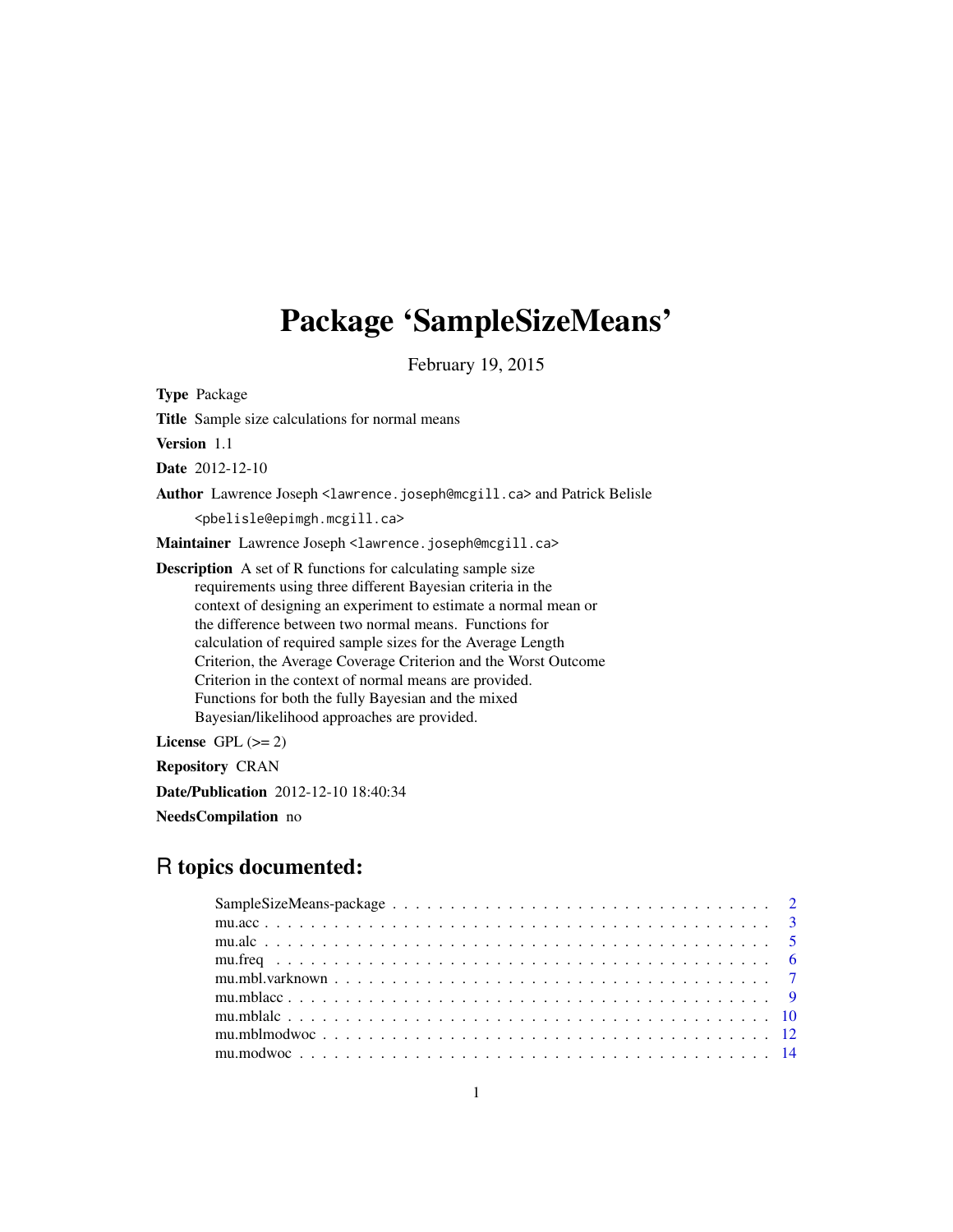# Package 'SampleSizeMeans'

February 19, 2015

Type Package

Title Sample size calculations for normal means

Version 1.1

Date 2012-12-10

Author Lawrence Joseph <lawrence.joseph@mcgill.ca> and Patrick Belisle

<pbelisle@epimgh.mcgill.ca>

Maintainer Lawrence Joseph <lawrence.joseph@mcgill.ca>

Description A set of R functions for calculating sample size requirements using three different Bayesian criteria in the context of designing an experiment to estimate a normal mean or the difference between two normal means. Functions for calculation of required sample sizes for the Average Length Criterion, the Average Coverage Criterion and the Worst Outcome Criterion in the context of normal means are provided. Functions for both the fully Bayesian and the mixed Bayesian/likelihood approaches are provided.

License GPL  $(>= 2)$ 

Repository CRAN

Date/Publication 2012-12-10 18:40:34

NeedsCompilation no

# R topics documented: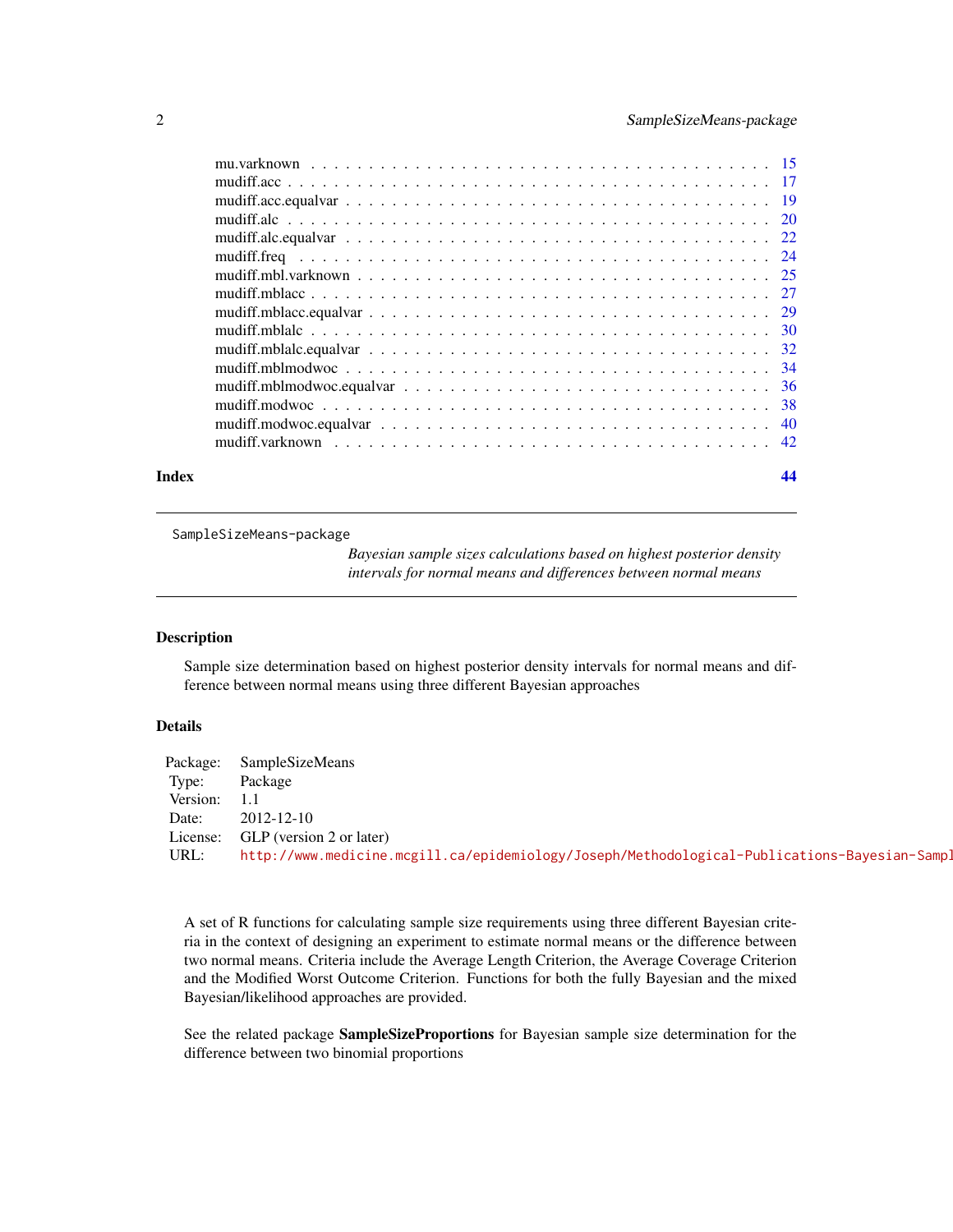<span id="page-1-0"></span>

| Index | 44 |
|-------|----|
|       |    |
|       |    |
|       |    |
|       |    |
|       |    |
|       |    |
|       |    |
|       |    |
|       |    |
|       |    |
|       |    |
|       |    |
|       |    |
|       |    |
|       |    |
|       |    |

SampleSizeMeans-package

*Bayesian sample sizes calculations based on highest posterior density intervals for normal means and differences between normal means*

# Description

Sample size determination based on highest posterior density intervals for normal means and difference between normal means using three different Bayesian approaches

# Details

| Package: | SampleSizeMeans                                                                              |
|----------|----------------------------------------------------------------------------------------------|
| Type:    | Package                                                                                      |
| Version: |                                                                                              |
| Date:    | 2012-12-10                                                                                   |
| License: | GLP (version 2 or later)                                                                     |
| URL:     | http://www.medicine.mcgill.ca/epidemiology/Joseph/Methodological-Publications-Bayesian-Sampl |

A set of R functions for calculating sample size requirements using three different Bayesian criteria in the context of designing an experiment to estimate normal means or the difference between two normal means. Criteria include the Average Length Criterion, the Average Coverage Criterion and the Modified Worst Outcome Criterion. Functions for both the fully Bayesian and the mixed Bayesian/likelihood approaches are provided.

See the related package SampleSizeProportions for Bayesian sample size determination for the difference between two binomial proportions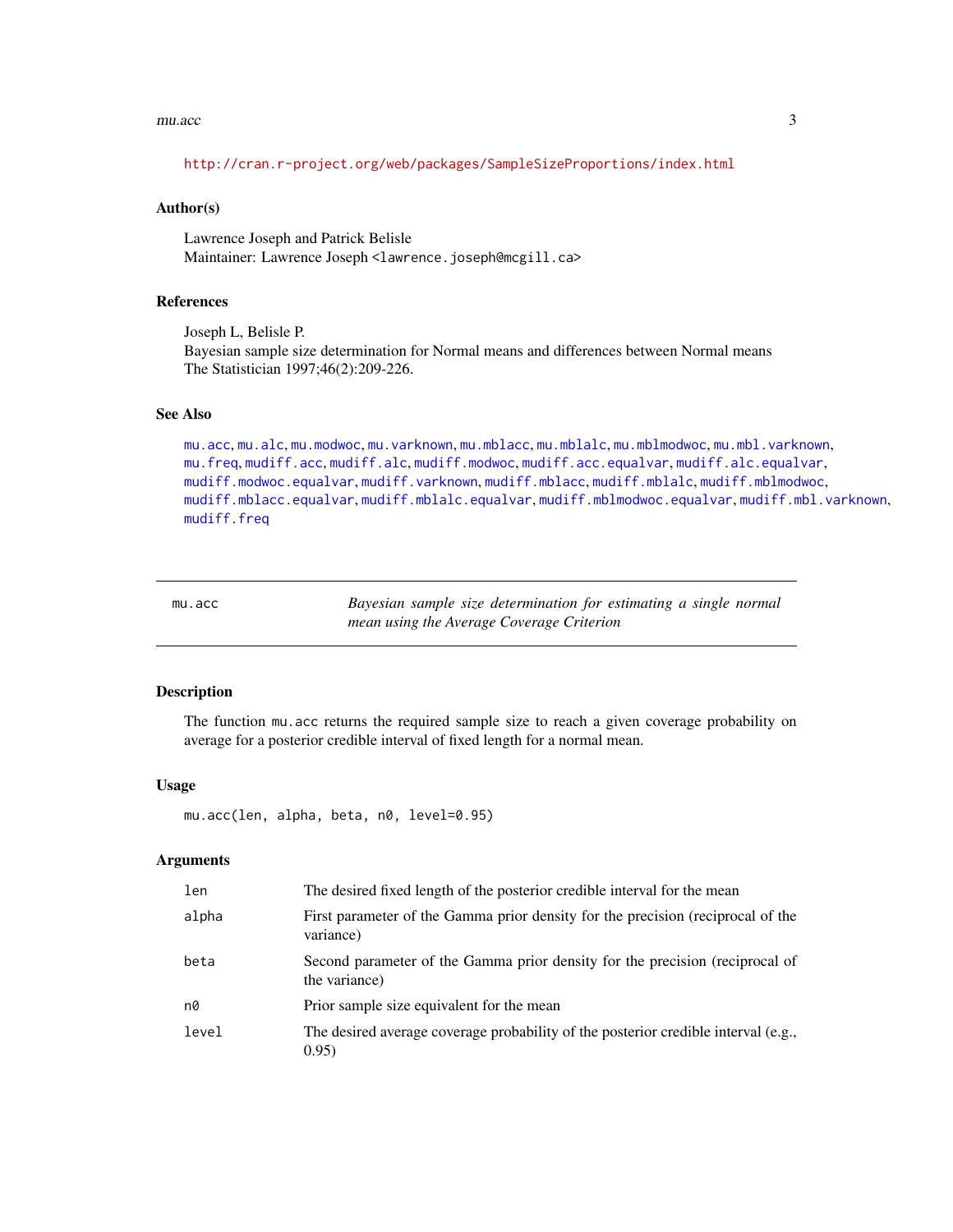#### <span id="page-2-0"></span>mu.acc 3

<http://cran.r-project.org/web/packages/SampleSizeProportions/index.html>

#### Author(s)

Lawrence Joseph and Patrick Belisle Maintainer: Lawrence Joseph <lawrence.joseph@mcgill.ca>

# References

Joseph L, Belisle P. Bayesian sample size determination for Normal means and differences between Normal means The Statistician 1997;46(2):209-226.

#### See Also

[mu.acc](#page-2-1), [mu.alc](#page-4-1), [mu.modwoc](#page-13-1), [mu.varknown](#page-14-1), [mu.mblacc](#page-8-1), [mu.mblalc](#page-9-1), [mu.mblmodwoc](#page-11-1), [mu.mbl.varknown](#page-6-1), [mu.freq](#page-5-1), [mudiff.acc](#page-16-1), [mudiff.alc](#page-19-1), [mudiff.modwoc](#page-37-1), [mudiff.acc.equalvar](#page-18-1), [mudiff.alc.equalvar](#page-21-1), [mudiff.modwoc.equalvar](#page-39-1), [mudiff.varknown](#page-41-1), [mudiff.mblacc](#page-26-1), [mudiff.mblalc](#page-29-1), [mudiff.mblmodwoc](#page-33-1), [mudiff.mblacc.equalvar](#page-28-1), [mudiff.mblalc.equalvar](#page-31-1), [mudiff.mblmodwoc.equalvar](#page-35-1), [mudiff.mbl.varknown](#page-24-1), [mudiff.freq](#page-23-1)

<span id="page-2-1"></span>

| mu.acc | Bayesian sample size determination for estimating a single normal |  |
|--------|-------------------------------------------------------------------|--|
|        | mean using the Average Coverage Criterion                         |  |

# Description

The function mu.acc returns the required sample size to reach a given coverage probability on average for a posterior credible interval of fixed length for a normal mean.

#### Usage

mu.acc(len, alpha, beta, n0, level=0.95)

# Arguments

| len   | The desired fixed length of the posterior credible interval for the mean                      |
|-------|-----------------------------------------------------------------------------------------------|
| alpha | First parameter of the Gamma prior density for the precision (reciprocal of the<br>variance)  |
| beta  | Second parameter of the Gamma prior density for the precision (reciprocal of<br>the variance) |
| n0    | Prior sample size equivalent for the mean                                                     |
| level | The desired average coverage probability of the posterior credible interval (e.g.,<br>0.95)   |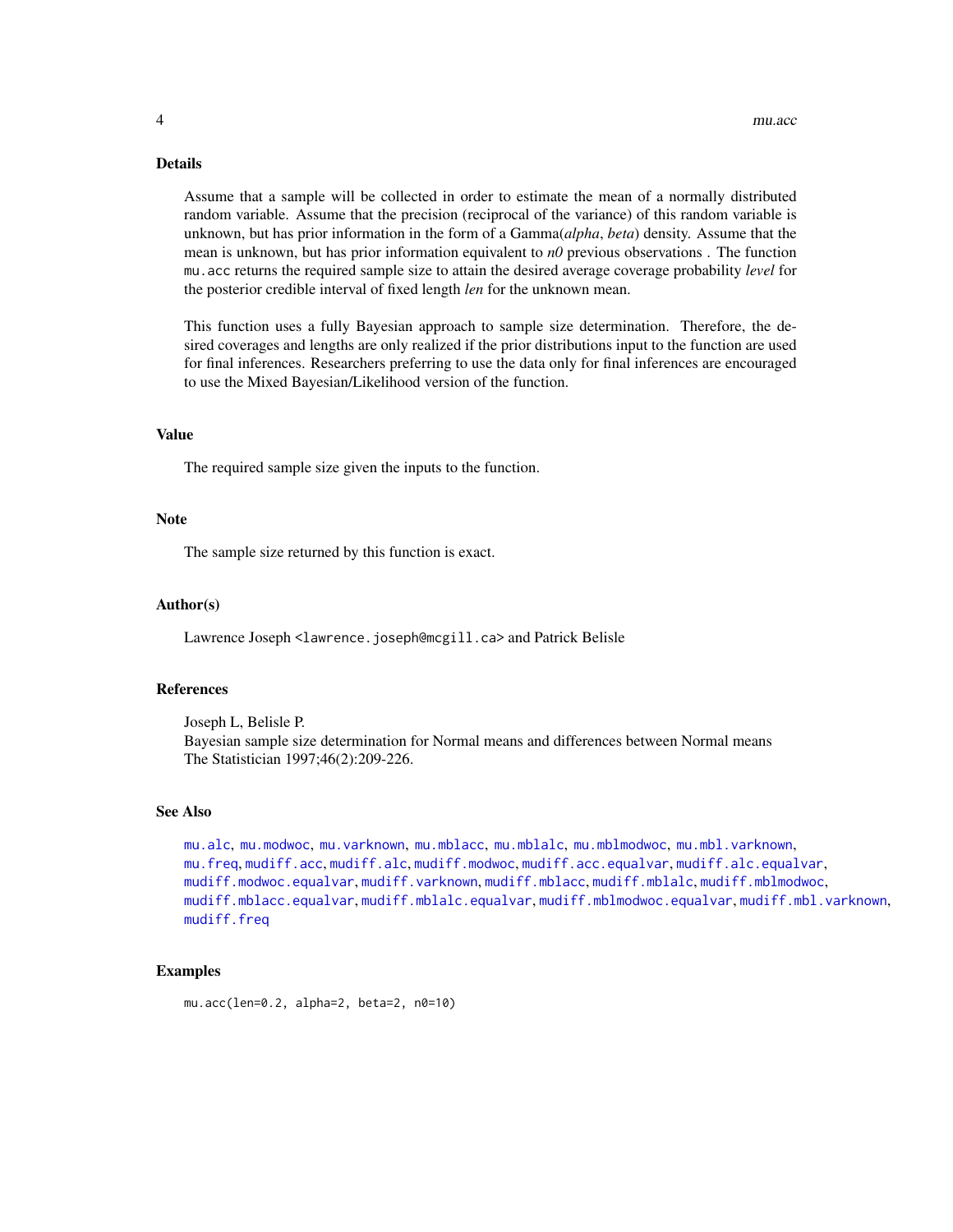# <span id="page-3-0"></span>Details

Assume that a sample will be collected in order to estimate the mean of a normally distributed random variable. Assume that the precision (reciprocal of the variance) of this random variable is unknown, but has prior information in the form of a Gamma(*alpha*, *beta*) density. Assume that the mean is unknown, but has prior information equivalent to *n0* previous observations . The function mu.acc returns the required sample size to attain the desired average coverage probability *level* for the posterior credible interval of fixed length *len* for the unknown mean.

This function uses a fully Bayesian approach to sample size determination. Therefore, the desired coverages and lengths are only realized if the prior distributions input to the function are used for final inferences. Researchers preferring to use the data only for final inferences are encouraged to use the Mixed Bayesian/Likelihood version of the function.

#### Value

The required sample size given the inputs to the function.

#### Note

The sample size returned by this function is exact.

#### Author(s)

Lawrence Joseph <lawrence.joseph@mcgill.ca> and Patrick Belisle

#### References

Joseph L, Belisle P. Bayesian sample size determination for Normal means and differences between Normal means The Statistician 1997;46(2):209-226.

#### See Also

```
mu.alc, mu.modwoc, mu.varknown, mu.mblacc, mu.mblalc, mu.mblmodwoc, mu.mbl.varknown,
mu.freq, mudiff.acc, mudiff.alc, mudiff.modwoc, mudiff.acc.equalvar, mudiff.alc.equalvar,
mudiff.modwoc.equalvar, mudiff.varknown, mudiff.mblacc, mudiff.mblalc, mudiff.mblmodwoc,
mudiff.mblacc.equalvar, mudiff.mblalc.equalvar, mudiff.mblmodwoc.equalvar, mudiff.mbl.varknown,
mudiff.freq
```
#### Examples

mu.acc(len=0.2, alpha=2, beta=2, n0=10)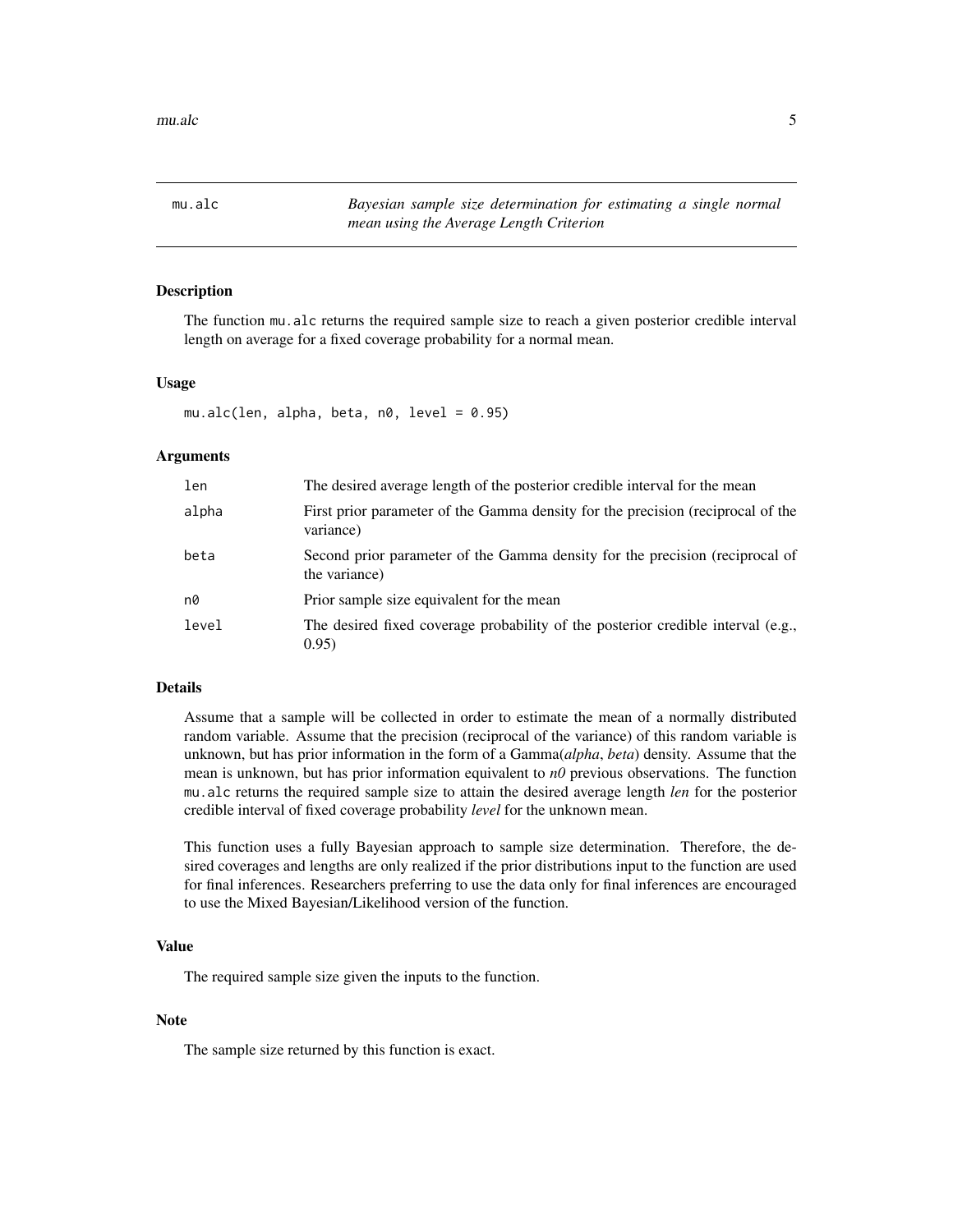<span id="page-4-1"></span><span id="page-4-0"></span>mu.alc *Bayesian sample size determination for estimating a single normal mean using the Average Length Criterion*

# Description

The function mu.alc returns the required sample size to reach a given posterior credible interval length on average for a fixed coverage probability for a normal mean.

# Usage

 $mu.alc(len, alpha, beta, n0, level = 0.95)$ 

# Arguments

| len   | The desired average length of the posterior credible interval for the mean                    |
|-------|-----------------------------------------------------------------------------------------------|
| alpha | First prior parameter of the Gamma density for the precision (reciprocal of the<br>variance)  |
| beta  | Second prior parameter of the Gamma density for the precision (reciprocal of<br>the variance) |
| n0    | Prior sample size equivalent for the mean                                                     |
| level | The desired fixed coverage probability of the posterior credible interval (e.g.,<br>0.95)     |

# Details

Assume that a sample will be collected in order to estimate the mean of a normally distributed random variable. Assume that the precision (reciprocal of the variance) of this random variable is unknown, but has prior information in the form of a Gamma(*alpha*, *beta*) density. Assume that the mean is unknown, but has prior information equivalent to *n0* previous observations. The function mu.alc returns the required sample size to attain the desired average length *len* for the posterior credible interval of fixed coverage probability *level* for the unknown mean.

This function uses a fully Bayesian approach to sample size determination. Therefore, the desired coverages and lengths are only realized if the prior distributions input to the function are used for final inferences. Researchers preferring to use the data only for final inferences are encouraged to use the Mixed Bayesian/Likelihood version of the function.

# Value

The required sample size given the inputs to the function.

# Note

The sample size returned by this function is exact.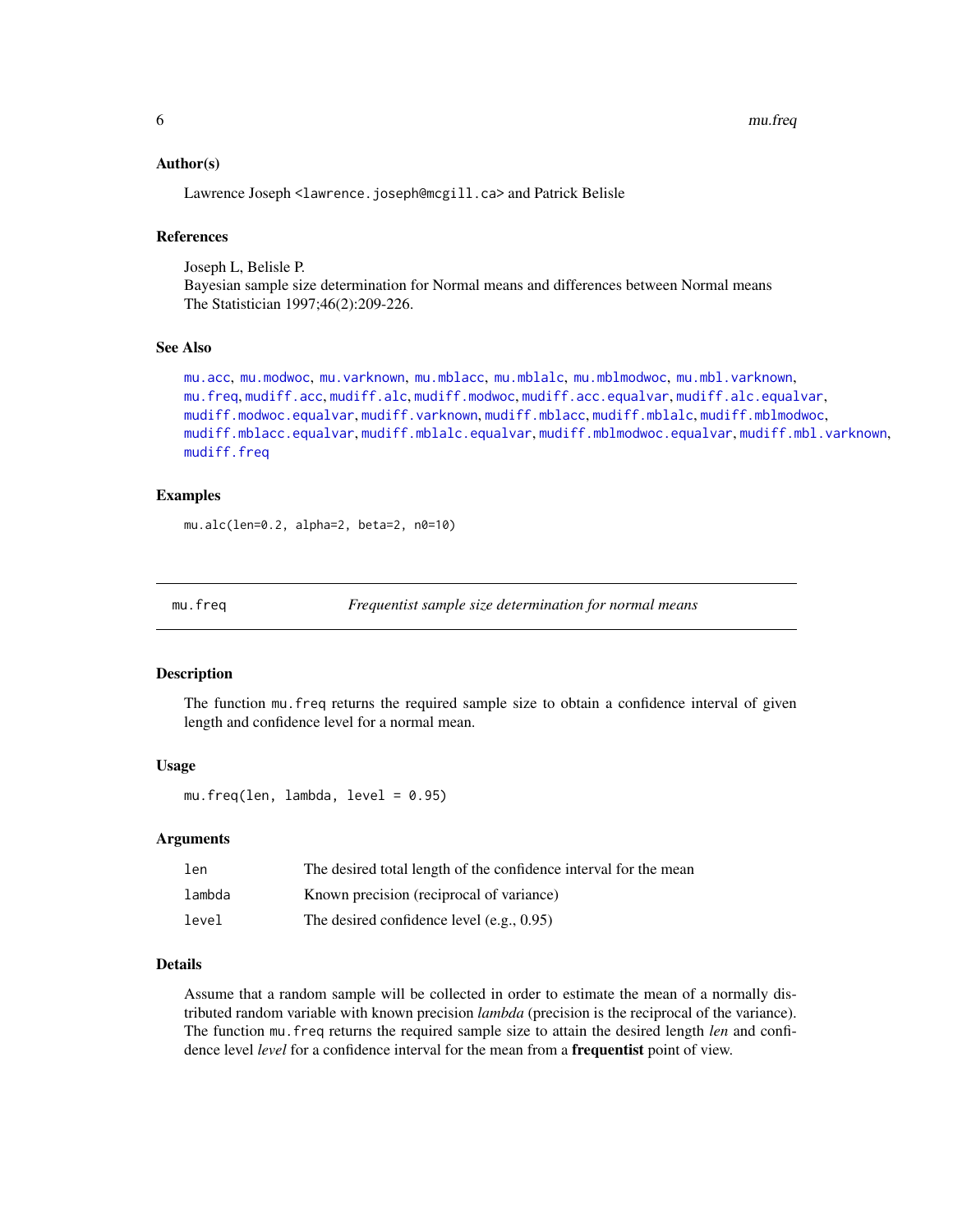# <span id="page-5-0"></span>Author(s)

Lawrence Joseph <lawrence.joseph@mcgill.ca> and Patrick Belisle

#### References

Joseph L, Belisle P. Bayesian sample size determination for Normal means and differences between Normal means The Statistician 1997;46(2):209-226.

#### See Also

```
mu.acc, mu.modwoc, mu.varknown, mu.mblacc, mu.mblalc, mu.mblmodwoc, mu.mbl.varknown,
mu.freq, mudiff.acc, mudiff.alc, mudiff.modwoc, mudiff.acc.equalvar, mudiff.alc.equalvar,
mudiff.modwoc.equalvar, mudiff.varknown, mudiff.mblacc, mudiff.mblalc, mudiff.mblmodwoc,
mudiff.mblacc.equalvar, mudiff.mblalc.equalvar, mudiff.mblmodwoc.equalvar, mudiff.mbl.varknown,
mudiff.freq
```
# Examples

mu.alc(len=0.2, alpha=2, beta=2, n0=10)

<span id="page-5-1"></span>mu.freq *Frequentist sample size determination for normal means*

#### Description

The function mu.freq returns the required sample size to obtain a confidence interval of given length and confidence level for a normal mean.

# Usage

mu.freq(len, lambda, level = 0.95)

#### Arguments

| len    | The desired total length of the confidence interval for the mean |
|--------|------------------------------------------------------------------|
| lambda | Known precision (reciprocal of variance)                         |
| level  | The desired confidence level $(e.g., 0.95)$                      |

#### Details

Assume that a random sample will be collected in order to estimate the mean of a normally distributed random variable with known precision *lambda* (precision is the reciprocal of the variance). The function mu.freq returns the required sample size to attain the desired length *len* and confidence level *level* for a confidence interval for the mean from a frequentist point of view.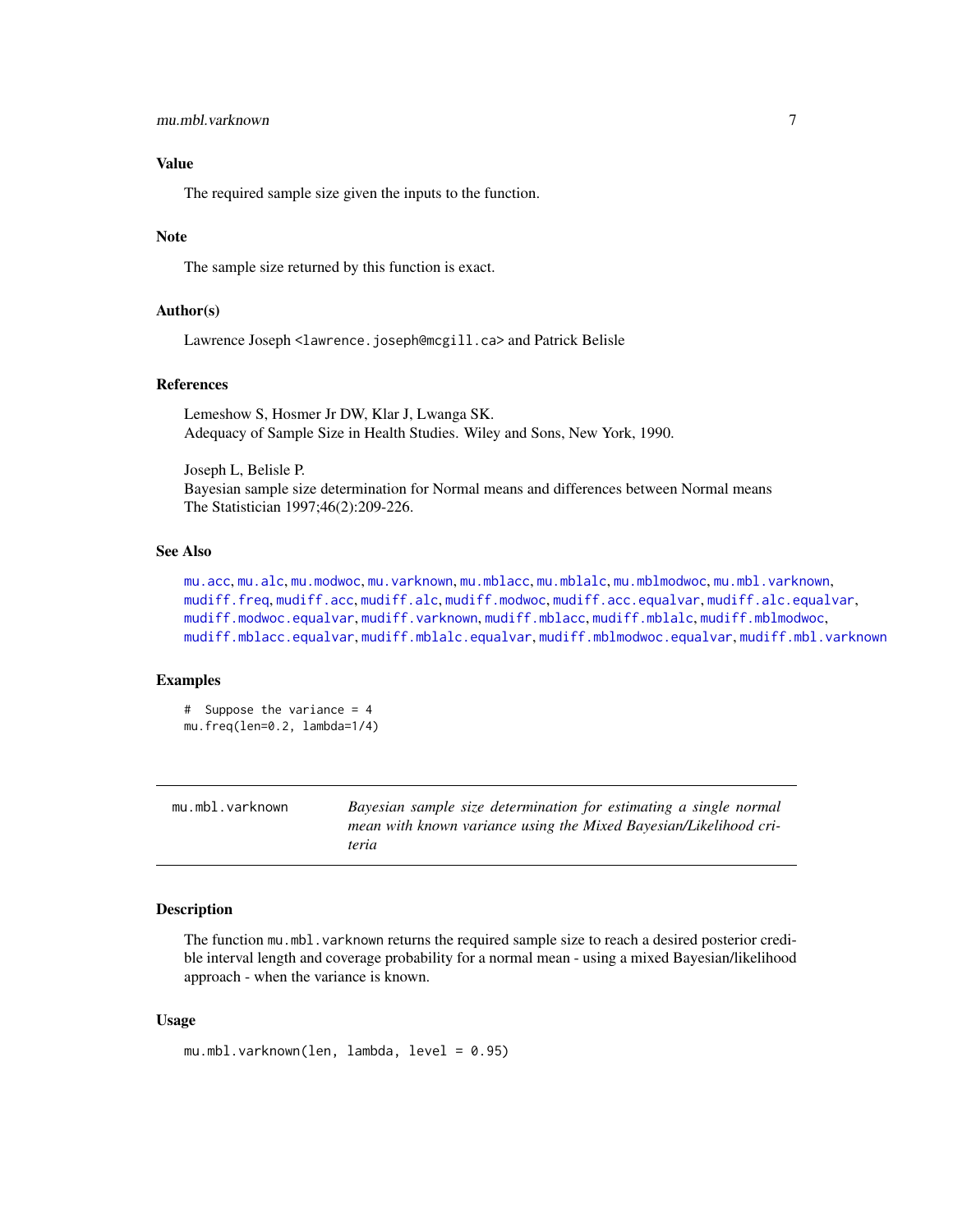# <span id="page-6-0"></span>Value

The required sample size given the inputs to the function.

# Note

The sample size returned by this function is exact.

### Author(s)

Lawrence Joseph <lawrence.joseph@mcgill.ca> and Patrick Belisle

#### References

Lemeshow S, Hosmer Jr DW, Klar J, Lwanga SK. Adequacy of Sample Size in Health Studies. Wiley and Sons, New York, 1990.

Joseph L, Belisle P. Bayesian sample size determination for Normal means and differences between Normal means The Statistician 1997;46(2):209-226.

# See Also

[mu.acc](#page-2-1), [mu.alc](#page-4-1), [mu.modwoc](#page-13-1), [mu.varknown](#page-14-1), [mu.mblacc](#page-8-1), [mu.mblalc](#page-9-1), [mu.mblmodwoc](#page-11-1), [mu.mbl.varknown](#page-6-1), [mudiff.freq](#page-23-1), [mudiff.acc](#page-16-1), [mudiff.alc](#page-19-1), [mudiff.modwoc](#page-37-1), [mudiff.acc.equalvar](#page-18-1), [mudiff.alc.equalvar](#page-21-1), [mudiff.modwoc.equalvar](#page-39-1), [mudiff.varknown](#page-41-1), [mudiff.mblacc](#page-26-1), [mudiff.mblalc](#page-29-1), [mudiff.mblmodwoc](#page-33-1), [mudiff.mblacc.equalvar](#page-28-1), [mudiff.mblalc.equalvar](#page-31-1), [mudiff.mblmodwoc.equalvar](#page-35-1), [mudiff.mbl.varknown](#page-24-1)

#### Examples

```
# Suppose the variance = 4
mu.freq(len=0.2, lambda=1/4)
```
<span id="page-6-1"></span>

| mu.mbl.varknown | Bayesian sample size determination for estimating a single normal |
|-----------------|-------------------------------------------------------------------|
|                 | mean with known variance using the Mixed Bayesian/Likelihood cri- |
|                 | teria                                                             |

# Description

The function mu.mbl.varknown returns the required sample size to reach a desired posterior credible interval length and coverage probability for a normal mean - using a mixed Bayesian/likelihood approach - when the variance is known.

# Usage

```
mu.mbl.varknown(len, lambda, level = 0.95)
```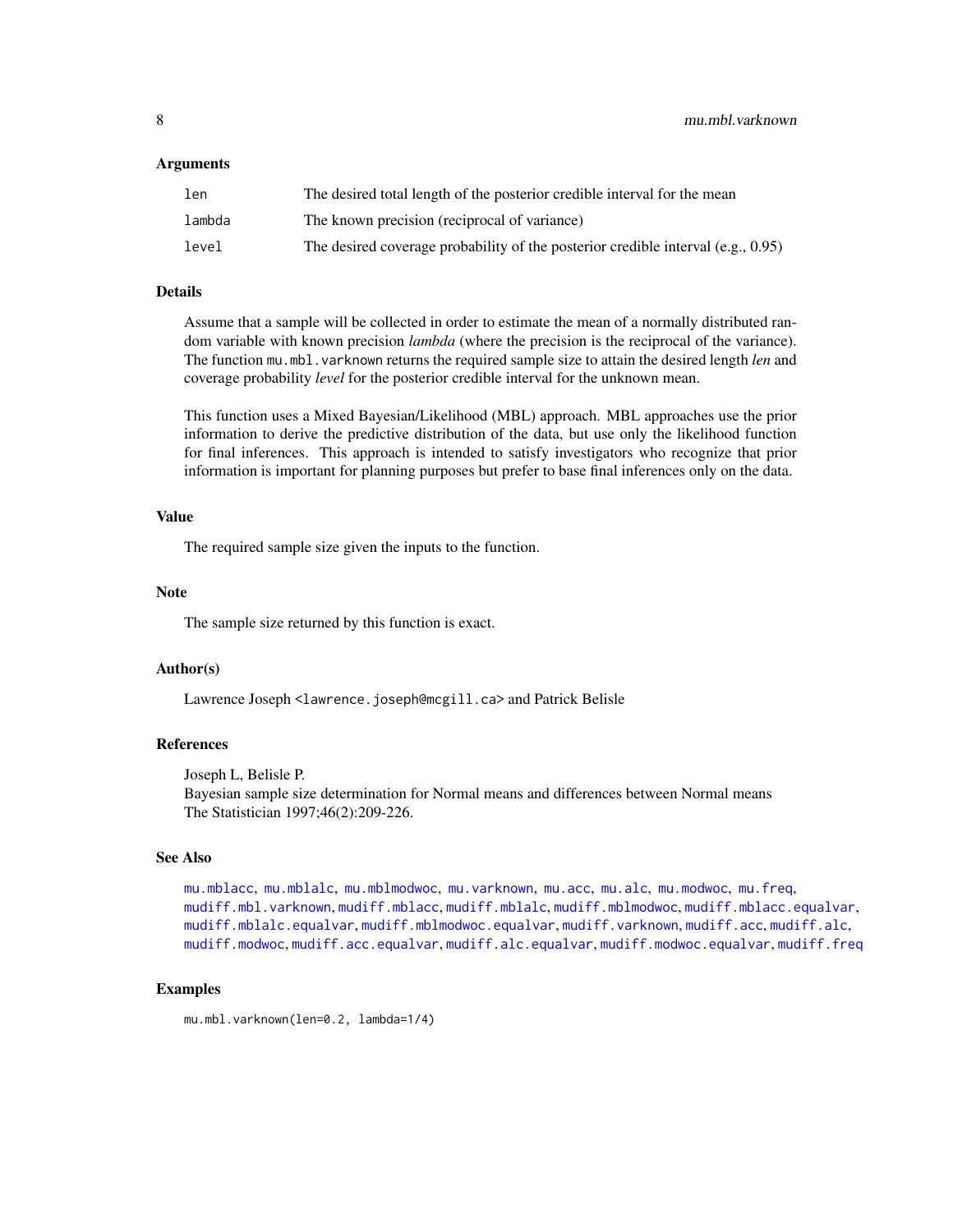#### <span id="page-7-0"></span>Arguments

| len    | The desired total length of the posterior credible interval for the mean            |
|--------|-------------------------------------------------------------------------------------|
| lambda | The known precision (reciprocal of variance)                                        |
| level  | The desired coverage probability of the posterior credible interval (e.g., $0.95$ ) |

# Details

Assume that a sample will be collected in order to estimate the mean of a normally distributed random variable with known precision *lambda* (where the precision is the reciprocal of the variance). The function mu.mbl.varknown returns the required sample size to attain the desired length *len* and coverage probability *level* for the posterior credible interval for the unknown mean.

This function uses a Mixed Bayesian/Likelihood (MBL) approach. MBL approaches use the prior information to derive the predictive distribution of the data, but use only the likelihood function for final inferences. This approach is intended to satisfy investigators who recognize that prior information is important for planning purposes but prefer to base final inferences only on the data.

#### Value

The required sample size given the inputs to the function.

#### **Note**

The sample size returned by this function is exact.

# Author(s)

Lawrence Joseph <lawrence.joseph@mcgill.ca> and Patrick Belisle

# References

Joseph L, Belisle P.

Bayesian sample size determination for Normal means and differences between Normal means The Statistician 1997;46(2):209-226.

# See Also

[mu.mblacc](#page-8-1), [mu.mblalc](#page-9-1), [mu.mblmodwoc](#page-11-1), [mu.varknown](#page-14-1), [mu.acc](#page-2-1), [mu.alc](#page-4-1), [mu.modwoc](#page-13-1), [mu.freq](#page-5-1), [mudiff.mbl.varknown](#page-24-1), [mudiff.mblacc](#page-26-1), [mudiff.mblalc](#page-29-1), [mudiff.mblmodwoc](#page-33-1), [mudiff.mblacc.equalvar](#page-28-1), [mudiff.mblalc.equalvar](#page-31-1), [mudiff.mblmodwoc.equalvar](#page-35-1), [mudiff.varknown](#page-41-1), [mudiff.acc](#page-16-1), [mudiff.alc](#page-19-1), [mudiff.modwoc](#page-37-1), [mudiff.acc.equalvar](#page-18-1), [mudiff.alc.equalvar](#page-21-1), [mudiff.modwoc.equalvar](#page-39-1), [mudiff.freq](#page-23-1)

#### Examples

mu.mbl.varknown(len=0.2, lambda=1/4)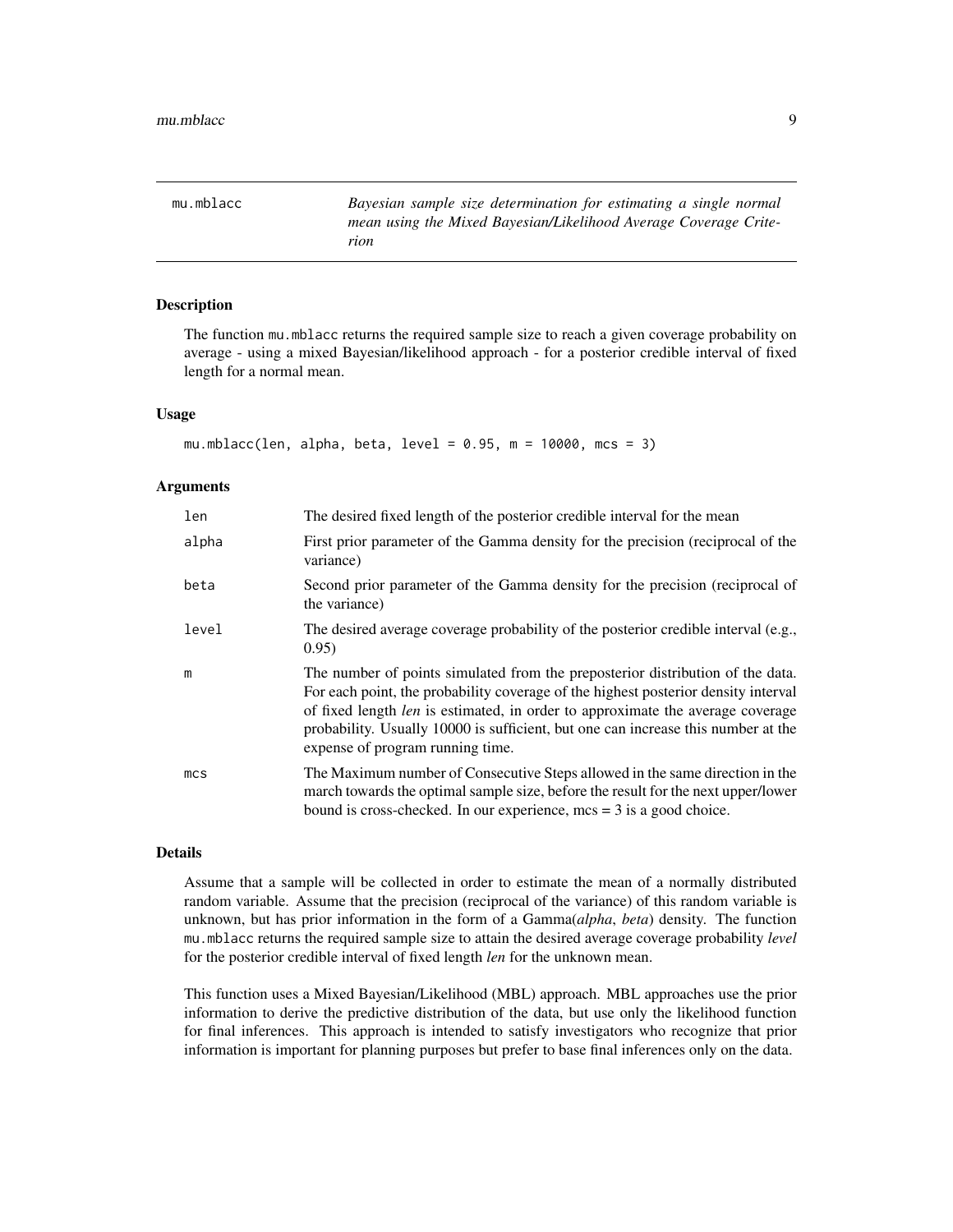<span id="page-8-1"></span><span id="page-8-0"></span>mu.mblacc *Bayesian sample size determination for estimating a single normal mean using the Mixed Bayesian/Likelihood Average Coverage Criterion*

# Description

The function mu.mblacc returns the required sample size to reach a given coverage probability on average - using a mixed Bayesian/likelihood approach - for a posterior credible interval of fixed length for a normal mean.

# Usage

```
mu.mblacc(len, alpha, beta, level = 0.95, m = 10000, mcs = 3)
```
# Arguments

| len             | The desired fixed length of the posterior credible interval for the mean                                                                                                                                                                                                                                                                                                               |
|-----------------|----------------------------------------------------------------------------------------------------------------------------------------------------------------------------------------------------------------------------------------------------------------------------------------------------------------------------------------------------------------------------------------|
| alpha           | First prior parameter of the Gamma density for the precision (reciprocal of the<br>variance)                                                                                                                                                                                                                                                                                           |
| beta            | Second prior parameter of the Gamma density for the precision (reciprocal of<br>the variance)                                                                                                                                                                                                                                                                                          |
| level           | The desired average coverage probability of the posterior credible interval (e.g.,<br>0.95)                                                                                                                                                                                                                                                                                            |
| m               | The number of points simulated from the preposterior distribution of the data.<br>For each point, the probability coverage of the highest posterior density interval<br>of fixed length <i>len</i> is estimated, in order to approximate the average coverage<br>probability. Usually 10000 is sufficient, but one can increase this number at the<br>expense of program running time. |
| mc <sub>S</sub> | The Maximum number of Consecutive Steps allowed in the same direction in the<br>march towards the optimal sample size, before the result for the next upper/lower<br>bound is cross-checked. In our experience, $mcs = 3$ is a good choice.                                                                                                                                            |

# Details

Assume that a sample will be collected in order to estimate the mean of a normally distributed random variable. Assume that the precision (reciprocal of the variance) of this random variable is unknown, but has prior information in the form of a Gamma(*alpha*, *beta*) density. The function mu.mblacc returns the required sample size to attain the desired average coverage probability *level* for the posterior credible interval of fixed length *len* for the unknown mean.

This function uses a Mixed Bayesian/Likelihood (MBL) approach. MBL approaches use the prior information to derive the predictive distribution of the data, but use only the likelihood function for final inferences. This approach is intended to satisfy investigators who recognize that prior information is important for planning purposes but prefer to base final inferences only on the data.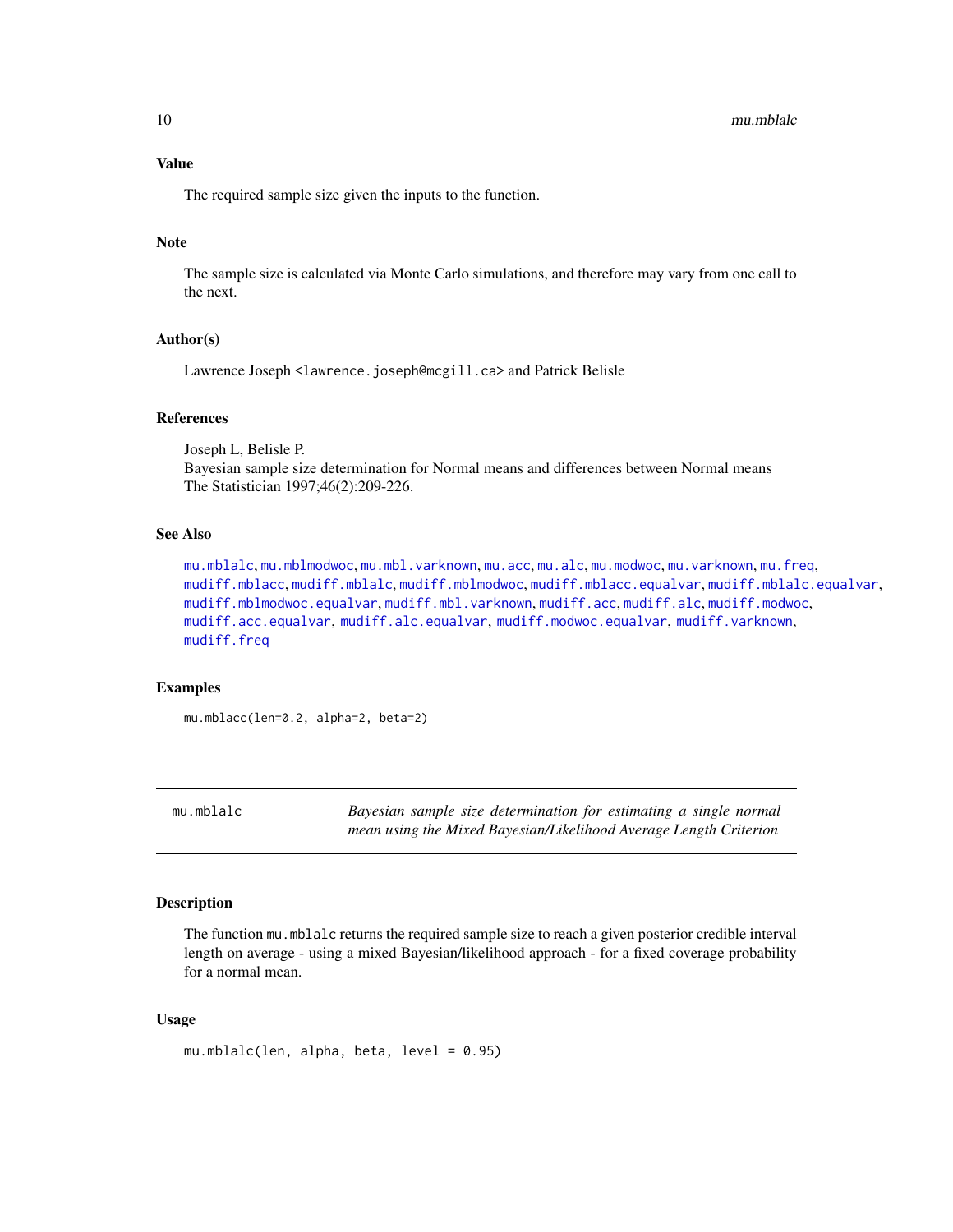<span id="page-9-0"></span>10 mu.mblalc

# Value

The required sample size given the inputs to the function.

#### Note

The sample size is calculated via Monte Carlo simulations, and therefore may vary from one call to the next.

# Author(s)

Lawrence Joseph <lawrence.joseph@mcgill.ca> and Patrick Belisle

#### References

Joseph L, Belisle P. Bayesian sample size determination for Normal means and differences between Normal means The Statistician 1997;46(2):209-226.

# See Also

[mu.mblalc](#page-9-1), [mu.mblmodwoc](#page-11-1), [mu.mbl.varknown](#page-6-1), [mu.acc](#page-2-1), [mu.alc](#page-4-1), [mu.modwoc](#page-13-1), [mu.varknown](#page-14-1), [mu.freq](#page-5-1), [mudiff.mblacc](#page-26-1), [mudiff.mblalc](#page-29-1), [mudiff.mblmodwoc](#page-33-1), [mudiff.mblacc.equalvar](#page-28-1), [mudiff.mblalc.equalvar](#page-31-1), [mudiff.mblmodwoc.equalvar](#page-35-1), [mudiff.mbl.varknown](#page-24-1), [mudiff.acc](#page-16-1), [mudiff.alc](#page-19-1), [mudiff.modwoc](#page-37-1), [mudiff.acc.equalvar](#page-18-1), [mudiff.alc.equalvar](#page-21-1), [mudiff.modwoc.equalvar](#page-39-1), [mudiff.varknown](#page-41-1), [mudiff.freq](#page-23-1)

# Examples

mu.mblacc(len=0.2, alpha=2, beta=2)

<span id="page-9-1"></span>mu.mblalc *Bayesian sample size determination for estimating a single normal mean using the Mixed Bayesian/Likelihood Average Length Criterion*

# Description

The function mu.mblalc returns the required sample size to reach a given posterior credible interval length on average - using a mixed Bayesian/likelihood approach - for a fixed coverage probability for a normal mean.

# Usage

mu.mblalc(len, alpha, beta, level = 0.95)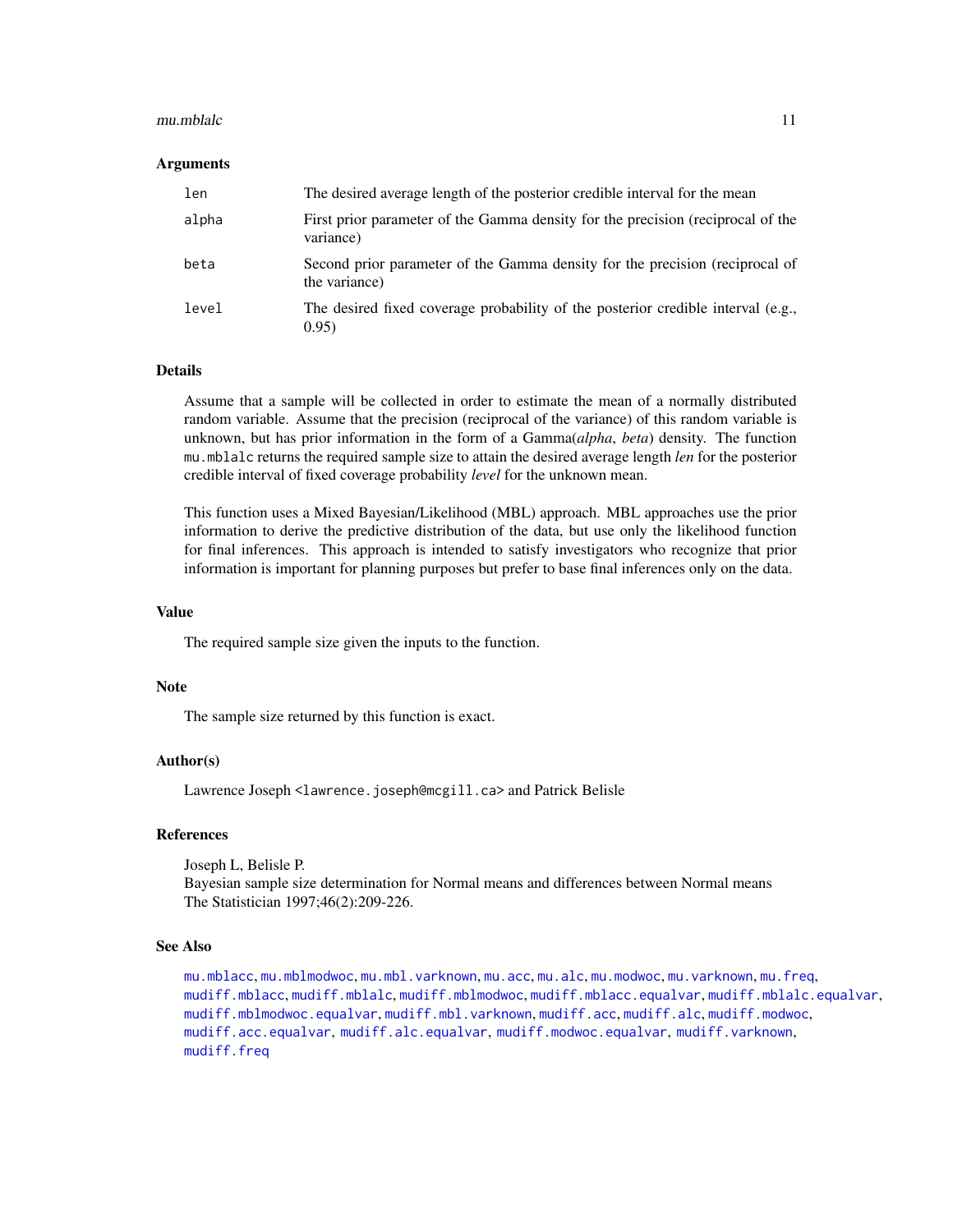#### <span id="page-10-0"></span>mu.mblalc 11

# Arguments

| len   | The desired average length of the posterior credible interval for the mean                    |
|-------|-----------------------------------------------------------------------------------------------|
| alpha | First prior parameter of the Gamma density for the precision (reciprocal of the<br>variance)  |
| beta  | Second prior parameter of the Gamma density for the precision (reciprocal of<br>the variance) |
| level | The desired fixed coverage probability of the posterior credible interval (e.g.,<br>0.95)     |

# Details

Assume that a sample will be collected in order to estimate the mean of a normally distributed random variable. Assume that the precision (reciprocal of the variance) of this random variable is unknown, but has prior information in the form of a Gamma(*alpha*, *beta*) density. The function mu.mblalc returns the required sample size to attain the desired average length *len* for the posterior credible interval of fixed coverage probability *level* for the unknown mean.

This function uses a Mixed Bayesian/Likelihood (MBL) approach. MBL approaches use the prior information to derive the predictive distribution of the data, but use only the likelihood function for final inferences. This approach is intended to satisfy investigators who recognize that prior information is important for planning purposes but prefer to base final inferences only on the data.

#### Value

The required sample size given the inputs to the function.

#### **Note**

The sample size returned by this function is exact.

# Author(s)

Lawrence Joseph <lawrence.joseph@mcgill.ca> and Patrick Belisle

# References

Joseph L, Belisle P. Bayesian sample size determination for Normal means and differences between Normal means The Statistician 1997;46(2):209-226.

# See Also

```
mu.mblacc, mu.mblmodwoc, mu.mbl.varknown, mu.acc, mu.alc, mu.modwoc, mu.varknown, mu.freq,
mudiff.mblacc, mudiff.mblalc, mudiff.mblmodwoc, mudiff.mblacc.equalvar, mudiff.mblalc.equalvar,
mudiff.mblmodwoc.equalvar, mudiff.mbl.varknown, mudiff.acc, mudiff.alc, mudiff.modwoc,
mudiff.acc.equalvar, mudiff.alc.equalvar, mudiff.modwoc.equalvar, mudiff.varknown,
mudiff.freq
```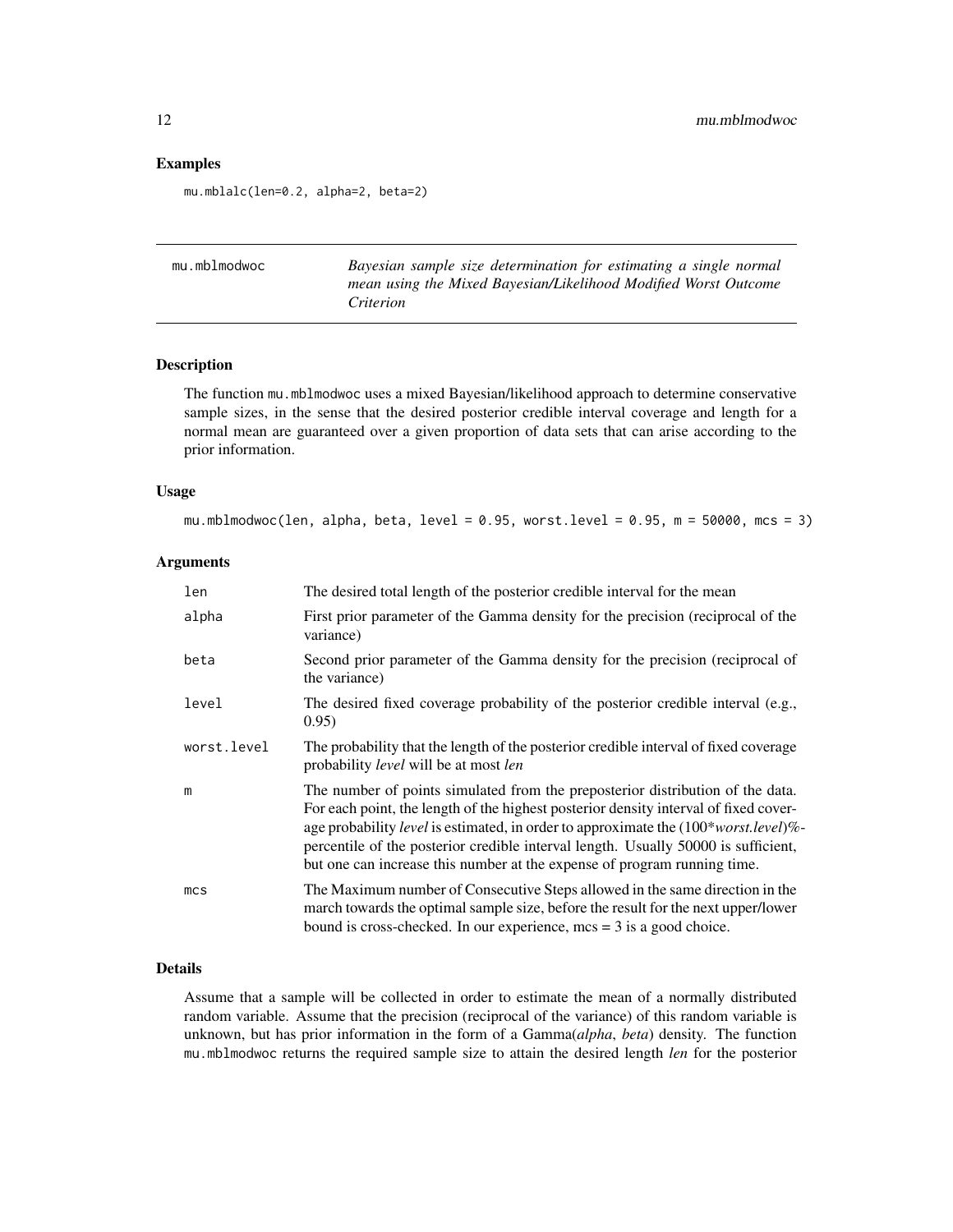# Examples

mu.mblalc(len=0.2, alpha=2, beta=2)

<span id="page-11-1"></span>mu.mblmodwoc *Bayesian sample size determination for estimating a single normal mean using the Mixed Bayesian/Likelihood Modified Worst Outcome Criterion*

# Description

The function mu.mblmodwoc uses a mixed Bayesian/likelihood approach to determine conservative sample sizes, in the sense that the desired posterior credible interval coverage and length for a normal mean are guaranteed over a given proportion of data sets that can arise according to the prior information.

# Usage

mu.mblmodwoc(len, alpha, beta, level = 0.95, worst.level = 0.95, m = 50000, mcs = 3)

# Arguments

| len             | The desired total length of the posterior credible interval for the mean                                                                                                                                                                                                                                                                                                                                                        |
|-----------------|---------------------------------------------------------------------------------------------------------------------------------------------------------------------------------------------------------------------------------------------------------------------------------------------------------------------------------------------------------------------------------------------------------------------------------|
| alpha           | First prior parameter of the Gamma density for the precision (reciprocal of the<br>variance)                                                                                                                                                                                                                                                                                                                                    |
| beta            | Second prior parameter of the Gamma density for the precision (reciprocal of<br>the variance)                                                                                                                                                                                                                                                                                                                                   |
| level           | The desired fixed coverage probability of the posterior credible interval (e.g.,<br>0.95)                                                                                                                                                                                                                                                                                                                                       |
| worst.level     | The probability that the length of the posterior credible interval of fixed coverage<br>probability <i>level</i> will be at most <i>len</i>                                                                                                                                                                                                                                                                                     |
| m               | The number of points simulated from the preposterior distribution of the data.<br>For each point, the length of the highest posterior density interval of fixed cover-<br>age probability level is estimated, in order to approximate the (100*worst.level)%-<br>percentile of the posterior credible interval length. Usually 50000 is sufficient,<br>but one can increase this number at the expense of program running time. |
| mc <sub>S</sub> | The Maximum number of Consecutive Steps allowed in the same direction in the<br>march towards the optimal sample size, before the result for the next upper/lower<br>bound is cross-checked. In our experience, $mcs = 3$ is a good choice.                                                                                                                                                                                     |

# Details

Assume that a sample will be collected in order to estimate the mean of a normally distributed random variable. Assume that the precision (reciprocal of the variance) of this random variable is unknown, but has prior information in the form of a Gamma(*alpha*, *beta*) density. The function mu.mblmodwoc returns the required sample size to attain the desired length *len* for the posterior

<span id="page-11-0"></span>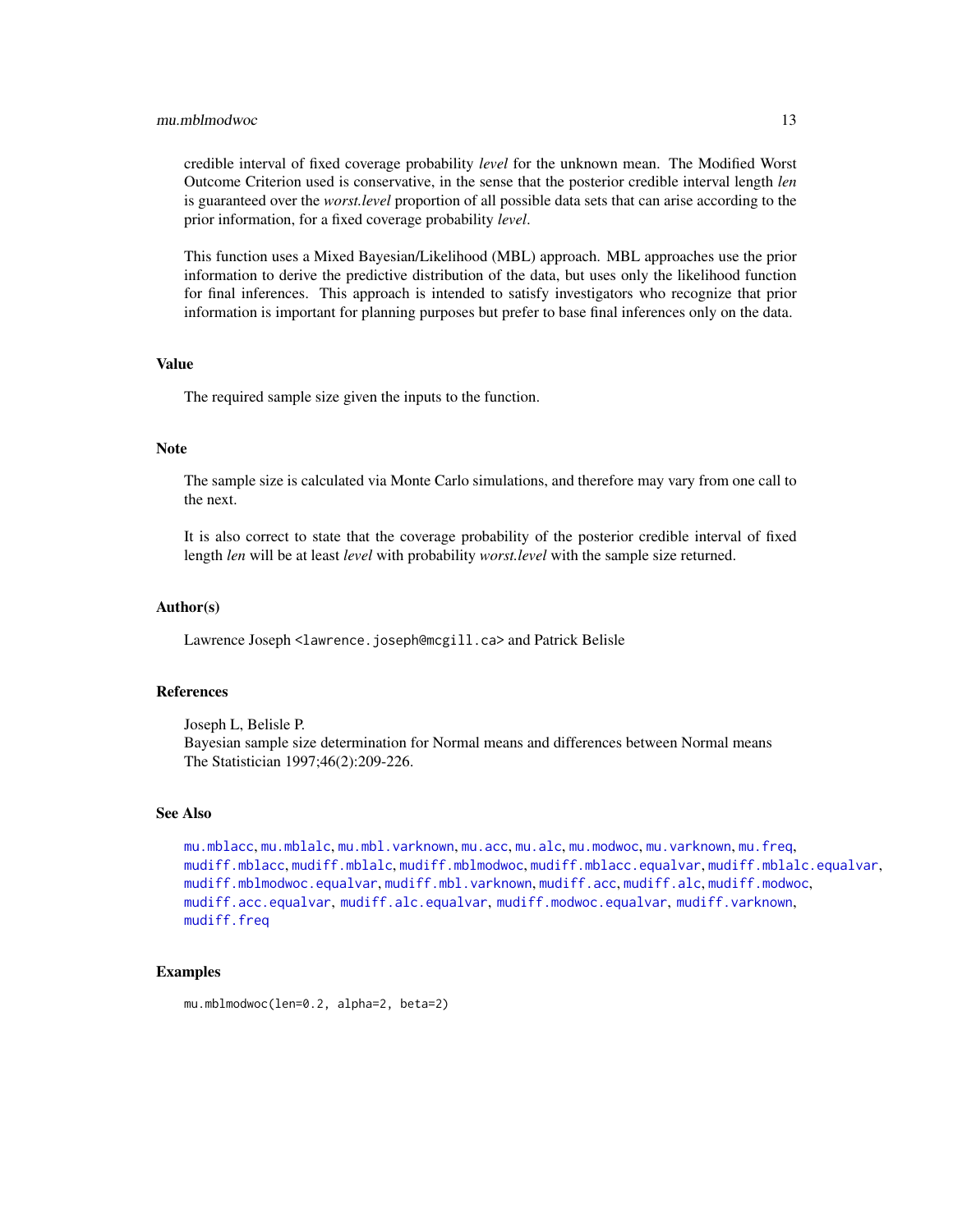#### <span id="page-12-0"></span>mu.mblmodwoc 13

credible interval of fixed coverage probability *level* for the unknown mean. The Modified Worst Outcome Criterion used is conservative, in the sense that the posterior credible interval length *len* is guaranteed over the *worst.level* proportion of all possible data sets that can arise according to the prior information, for a fixed coverage probability *level*.

This function uses a Mixed Bayesian/Likelihood (MBL) approach. MBL approaches use the prior information to derive the predictive distribution of the data, but uses only the likelihood function for final inferences. This approach is intended to satisfy investigators who recognize that prior information is important for planning purposes but prefer to base final inferences only on the data.

# Value

The required sample size given the inputs to the function.

# Note

The sample size is calculated via Monte Carlo simulations, and therefore may vary from one call to the next.

It is also correct to state that the coverage probability of the posterior credible interval of fixed length *len* will be at least *level* with probability *worst.level* with the sample size returned.

#### Author(s)

Lawrence Joseph <lawrence.joseph@mcgill.ca> and Patrick Belisle

# References

Joseph L, Belisle P. Bayesian sample size determination for Normal means and differences between Normal means The Statistician 1997;46(2):209-226.

# See Also

```
mu.mblacc, mu.mblalc, mu.mbl.varknown, mu.acc, mu.alc, mu.modwoc, mu.varknown, mu.freq,
mudiff.mblacc, mudiff.mblalc, mudiff.mblmodwoc, mudiff.mblacc.equalvar, mudiff.mblalc.equalvar,
mudiff.mblmodwoc.equalvar, mudiff.mbl.varknown, mudiff.acc, mudiff.alc, mudiff.modwoc,
mudiff.acc.equalvar, mudiff.alc.equalvar, mudiff.modwoc.equalvar, mudiff.varknown,
mudiff.freq
```
# Examples

mu.mblmodwoc(len=0.2, alpha=2, beta=2)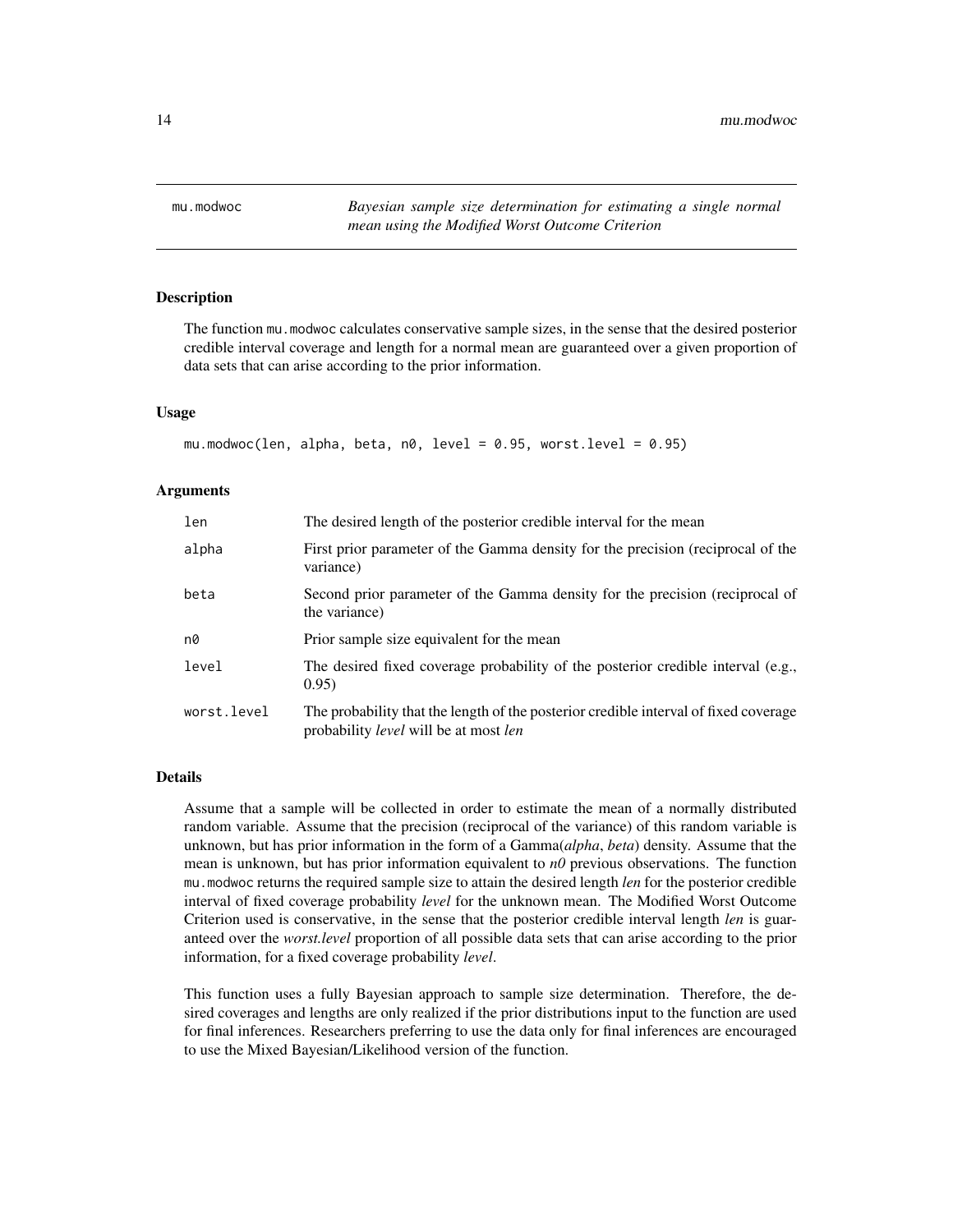<span id="page-13-1"></span><span id="page-13-0"></span>

# Description

The function mu.modwoc calculates conservative sample sizes, in the sense that the desired posterior credible interval coverage and length for a normal mean are guaranteed over a given proportion of data sets that can arise according to the prior information.

#### Usage

```
mu.modwoc(len, alpha, beta, n0, level = 0.95, worst. level = 0.95)
```
# Arguments

| len         | The desired length of the posterior credible interval for the mean                                                                          |
|-------------|---------------------------------------------------------------------------------------------------------------------------------------------|
| alpha       | First prior parameter of the Gamma density for the precision (reciprocal of the<br>variance)                                                |
| beta        | Second prior parameter of the Gamma density for the precision (reciprocal of<br>the variance)                                               |
| n0          | Prior sample size equivalent for the mean                                                                                                   |
| level       | The desired fixed coverage probability of the posterior credible interval (e.g.,<br>0.95)                                                   |
| worst.level | The probability that the length of the posterior credible interval of fixed coverage<br>probability <i>level</i> will be at most <i>len</i> |

# Details

Assume that a sample will be collected in order to estimate the mean of a normally distributed random variable. Assume that the precision (reciprocal of the variance) of this random variable is unknown, but has prior information in the form of a Gamma(*alpha*, *beta*) density. Assume that the mean is unknown, but has prior information equivalent to *n0* previous observations. The function mu.modwoc returns the required sample size to attain the desired length *len* for the posterior credible interval of fixed coverage probability *level* for the unknown mean. The Modified Worst Outcome Criterion used is conservative, in the sense that the posterior credible interval length *len* is guaranteed over the *worst.level* proportion of all possible data sets that can arise according to the prior information, for a fixed coverage probability *level*.

This function uses a fully Bayesian approach to sample size determination. Therefore, the desired coverages and lengths are only realized if the prior distributions input to the function are used for final inferences. Researchers preferring to use the data only for final inferences are encouraged to use the Mixed Bayesian/Likelihood version of the function.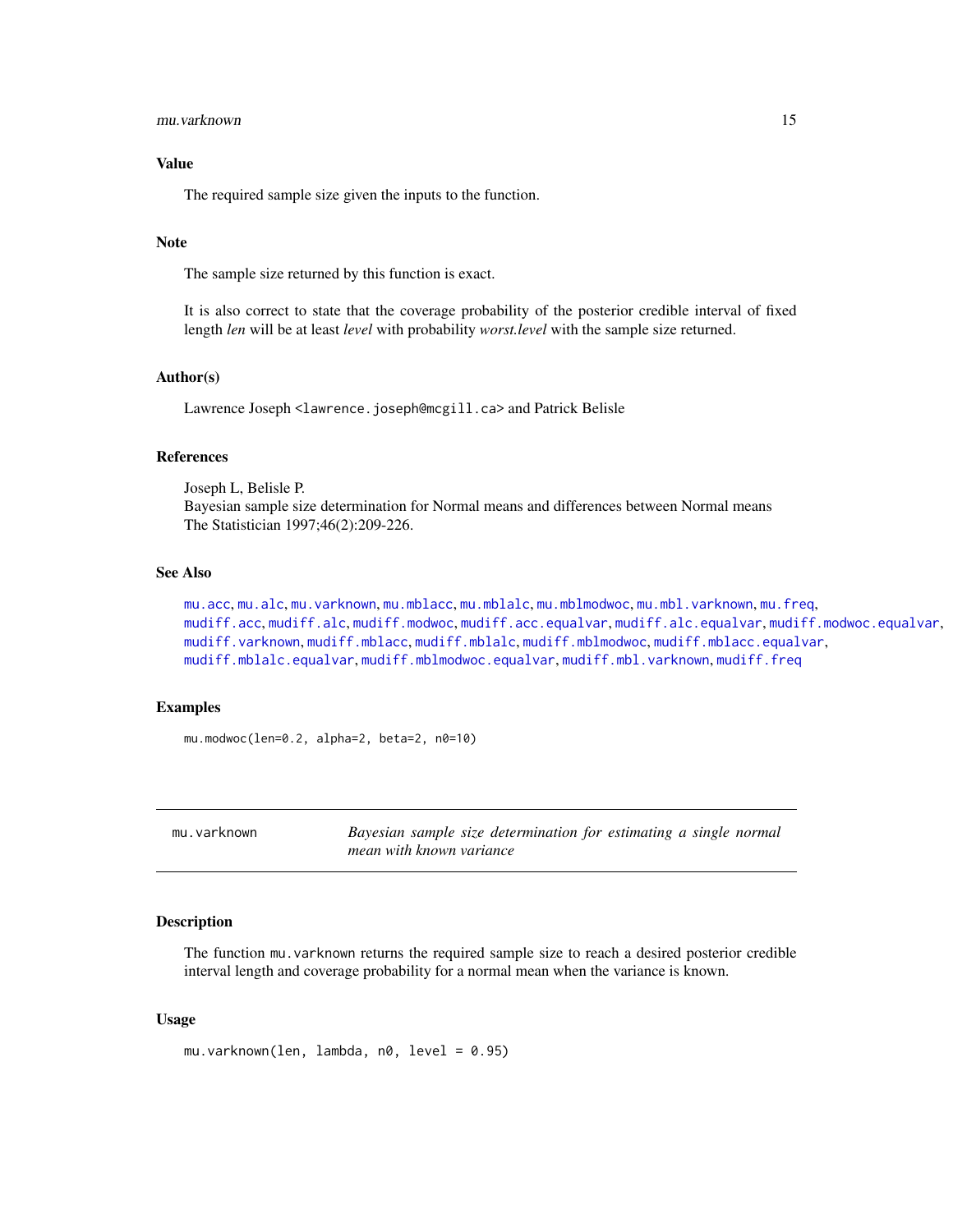#### <span id="page-14-0"></span>mu.varknown 15

# Value

The required sample size given the inputs to the function.

#### **Note**

The sample size returned by this function is exact.

It is also correct to state that the coverage probability of the posterior credible interval of fixed length *len* will be at least *level* with probability *worst.level* with the sample size returned.

# Author(s)

Lawrence Joseph <lawrence.joseph@mcgill.ca> and Patrick Belisle

# References

Joseph L, Belisle P. Bayesian sample size determination for Normal means and differences between Normal means The Statistician 1997;46(2):209-226.

# See Also

[mu.acc](#page-2-1), [mu.alc](#page-4-1), [mu.varknown](#page-14-1), [mu.mblacc](#page-8-1), [mu.mblalc](#page-9-1), [mu.mblmodwoc](#page-11-1), [mu.mbl.varknown](#page-6-1), [mu.freq](#page-5-1), [mudiff.acc](#page-16-1), [mudiff.alc](#page-19-1), [mudiff.modwoc](#page-37-1), [mudiff.acc.equalvar](#page-18-1), [mudiff.alc.equalvar](#page-21-1), [mudiff.modwoc.equalvar](#page-39-1), [mudiff.varknown](#page-41-1), [mudiff.mblacc](#page-26-1), [mudiff.mblalc](#page-29-1), [mudiff.mblmodwoc](#page-33-1), [mudiff.mblacc.equalvar](#page-28-1), [mudiff.mblalc.equalvar](#page-31-1), [mudiff.mblmodwoc.equalvar](#page-35-1), [mudiff.mbl.varknown](#page-24-1), [mudiff.freq](#page-23-1)

# Examples

mu.modwoc(len=0.2, alpha=2, beta=2, n0=10)

<span id="page-14-1"></span>mu.varknown *Bayesian sample size determination for estimating a single normal mean with known variance*

#### Description

The function mu.varknown returns the required sample size to reach a desired posterior credible interval length and coverage probability for a normal mean when the variance is known.

# Usage

mu.varknown(len, lambda, n0, level = 0.95)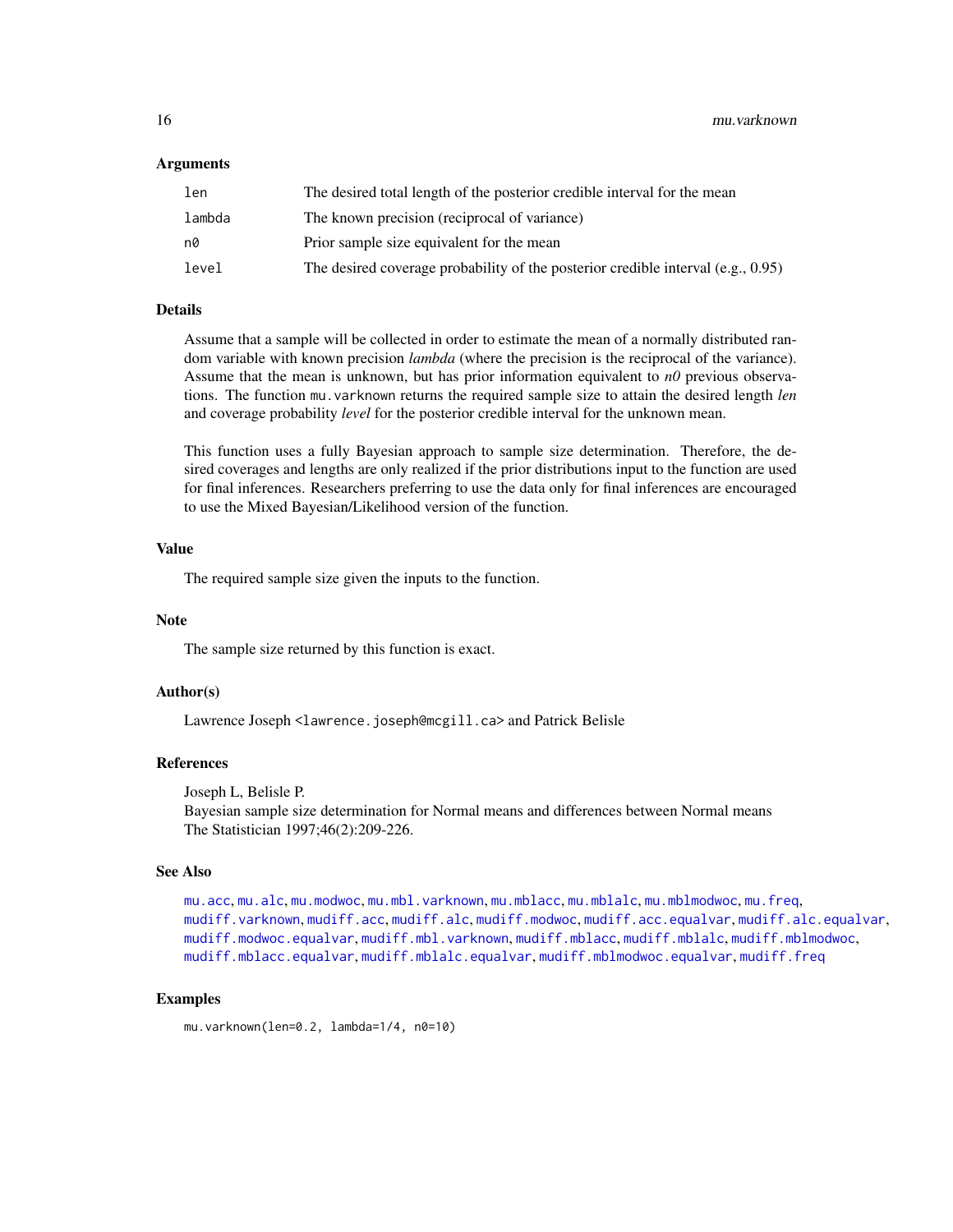# <span id="page-15-0"></span>Arguments

| len    | The desired total length of the posterior credible interval for the mean            |
|--------|-------------------------------------------------------------------------------------|
| lambda | The known precision (reciprocal of variance)                                        |
| n0     | Prior sample size equivalent for the mean                                           |
| level  | The desired coverage probability of the posterior credible interval (e.g., $0.95$ ) |

# Details

Assume that a sample will be collected in order to estimate the mean of a normally distributed random variable with known precision *lambda* (where the precision is the reciprocal of the variance). Assume that the mean is unknown, but has prior information equivalent to *n0* previous observations. The function mu.varknown returns the required sample size to attain the desired length *len* and coverage probability *level* for the posterior credible interval for the unknown mean.

This function uses a fully Bayesian approach to sample size determination. Therefore, the desired coverages and lengths are only realized if the prior distributions input to the function are used for final inferences. Researchers preferring to use the data only for final inferences are encouraged to use the Mixed Bayesian/Likelihood version of the function.

# Value

The required sample size given the inputs to the function.

#### **Note**

The sample size returned by this function is exact.

# Author(s)

Lawrence Joseph <lawrence.joseph@mcgill.ca> and Patrick Belisle

# References

Joseph L, Belisle P.

Bayesian sample size determination for Normal means and differences between Normal means The Statistician 1997;46(2):209-226.

# See Also

```
mu.acc, mu.alc, mu.modwoc, mu.mbl.varknown, mu.mblacc, mu.mblalc, mu.mblmodwoc, mu.freq,
mudiff.varknown, mudiff.acc, mudiff.alc, mudiff.modwoc, mudiff.acc.equalvar, mudiff.alc.equalvar,
mudiff.modwoc.equalvar, mudiff.mbl.varknown, mudiff.mblacc, mudiff.mblalc, mudiff.mblmodwoc,
mudiff.mblacc.equalvar, mudiff.mblalc.equalvar, mudiff.mblmodwoc.equalvar, mudiff.freq
```
# Examples

mu.varknown(len=0.2, lambda=1/4, n0=10)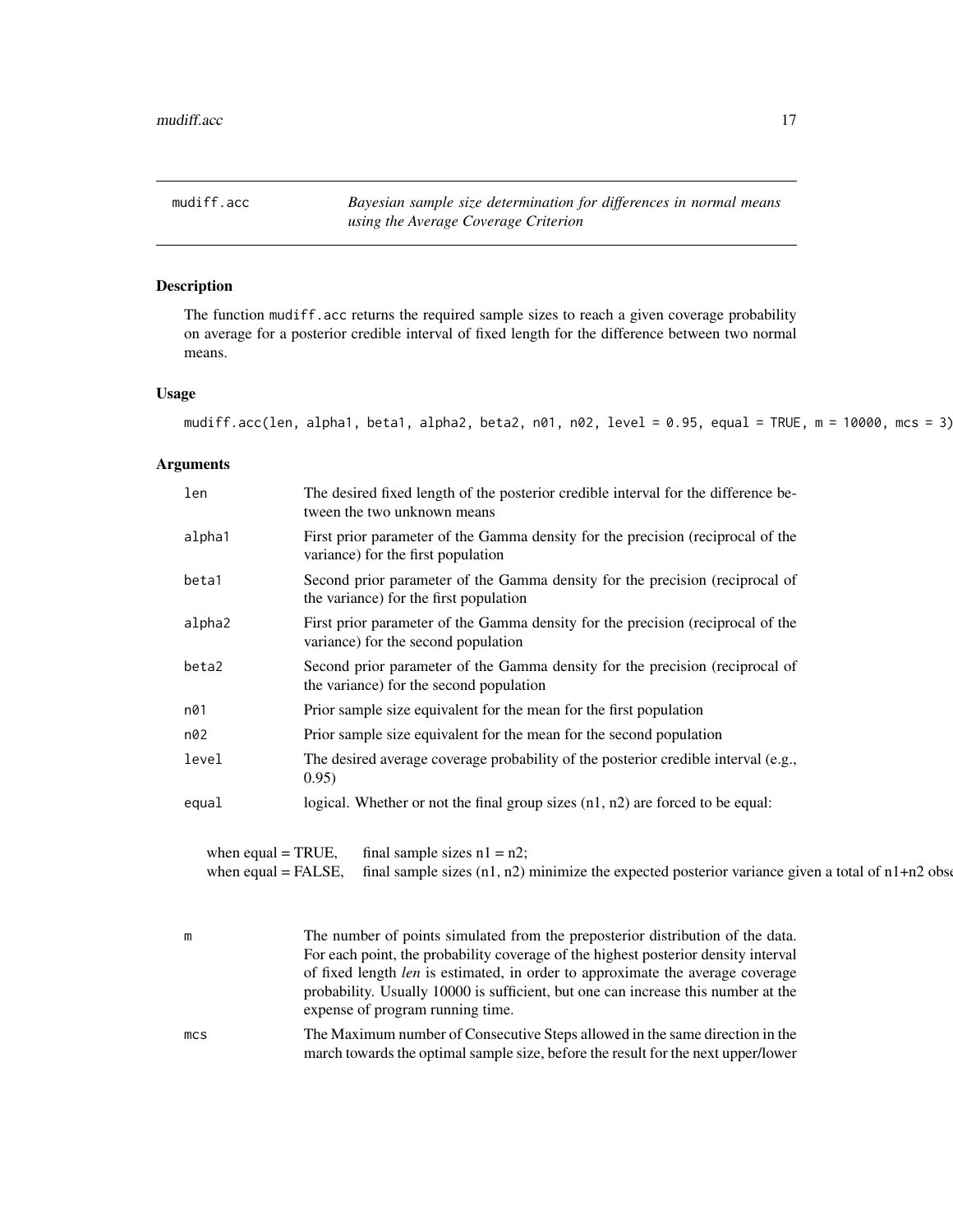<span id="page-16-1"></span><span id="page-16-0"></span>mudiff.acc *Bayesian sample size determination for differences in normal means using the Average Coverage Criterion*

# Description

The function mudiff.acc returns the required sample sizes to reach a given coverage probability on average for a posterior credible interval of fixed length for the difference between two normal means.

# Usage

```
mudiff.acc(len, alpha1, beta1, alpha2, beta2, n01, n02, level = 0.95, equal = TRUE, m = 10000, mcs = 3)
```
# Arguments

| len                   | The desired fixed length of the posterior credible interval for the difference be-<br>tween the two unknown means       |  |
|-----------------------|-------------------------------------------------------------------------------------------------------------------------|--|
| alpha1                | First prior parameter of the Gamma density for the precision (reciprocal of the<br>variance) for the first population   |  |
| beta1                 | Second prior parameter of the Gamma density for the precision (reciprocal of<br>the variance) for the first population  |  |
| alpha2                | First prior parameter of the Gamma density for the precision (reciprocal of the<br>variance) for the second population  |  |
| beta2                 | Second prior parameter of the Gamma density for the precision (reciprocal of<br>the variance) for the second population |  |
| n01                   | Prior sample size equivalent for the mean for the first population                                                      |  |
| n02                   | Prior sample size equivalent for the mean for the second population                                                     |  |
| level                 | The desired average coverage probability of the posterior credible interval (e.g.,<br>0.95)                             |  |
| equal                 | logical. Whether or not the final group sizes $(n1, n2)$ are forced to be equal:                                        |  |
| when equal $=$ TRUE,  | final sample sizes $n1 = n2$ ;                                                                                          |  |
| when equal $=$ FALSE, | final sample sizes $(n1, n2)$ minimize the expected posterior variance given a total of $n1+n2$ obset                   |  |
| m                     | The number of points simulated from the preposterior distribution of the data                                           |  |

| m               | The number of points simulated from the preposterior distribution of the data.        |
|-----------------|---------------------------------------------------------------------------------------|
|                 | For each point, the probability coverage of the highest posterior density interval    |
|                 | of fixed length <i>len</i> is estimated, in order to approximate the average coverage |
|                 | probability. Usually 10000 is sufficient, but one can increase this number at the     |
|                 | expense of program running time.                                                      |
| mc <sub>S</sub> | The Maximum number of Consecutive Steps allowed in the same direction in the          |

march towards the optimal sample size, before the result for the next upper/lower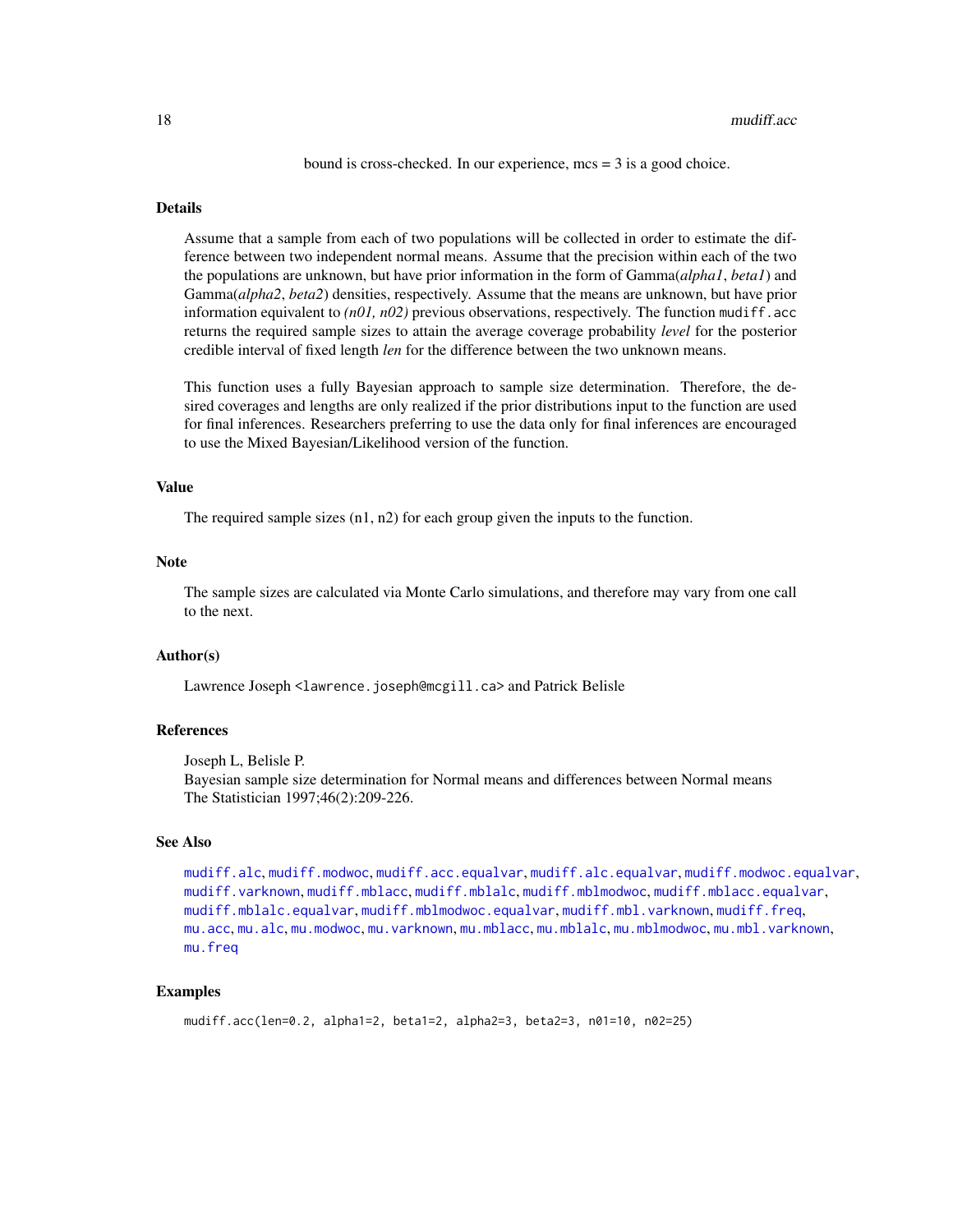bound is cross-checked. In our experience, mcs = 3 is a good choice.

#### <span id="page-17-0"></span>Details

Assume that a sample from each of two populations will be collected in order to estimate the difference between two independent normal means. Assume that the precision within each of the two the populations are unknown, but have prior information in the form of Gamma(*alpha1*, *beta1*) and Gamma(*alpha2*, *beta2*) densities, respectively. Assume that the means are unknown, but have prior information equivalent to  $(n01, n02)$  previous observations, respectively. The function mudiff.acc returns the required sample sizes to attain the average coverage probability *level* for the posterior credible interval of fixed length *len* for the difference between the two unknown means.

This function uses a fully Bayesian approach to sample size determination. Therefore, the desired coverages and lengths are only realized if the prior distributions input to the function are used for final inferences. Researchers preferring to use the data only for final inferences are encouraged to use the Mixed Bayesian/Likelihood version of the function.

#### Value

The required sample sizes (n1, n2) for each group given the inputs to the function.

# **Note**

The sample sizes are calculated via Monte Carlo simulations, and therefore may vary from one call to the next.

#### Author(s)

Lawrence Joseph <lawrence.joseph@mcgill.ca> and Patrick Belisle

#### References

Joseph L, Belisle P.

Bayesian sample size determination for Normal means and differences between Normal means The Statistician 1997;46(2):209-226.

# See Also

```
mudiff.alc, mudiff.modwoc, mudiff.acc.equalvar, mudiff.alc.equalvar, mudiff.modwoc.equalvar,
mudiff.varknown, mudiff.mblacc, mudiff.mblalc, mudiff.mblmodwoc, mudiff.mblacc.equalvar,
mudiff.mblalc.equalvar, mudiff.mblmodwoc.equalvar, mudiff.mbl.varknown, mudiff.freq,
mu.accmu.alcmu.modwocmu.varknownmu.mblaccmu.mblalcmu.mblmodwocmu.mbl.varknown,
mu.freq
```
# Examples

```
mudiff.acc(len=0.2, alpha1=2, beta1=2, alpha2=3, beta2=3, n01=10, n02=25)
```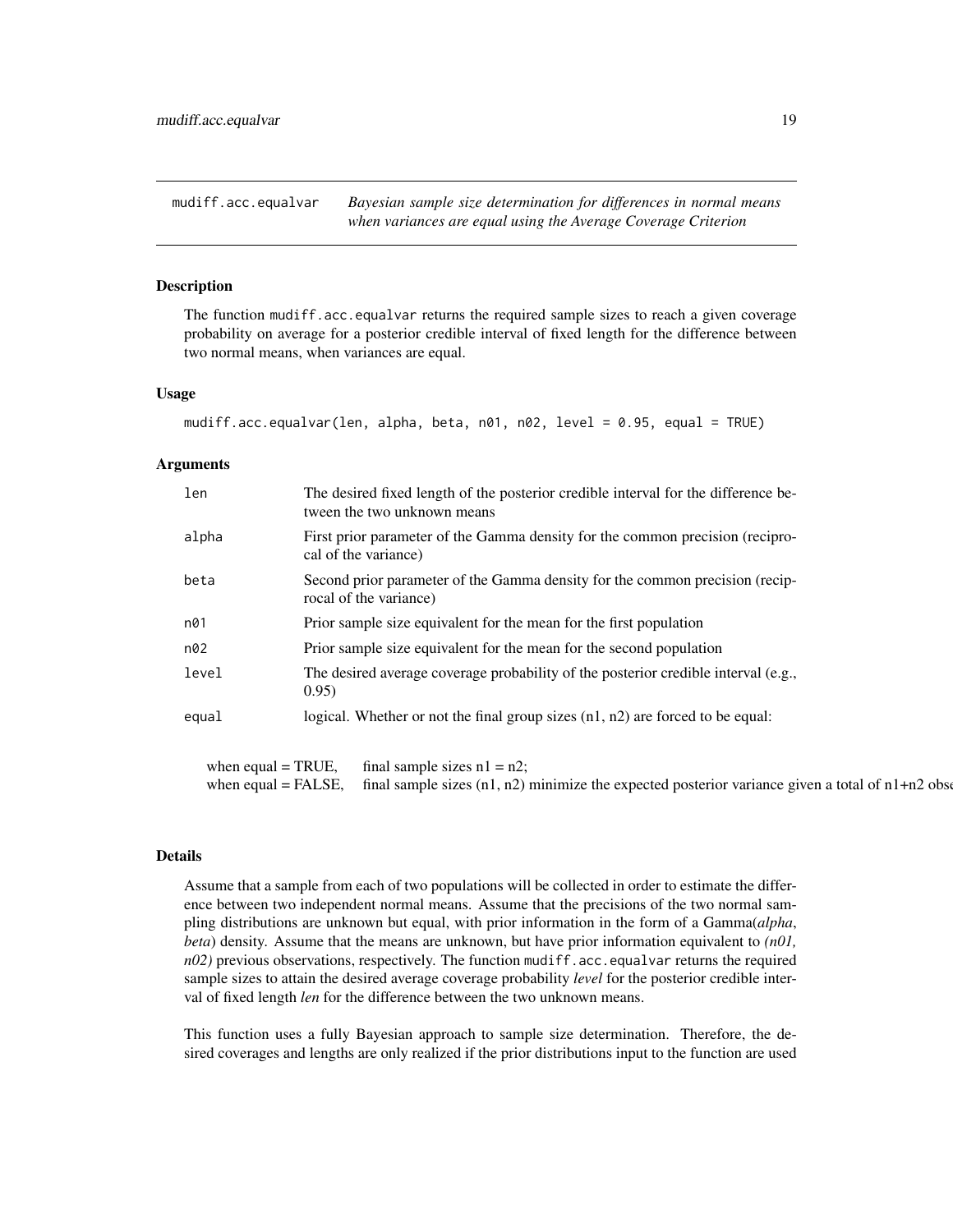<span id="page-18-1"></span><span id="page-18-0"></span>mudiff.acc.equalvar *Bayesian sample size determination for differences in normal means when variances are equal using the Average Coverage Criterion*

# Description

The function mudiff.acc.equalvar returns the required sample sizes to reach a given coverage probability on average for a posterior credible interval of fixed length for the difference between two normal means, when variances are equal.

# Usage

```
mudiff.acc.equalvar(len, alpha, beta, n01, n02, level = 0.95, equal = TRUE)
```
#### Arguments

| len   | The desired fixed length of the posterior credible interval for the difference be-<br>tween the two unknown means |
|-------|-------------------------------------------------------------------------------------------------------------------|
| alpha | First prior parameter of the Gamma density for the common precision (recipro-<br>cal of the variance)             |
| beta  | Second prior parameter of the Gamma density for the common precision (recip-<br>rocal of the variance)            |
| n01   | Prior sample size equivalent for the mean for the first population                                                |
| n02   | Prior sample size equivalent for the mean for the second population                                               |
| level | The desired average coverage probability of the posterior credible interval (e.g.,<br>0.95)                       |
| equal | logical. Whether or not the final group sizes $(n1, n2)$ are forced to be equal:                                  |

when equal = TRUE, final sample sizes  $n1 = n2$ ; when equal = FALSE, final sample sizes  $(n1, n2)$  minimize the expected posterior variance given a total of  $n1+n2$  observations

# Details

Assume that a sample from each of two populations will be collected in order to estimate the difference between two independent normal means. Assume that the precisions of the two normal sampling distributions are unknown but equal, with prior information in the form of a Gamma(*alpha*, *beta*) density. Assume that the means are unknown, but have prior information equivalent to *(n01,*  $n(02)$  previous observations, respectively. The function mudiff.acc.equalvar returns the required sample sizes to attain the desired average coverage probability *level* for the posterior credible interval of fixed length *len* for the difference between the two unknown means.

This function uses a fully Bayesian approach to sample size determination. Therefore, the desired coverages and lengths are only realized if the prior distributions input to the function are used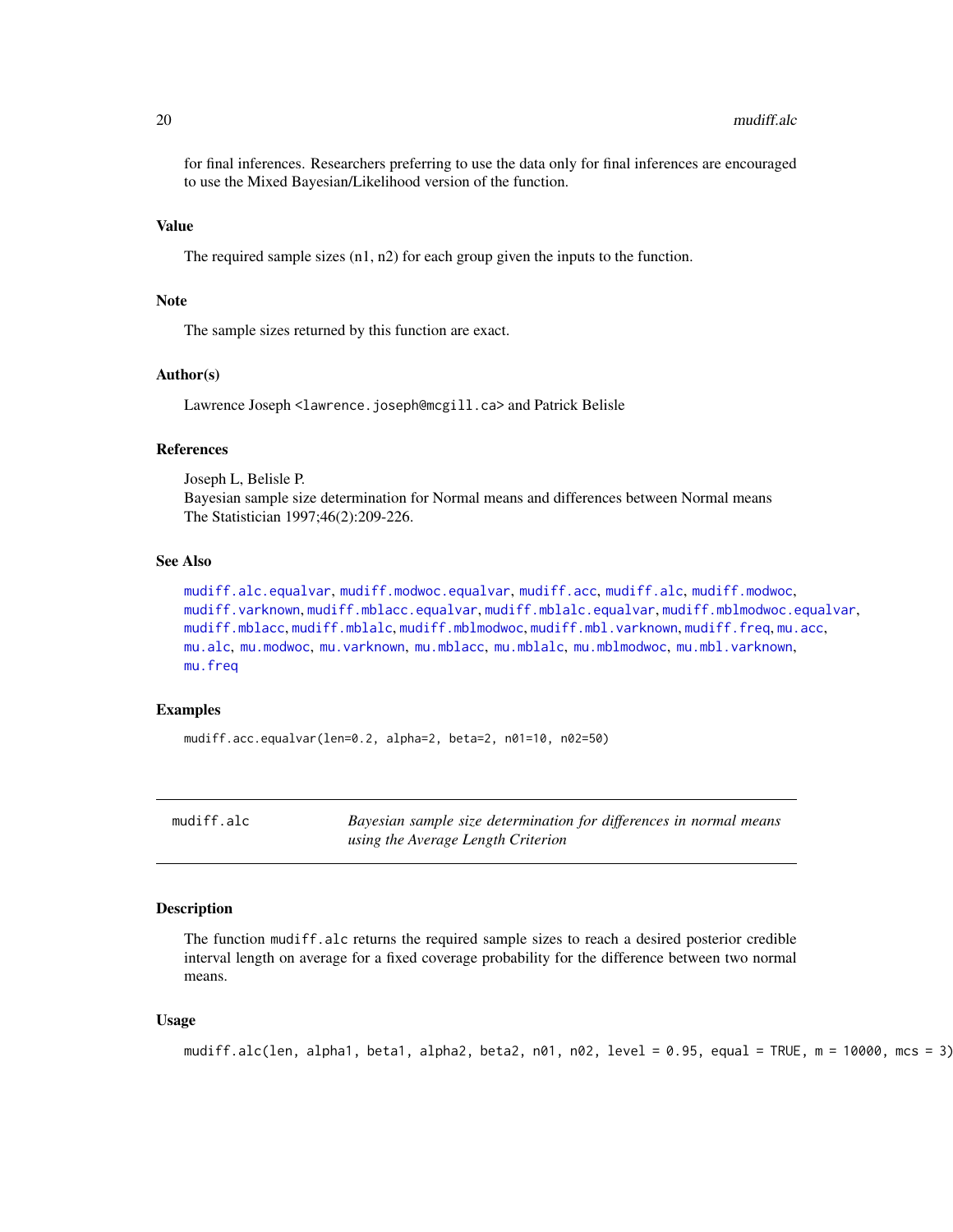<span id="page-19-0"></span>for final inferences. Researchers preferring to use the data only for final inferences are encouraged to use the Mixed Bayesian/Likelihood version of the function.

#### Value

The required sample sizes (n1, n2) for each group given the inputs to the function.

# Note

The sample sizes returned by this function are exact.

# Author(s)

Lawrence Joseph <lawrence.joseph@mcgill.ca> and Patrick Belisle

# **References**

Joseph L, Belisle P. Bayesian sample size determination for Normal means and differences between Normal means The Statistician 1997;46(2):209-226.

# See Also

```
mudiff.alc.equalvar, mudiff.modwoc.equalvar, mudiff.acc, mudiff.alc, mudiff.modwoc,
mudiff.varknown, mudiff.mblacc.equalvar, mudiff.mblalc.equalvar, mudiff.mblmodwoc.equalvar,
mudiff.mblacc, mudiff.mblalc, mudiff.mblmodwoc, mudiff.mbl.varknown, mudiff.freq, mu.acc,
mu.alc, mu.modwoc, mu.varknown, mu.mblacc, mu.mblalc, mu.mblmodwoc, mu.mbl.varknown,
mu.freq
```
# Examples

```
mudiff.acc.equalvar(len=0.2, alpha=2, beta=2, n01=10, n02=50)
```
<span id="page-19-1"></span>mudiff.alc *Bayesian sample size determination for differences in normal means using the Average Length Criterion*

#### **Description**

The function mudiff.alc returns the required sample sizes to reach a desired posterior credible interval length on average for a fixed coverage probability for the difference between two normal means.

#### Usage

```
mudiff.alc(len, alpha1, beta1, alpha2, beta2, n01, n02, level = 0.95, equal = TRUE, m = 10000, mcs = 3)
```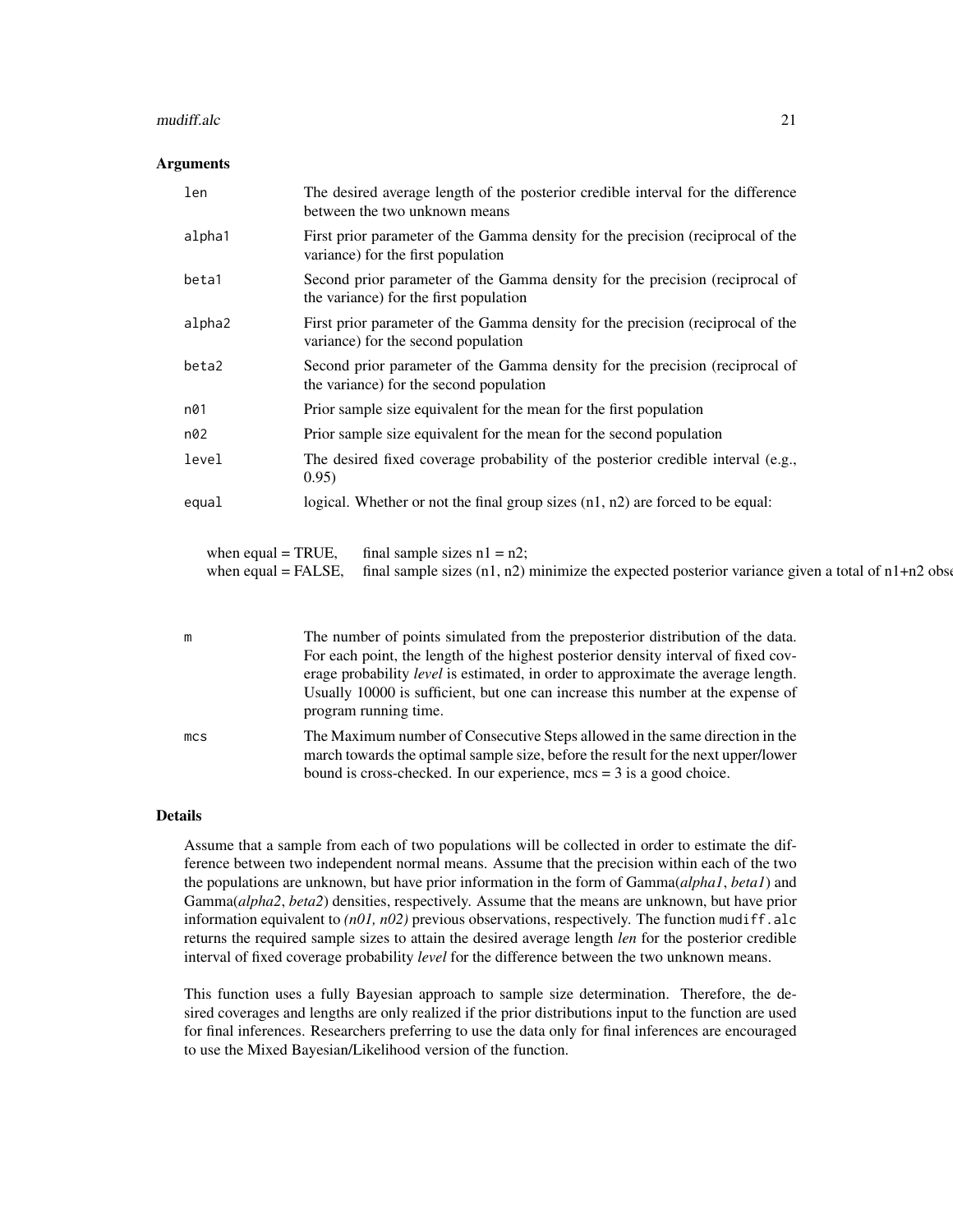#### mudiff.alc 21

# Arguments

| len                                           | The desired average length of the posterior credible interval for the difference<br>between the two unknown means                     |  |
|-----------------------------------------------|---------------------------------------------------------------------------------------------------------------------------------------|--|
| alpha1                                        | First prior parameter of the Gamma density for the precision (reciprocal of the<br>variance) for the first population                 |  |
| beta1                                         | Second prior parameter of the Gamma density for the precision (reciprocal of<br>the variance) for the first population                |  |
| alpha2                                        | First prior parameter of the Gamma density for the precision (reciprocal of the<br>variance) for the second population                |  |
| beta2                                         | Second prior parameter of the Gamma density for the precision (reciprocal of<br>the variance) for the second population               |  |
| n01                                           | Prior sample size equivalent for the mean for the first population                                                                    |  |
| n02                                           | Prior sample size equivalent for the mean for the second population                                                                   |  |
| level                                         | The desired fixed coverage probability of the posterior credible interval (e.g.,<br>0.95)                                             |  |
| equal                                         | logical. Whether or not the final group sizes $(n1, n2)$ are forced to be equal:                                                      |  |
| when equal $=$ TRUE,<br>when equal $=$ FALSE, | final sample sizes $n1 = n2$ ;<br>final sample sizes $(n1, n2)$ minimize the expected posterior variance given a total of $n1+n2$ obs |  |

| m               | The number of points simulated from the preposterior distribution of the data.                                                                                    |
|-----------------|-------------------------------------------------------------------------------------------------------------------------------------------------------------------|
|                 | For each point, the length of the highest posterior density interval of fixed cov-                                                                                |
|                 | erage probability <i>level</i> is estimated, in order to approximate the average length.                                                                          |
|                 | Usually 10000 is sufficient, but one can increase this number at the expense of                                                                                   |
|                 | program running time.                                                                                                                                             |
| mc <sub>S</sub> | The Maximum number of Consecutive Steps allowed in the same direction in the<br>march towards the optimal sample size, before the result for the next upper/lower |
|                 | bound is cross-checked. In our experience, $mcs = 3$ is a good choice.                                                                                            |

#### Details

Assume that a sample from each of two populations will be collected in order to estimate the difference between two independent normal means. Assume that the precision within each of the two the populations are unknown, but have prior information in the form of Gamma(*alpha1*, *beta1*) and Gamma(*alpha2*, *beta2*) densities, respectively. Assume that the means are unknown, but have prior information equivalent to  $(n01, n02)$  previous observations, respectively. The function mudiff.alc returns the required sample sizes to attain the desired average length *len* for the posterior credible interval of fixed coverage probability *level* for the difference between the two unknown means.

This function uses a fully Bayesian approach to sample size determination. Therefore, the desired coverages and lengths are only realized if the prior distributions input to the function are used for final inferences. Researchers preferring to use the data only for final inferences are encouraged to use the Mixed Bayesian/Likelihood version of the function.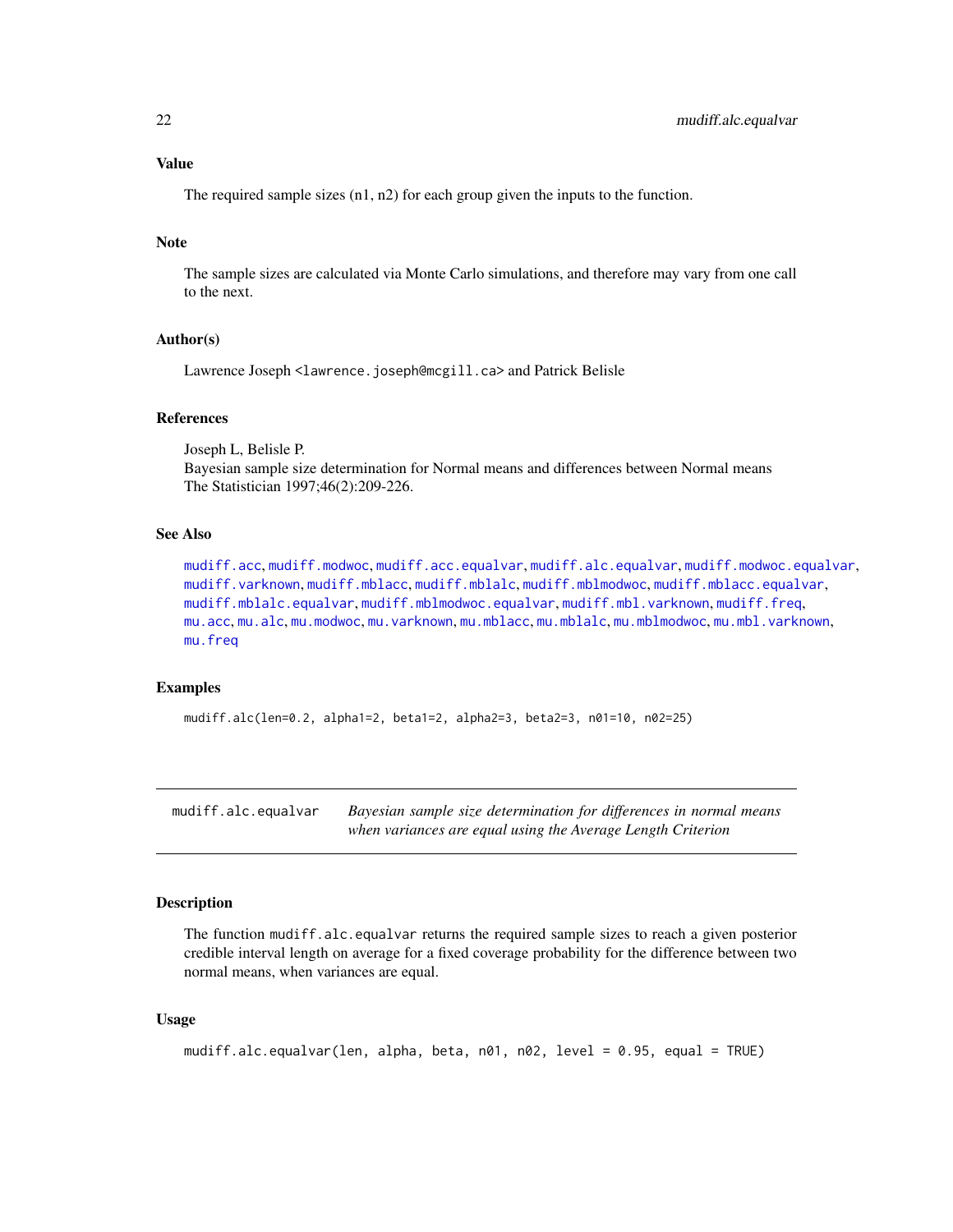# <span id="page-21-0"></span>Value

The required sample sizes (n1, n2) for each group given the inputs to the function.

# Note

The sample sizes are calculated via Monte Carlo simulations, and therefore may vary from one call to the next.

# Author(s)

Lawrence Joseph <lawrence.joseph@mcgill.ca> and Patrick Belisle

# References

Joseph L, Belisle P. Bayesian sample size determination for Normal means and differences between Normal means The Statistician 1997;46(2):209-226.

# See Also

[mudiff.acc](#page-16-1), [mudiff.modwoc](#page-37-1), [mudiff.acc.equalvar](#page-18-1), [mudiff.alc.equalvar](#page-21-1), [mudiff.modwoc.equalvar](#page-39-1), [mudiff.varknown](#page-41-1), [mudiff.mblacc](#page-26-1), [mudiff.mblalc](#page-29-1), [mudiff.mblmodwoc](#page-33-1), [mudiff.mblacc.equalvar](#page-28-1), [mudiff.mblalc.equalvar](#page-31-1), [mudiff.mblmodwoc.equalvar](#page-35-1), [mudiff.mbl.varknown](#page-24-1), [mudiff.freq](#page-23-1), [mu.acc](#page-2-1), [mu.alc](#page-4-1), [mu.modwoc](#page-13-1), [mu.varknown](#page-14-1), [mu.mblacc](#page-8-1), [mu.mblalc](#page-9-1), [mu.mblmodwoc](#page-11-1), [mu.mbl.varknown](#page-6-1), [mu.freq](#page-5-1)

# Examples

mudiff.alc(len=0.2, alpha1=2, beta1=2, alpha2=3, beta2=3, n01=10, n02=25)

<span id="page-21-1"></span>mudiff.alc.equalvar *Bayesian sample size determination for differences in normal means when variances are equal using the Average Length Criterion*

# Description

The function mudiff.alc.equalvar returns the required sample sizes to reach a given posterior credible interval length on average for a fixed coverage probability for the difference between two normal means, when variances are equal.

# Usage

```
mudiff.alc.equalvar(len, alpha, beta, n01, n02, level = 0.95, equal = TRUE)
```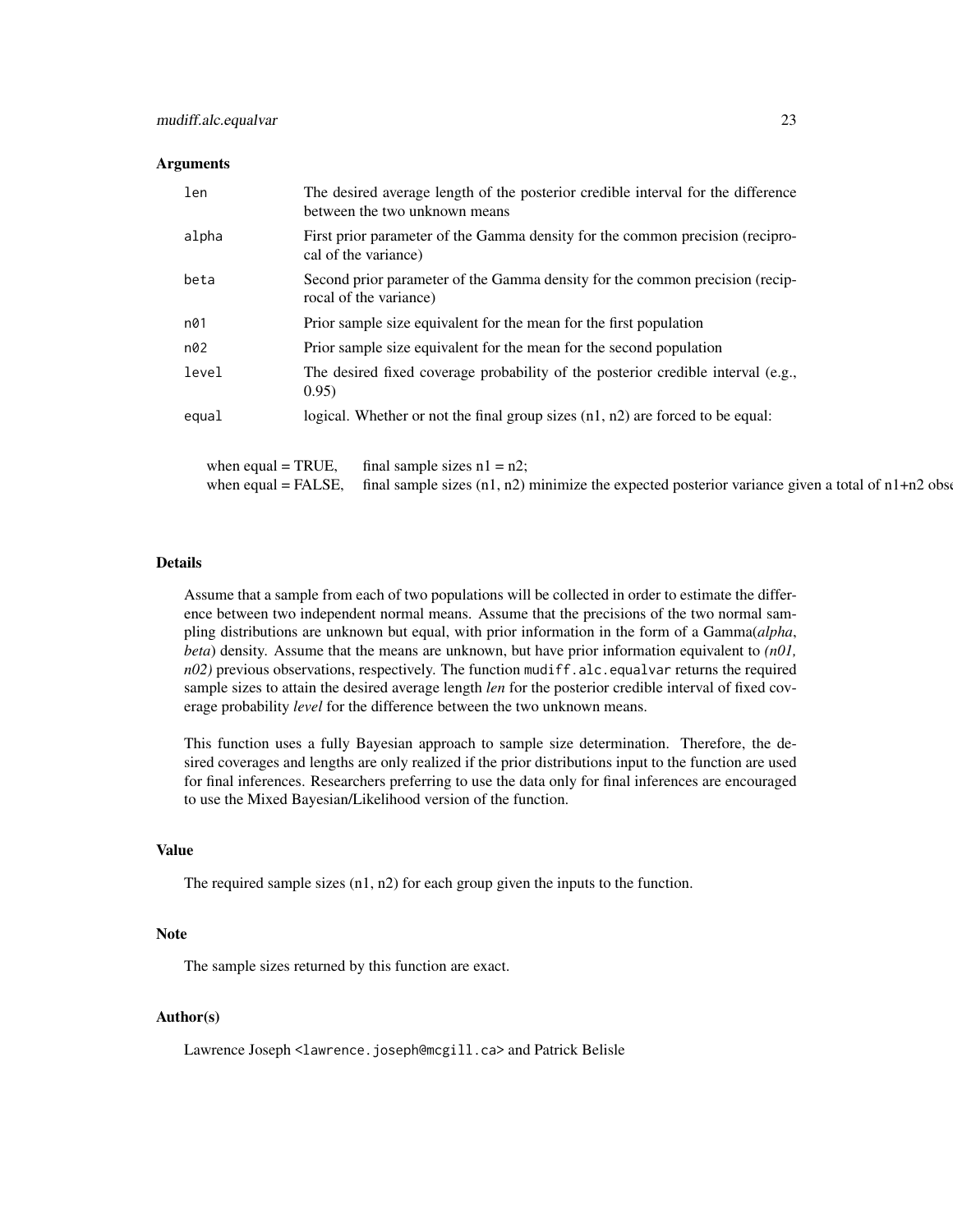# Arguments

| len                   | The desired average length of the posterior credible interval for the difference<br>between the two unknown means |  |
|-----------------------|-------------------------------------------------------------------------------------------------------------------|--|
| alpha                 | First prior parameter of the Gamma density for the common precision (recipro-<br>cal of the variance)             |  |
| beta                  | Second prior parameter of the Gamma density for the common precision (recip-<br>rocal of the variance)            |  |
| n01                   | Prior sample size equivalent for the mean for the first population                                                |  |
| n02                   | Prior sample size equivalent for the mean for the second population                                               |  |
| level                 | The desired fixed coverage probability of the posterior credible interval (e.g.,<br>0.95)                         |  |
| equal                 | logical. Whether or not the final group sizes $(n1, n2)$ are forced to be equal:                                  |  |
|                       |                                                                                                                   |  |
| when equal $=$ TRUE,  | final sample sizes $n1 = n2$ ;                                                                                    |  |
| when equal $=$ FALSE, | final sample sizes $(n1, n2)$ minimize the expected posterior variance given a total of $n1+n2$ obset             |  |

# Details

Assume that a sample from each of two populations will be collected in order to estimate the difference between two independent normal means. Assume that the precisions of the two normal sampling distributions are unknown but equal, with prior information in the form of a Gamma(*alpha*, *beta*) density. Assume that the means are unknown, but have prior information equivalent to *(n01, n02*) previous observations, respectively. The function mudiff.alc.equalvar returns the required sample sizes to attain the desired average length *len* for the posterior credible interval of fixed coverage probability *level* for the difference between the two unknown means.

This function uses a fully Bayesian approach to sample size determination. Therefore, the desired coverages and lengths are only realized if the prior distributions input to the function are used for final inferences. Researchers preferring to use the data only for final inferences are encouraged to use the Mixed Bayesian/Likelihood version of the function.

#### Value

The required sample sizes (n1, n2) for each group given the inputs to the function.

# Note

The sample sizes returned by this function are exact.

# Author(s)

Lawrence Joseph <lawrence.joseph@mcgill.ca> and Patrick Belisle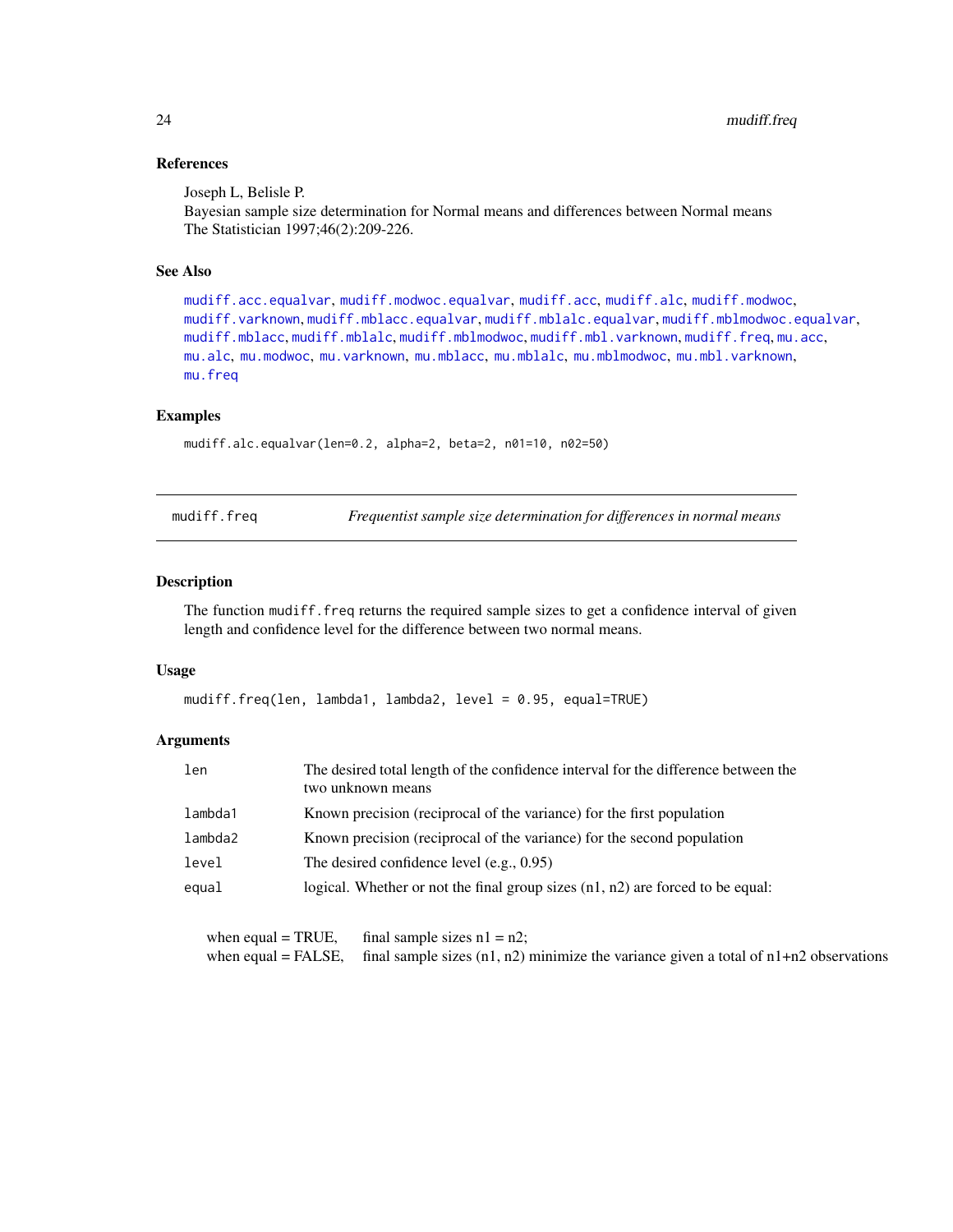# References

Joseph L, Belisle P.

Bayesian sample size determination for Normal means and differences between Normal means The Statistician 1997;46(2):209-226.

# See Also

```
mudiff.acc.equalvar, mudiff.modwoc.equalvar, mudiff.acc, mudiff.alc, mudiff.modwoc,
mudiff.varknown, mudiff.mblacc.equalvar, mudiff.mblalc.equalvar, mudiff.mblmodwoc.equalvar,
mudiff.mblacc, mudiff.mblalc, mudiff.mblmodwoc, mudiff.mbl.varknown, mudiff.freq, mu.acc,
mu.alc, mu.modwoc, mu.varknown, mu.mblacc, mu.mblalc, mu.mblmodwoc, mu.mbl.varknown,
mu.freq
```
# Examples

mudiff.alc.equalvar(len=0.2, alpha=2, beta=2, n01=10, n02=50)

<span id="page-23-1"></span>

mudiff.freq *Frequentist sample size determination for differences in normal means*

# Description

The function mudiff.freq returns the required sample sizes to get a confidence interval of given length and confidence level for the difference between two normal means.

# Usage

mudiff.freq(len, lambda1, lambda2, level = 0.95, equal=TRUE)

# Arguments

| len     | The desired total length of the confidence interval for the difference between the<br>two unknown means |  |
|---------|---------------------------------------------------------------------------------------------------------|--|
| lambda1 | Known precision (reciprocal of the variance) for the first population                                   |  |
| lambda2 | Known precision (reciprocal of the variance) for the second population                                  |  |
| level   | The desired confidence level $(e.g., 0.95)$                                                             |  |
| equal   | logical. Whether or not the final group sizes $(n1, n2)$ are forced to be equal:                        |  |
|         |                                                                                                         |  |

```
when equal = TRUE, final sample sizes n1 = n2;
when equal = FALSE, final sample sizes (n1, n2) minimize the variance given a total of n1+n2 observations
```
<span id="page-23-0"></span>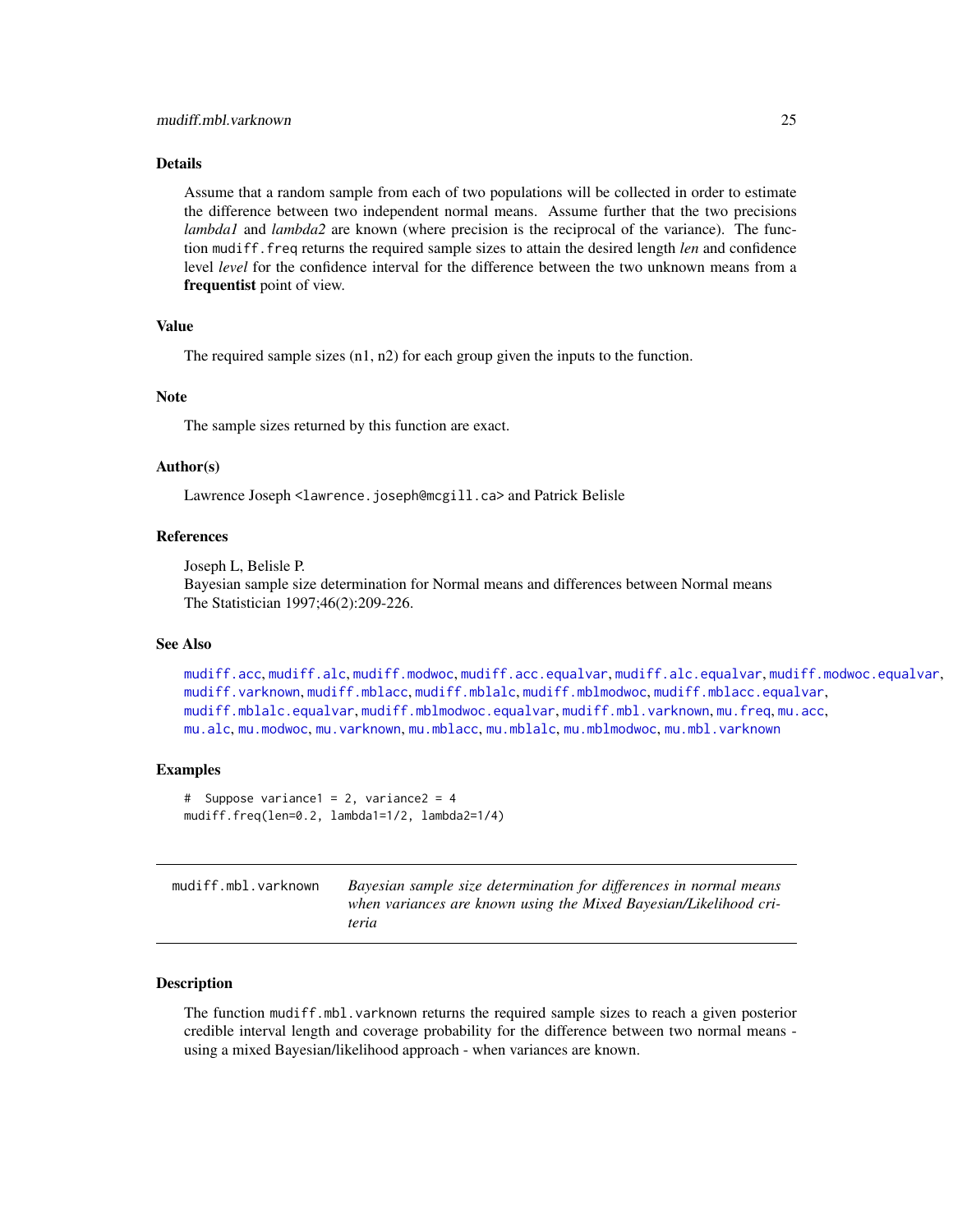# <span id="page-24-0"></span>Details

Assume that a random sample from each of two populations will be collected in order to estimate the difference between two independent normal means. Assume further that the two precisions *lambda1* and *lambda2* are known (where precision is the reciprocal of the variance). The function mudiff.freq returns the required sample sizes to attain the desired length *len* and confidence level *level* for the confidence interval for the difference between the two unknown means from a frequentist point of view.

# Value

The required sample sizes  $(n1, n2)$  for each group given the inputs to the function.

# **Note**

The sample sizes returned by this function are exact.

#### Author(s)

Lawrence Joseph <lawrence.joseph@mcgill.ca> and Patrick Belisle

#### References

Joseph L, Belisle P.

Bayesian sample size determination for Normal means and differences between Normal means The Statistician 1997;46(2):209-226.

#### See Also

[mudiff.acc](#page-16-1), [mudiff.alc](#page-19-1), [mudiff.modwoc](#page-37-1), [mudiff.acc.equalvar](#page-18-1), [mudiff.alc.equalvar](#page-21-1), [mudiff.modwoc.equalvar](#page-39-1), [mudiff.varknown](#page-41-1), [mudiff.mblacc](#page-26-1), [mudiff.mblalc](#page-29-1), [mudiff.mblmodwoc](#page-33-1), [mudiff.mblacc.equalvar](#page-28-1), [mudiff.mblalc.equalvar](#page-31-1), [mudiff.mblmodwoc.equalvar](#page-35-1), [mudiff.mbl.varknown](#page-24-1), [mu.freq](#page-5-1), [mu.acc](#page-2-1), [mu.alc](#page-4-1), [mu.modwoc](#page-13-1), [mu.varknown](#page-14-1), [mu.mblacc](#page-8-1), [mu.mblalc](#page-9-1), [mu.mblmodwoc](#page-11-1), [mu.mbl.varknown](#page-6-1)

# Examples

```
# Suppose variance1 = 2, variance2 = 4
mudiff.freq(len=0.2, lambda1=1/2, lambda2=1/4)
```
<span id="page-24-1"></span>

| mudiff.mbl.varknown | Bayesian sample size determination for differences in normal means |
|---------------------|--------------------------------------------------------------------|
|                     | when variances are known using the Mixed Bayesian/Likelihood cri-  |
|                     | teria                                                              |

# Description

The function mudiff.mbl.varknown returns the required sample sizes to reach a given posterior credible interval length and coverage probability for the difference between two normal means using a mixed Bayesian/likelihood approach - when variances are known.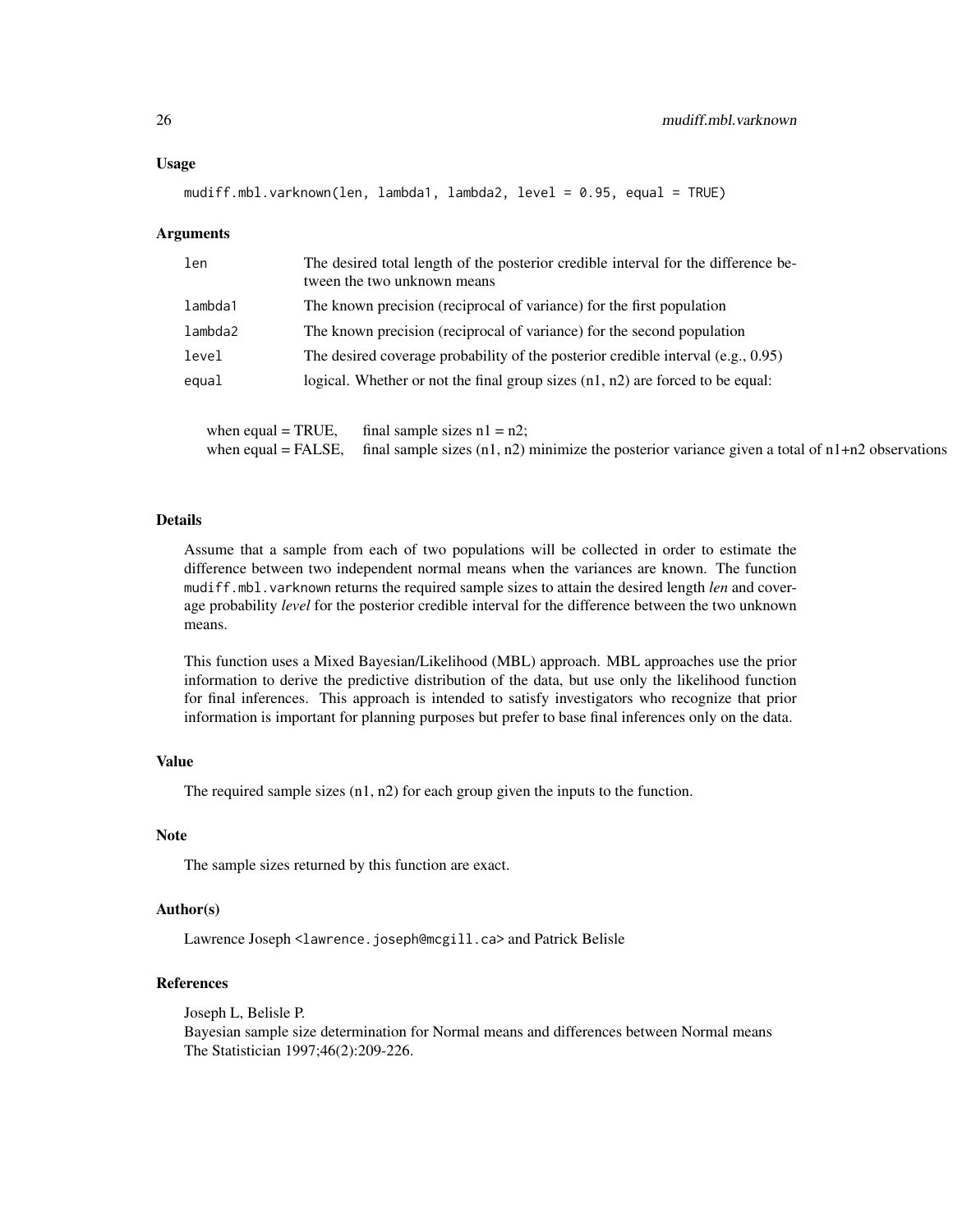#### Usage

mudiff.mbl.varknown(len, lambda1, lambda2, level = 0.95, equal = TRUE)

#### Arguments

| len     | The desired total length of the posterior credible interval for the difference be-<br>tween the two unknown means |  |
|---------|-------------------------------------------------------------------------------------------------------------------|--|
| lambda1 | The known precision (reciprocal of variance) for the first population                                             |  |
| lambda2 | The known precision (reciprocal of variance) for the second population                                            |  |
| level   | The desired coverage probability of the posterior credible interval $(e.g., 0.95)$                                |  |
| equal   | logical. Whether or not the final group sizes $(n1, n2)$ are forced to be equal:                                  |  |
|         |                                                                                                                   |  |

when equal = TRUE, final sample sizes  $n1 = n2$ ; when equal = FALSE, final sample sizes  $(n1, n2)$  minimize the posterior variance given a total of  $n1+n2$  observations

# Details

Assume that a sample from each of two populations will be collected in order to estimate the difference between two independent normal means when the variances are known. The function mudiff.mbl.varknown returns the required sample sizes to attain the desired length *len* and coverage probability *level* for the posterior credible interval for the difference between the two unknown means.

This function uses a Mixed Bayesian/Likelihood (MBL) approach. MBL approaches use the prior information to derive the predictive distribution of the data, but use only the likelihood function for final inferences. This approach is intended to satisfy investigators who recognize that prior information is important for planning purposes but prefer to base final inferences only on the data.

# Value

The required sample sizes (n1, n2) for each group given the inputs to the function.

#### Note

The sample sizes returned by this function are exact.

# Author(s)

Lawrence Joseph <lawrence.joseph@mcgill.ca> and Patrick Belisle

# References

Joseph L, Belisle P. Bayesian sample size determination for Normal means and differences between Normal means The Statistician 1997;46(2):209-226.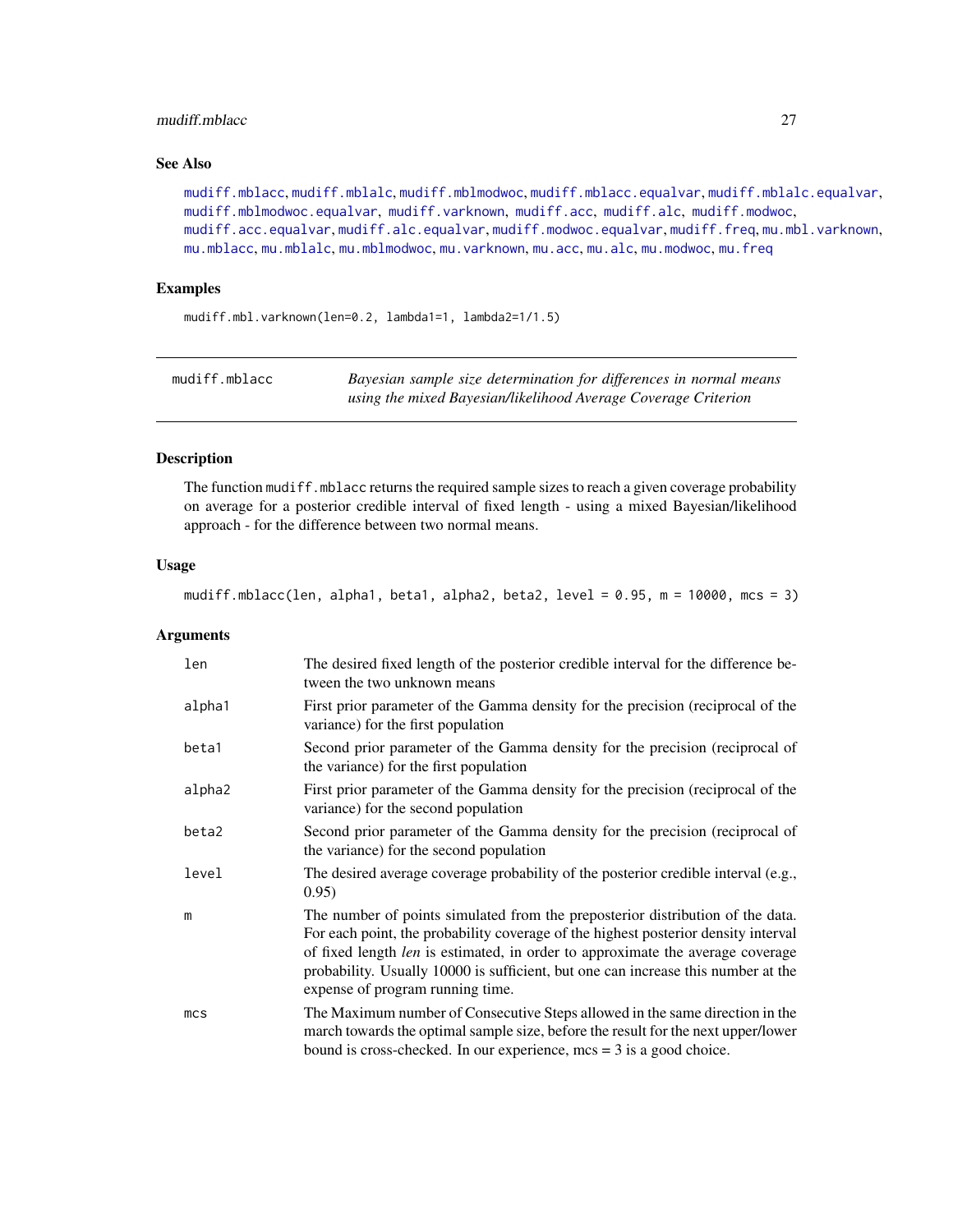# <span id="page-26-0"></span>mudiff.mblacc 27

# See Also

[mudiff.mblacc](#page-26-1), [mudiff.mblalc](#page-29-1), [mudiff.mblmodwoc](#page-33-1), [mudiff.mblacc.equalvar](#page-28-1), [mudiff.mblalc.equalvar](#page-31-1), [mudiff.mblmodwoc.equalvar](#page-35-1), [mudiff.varknown](#page-41-1), [mudiff.acc](#page-16-1), [mudiff.alc](#page-19-1), [mudiff.modwoc](#page-37-1), [mudiff.acc.equalvar](#page-18-1), [mudiff.alc.equalvar](#page-21-1), [mudiff.modwoc.equalvar](#page-39-1), [mudiff.freq](#page-23-1), [mu.mbl.varknown](#page-6-1), [mu.mblacc](#page-8-1), [mu.mblalc](#page-9-1), [mu.mblmodwoc](#page-11-1), [mu.varknown](#page-14-1), [mu.acc](#page-2-1), [mu.alc](#page-4-1), [mu.modwoc](#page-13-1), [mu.freq](#page-5-1)

# Examples

mudiff.mbl.varknown(len=0.2, lambda1=1, lambda2=1/1.5)

<span id="page-26-1"></span>

| mudiff.mblacc | Bayesian sample size determination for differences in normal means |
|---------------|--------------------------------------------------------------------|
|               | using the mixed Bayesian/likelihood Average Coverage Criterion     |

# Description

The function mudiff.mblacc returns the required sample sizes to reach a given coverage probability on average for a posterior credible interval of fixed length - using a mixed Bayesian/likelihood approach - for the difference between two normal means.

# Usage

mudiff.mblacc(len, alpha1, beta1, alpha2, beta2, level = 0.95, m = 10000, mcs = 3)

# Arguments

| len             | The desired fixed length of the posterior credible interval for the difference be-<br>tween the two unknown means                                                                                                                                                                                                                                                               |
|-----------------|---------------------------------------------------------------------------------------------------------------------------------------------------------------------------------------------------------------------------------------------------------------------------------------------------------------------------------------------------------------------------------|
| alpha1          | First prior parameter of the Gamma density for the precision (reciprocal of the<br>variance) for the first population                                                                                                                                                                                                                                                           |
| beta1           | Second prior parameter of the Gamma density for the precision (reciprocal of<br>the variance) for the first population                                                                                                                                                                                                                                                          |
| alpha2          | First prior parameter of the Gamma density for the precision (reciprocal of the<br>variance) for the second population                                                                                                                                                                                                                                                          |
| beta2           | Second prior parameter of the Gamma density for the precision (reciprocal of<br>the variance) for the second population                                                                                                                                                                                                                                                         |
| level           | The desired average coverage probability of the posterior credible interval (e.g.,<br>0.95)                                                                                                                                                                                                                                                                                     |
| m               | The number of points simulated from the preposterior distribution of the data.<br>For each point, the probability coverage of the highest posterior density interval<br>of fixed length len is estimated, in order to approximate the average coverage<br>probability. Usually 10000 is sufficient, but one can increase this number at the<br>expense of program running time. |
| mc <sub>S</sub> | The Maximum number of Consecutive Steps allowed in the same direction in the<br>march towards the optimal sample size, before the result for the next upper/lower<br>bound is cross-checked. In our experience, $mcs = 3$ is a good choice.                                                                                                                                     |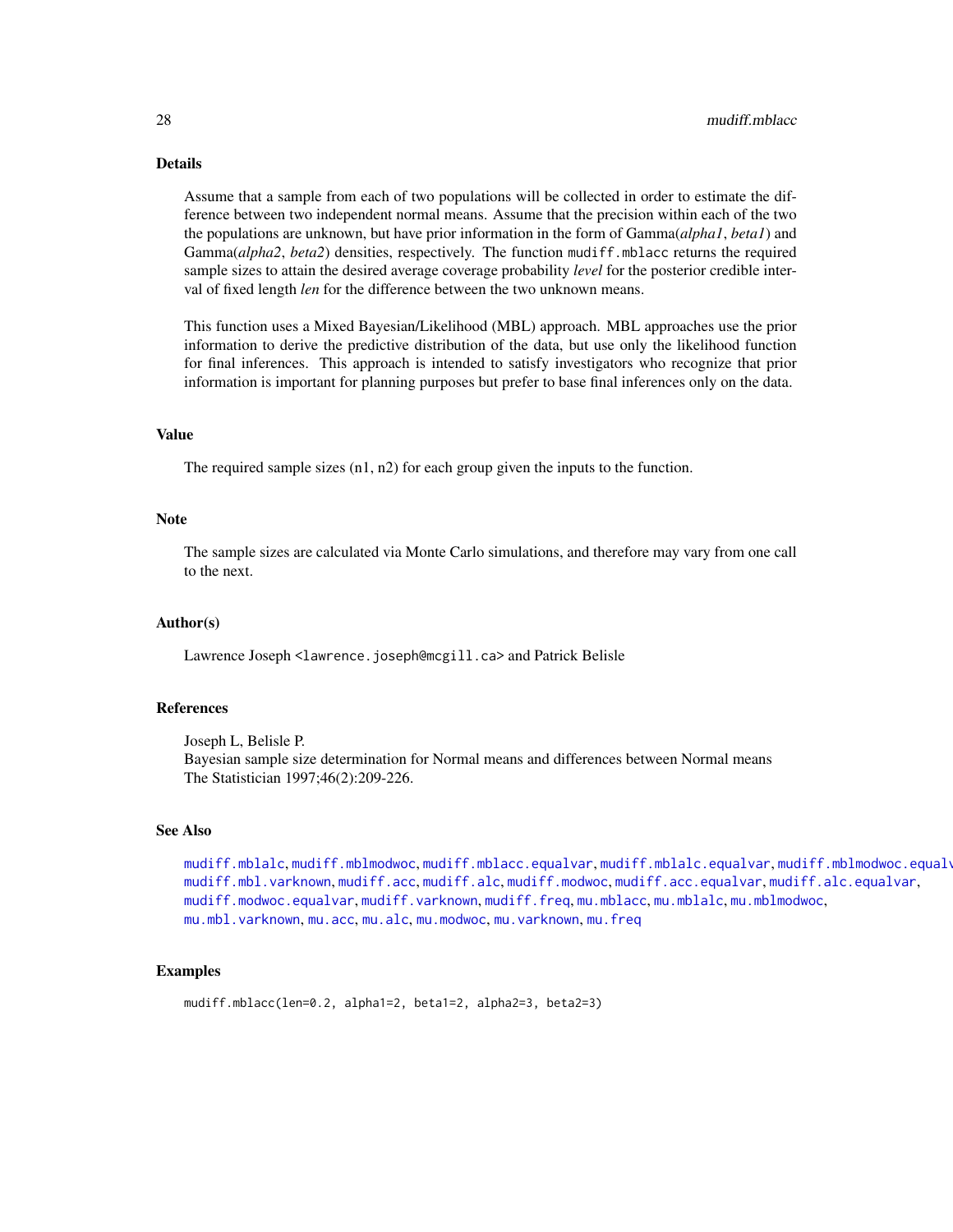# <span id="page-27-0"></span>Details

Assume that a sample from each of two populations will be collected in order to estimate the difference between two independent normal means. Assume that the precision within each of the two the populations are unknown, but have prior information in the form of Gamma(*alpha1*, *beta1*) and Gamma(*alpha2*, *beta2*) densities, respectively. The function mudiff.mblacc returns the required sample sizes to attain the desired average coverage probability *level* for the posterior credible interval of fixed length *len* for the difference between the two unknown means.

This function uses a Mixed Bayesian/Likelihood (MBL) approach. MBL approaches use the prior information to derive the predictive distribution of the data, but use only the likelihood function for final inferences. This approach is intended to satisfy investigators who recognize that prior information is important for planning purposes but prefer to base final inferences only on the data.

#### Value

The required sample sizes  $(n1, n2)$  for each group given the inputs to the function.

# Note

The sample sizes are calculated via Monte Carlo simulations, and therefore may vary from one call to the next.

# Author(s)

Lawrence Joseph <lawrence.joseph@mcgill.ca> and Patrick Belisle

# References

Joseph L, Belisle P. Bayesian sample size determination for Normal means and differences between Normal means The Statistician 1997;46(2):209-226.

# See Also

[mudiff.mblalc](#page-29-1), [mudiff.mblmodwoc](#page-33-1), [mudiff.mblacc.equalvar](#page-28-1), [mudiff.mblalc.equalvar](#page-31-1), [mudiff.mblmodwoc.equalvar](#page-35-1), [mudiff.mbl.varknown](#page-24-1), [mudiff.acc](#page-16-1), [mudiff.alc](#page-19-1), [mudiff.modwoc](#page-37-1), [mudiff.acc.equalvar](#page-18-1), [mudiff.alc.equalvar](#page-21-1), [mudiff.modwoc.equalvar](#page-39-1), [mudiff.varknown](#page-41-1), [mudiff.freq](#page-23-1), [mu.mblacc](#page-8-1), [mu.mblalc](#page-9-1), [mu.mblmodwoc](#page-11-1), [mu.mbl.varknown](#page-6-1), [mu.acc](#page-2-1), [mu.alc](#page-4-1), [mu.modwoc](#page-13-1), [mu.varknown](#page-14-1), [mu.freq](#page-5-1)

#### Examples

mudiff.mblacc(len=0.2, alpha1=2, beta1=2, alpha2=3, beta2=3)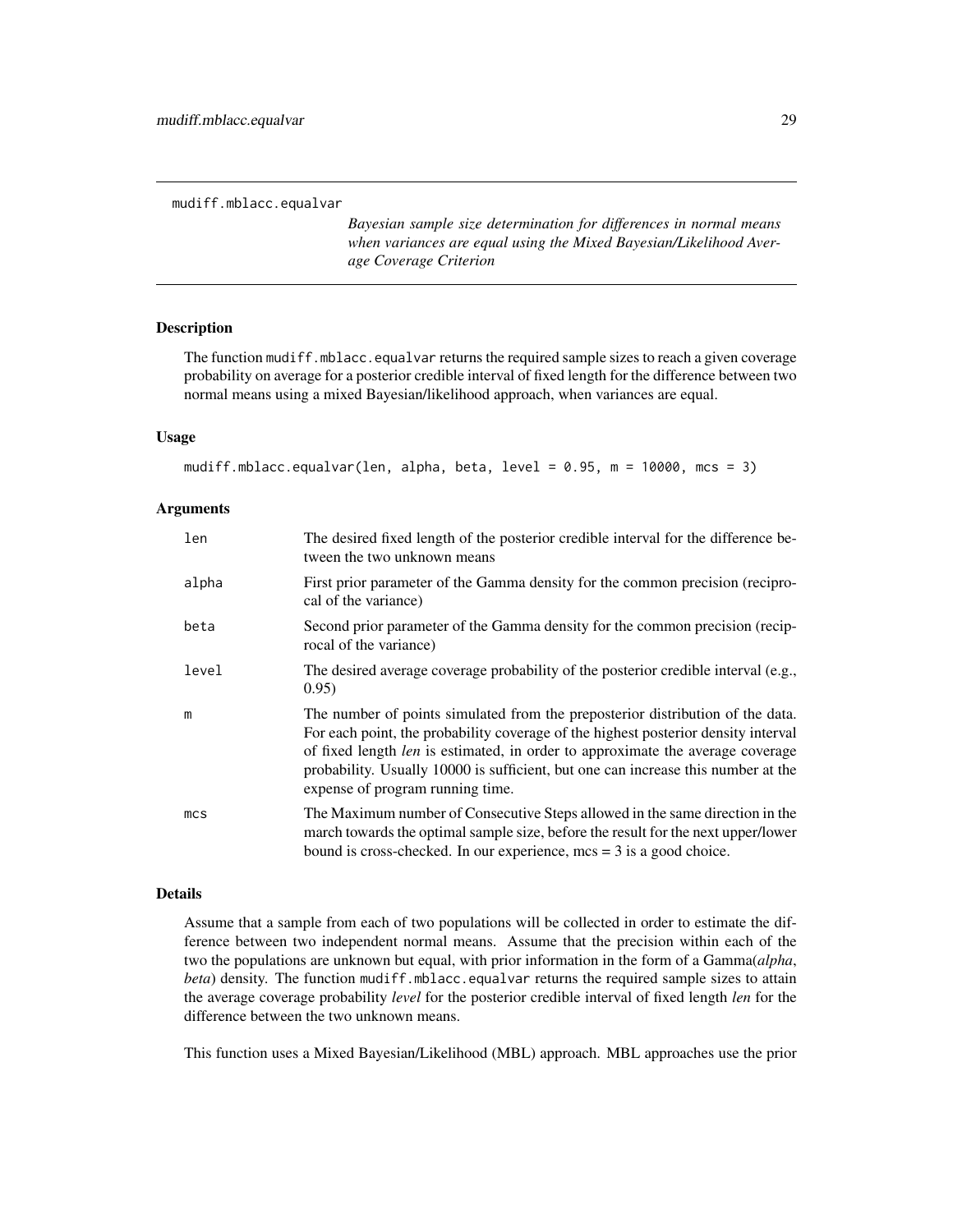<span id="page-28-1"></span><span id="page-28-0"></span>mudiff.mblacc.equalvar

*Bayesian sample size determination for differences in normal means when variances are equal using the Mixed Bayesian/Likelihood Average Coverage Criterion*

#### **Description**

The function mudiff.mblacc.equalvar returns the required sample sizes to reach a given coverage probability on average for a posterior credible interval of fixed length for the difference between two normal means using a mixed Bayesian/likelihood approach, when variances are equal.

# Usage

```
mudiff.mblacc.equalvar(len, alpha, beta, level = 0.95, m = 10000, mcs = 3)
```
# Arguments

| len             | The desired fixed length of the posterior credible interval for the difference be-<br>tween the two unknown means                                                                                                                                                                                                                                                               |
|-----------------|---------------------------------------------------------------------------------------------------------------------------------------------------------------------------------------------------------------------------------------------------------------------------------------------------------------------------------------------------------------------------------|
| alpha           | First prior parameter of the Gamma density for the common precision (recipro-<br>cal of the variance)                                                                                                                                                                                                                                                                           |
| beta            | Second prior parameter of the Gamma density for the common precision (recip-<br>rocal of the variance)                                                                                                                                                                                                                                                                          |
| level           | The desired average coverage probability of the posterior credible interval (e.g.,<br>0.95)                                                                                                                                                                                                                                                                                     |
| m               | The number of points simulated from the preposterior distribution of the data.<br>For each point, the probability coverage of the highest posterior density interval<br>of fixed length len is estimated, in order to approximate the average coverage<br>probability. Usually 10000 is sufficient, but one can increase this number at the<br>expense of program running time. |
| mc <sub>S</sub> | The Maximum number of Consecutive Steps allowed in the same direction in the<br>march towards the optimal sample size, before the result for the next upper/lower<br>bound is cross-checked. In our experience, $mcs = 3$ is a good choice.                                                                                                                                     |

# Details

Assume that a sample from each of two populations will be collected in order to estimate the difference between two independent normal means. Assume that the precision within each of the two the populations are unknown but equal, with prior information in the form of a Gamma(*alpha*, *beta*) density. The function mudiff.mblacc.equalvar returns the required sample sizes to attain the average coverage probability *level* for the posterior credible interval of fixed length *len* for the difference between the two unknown means.

This function uses a Mixed Bayesian/Likelihood (MBL) approach. MBL approaches use the prior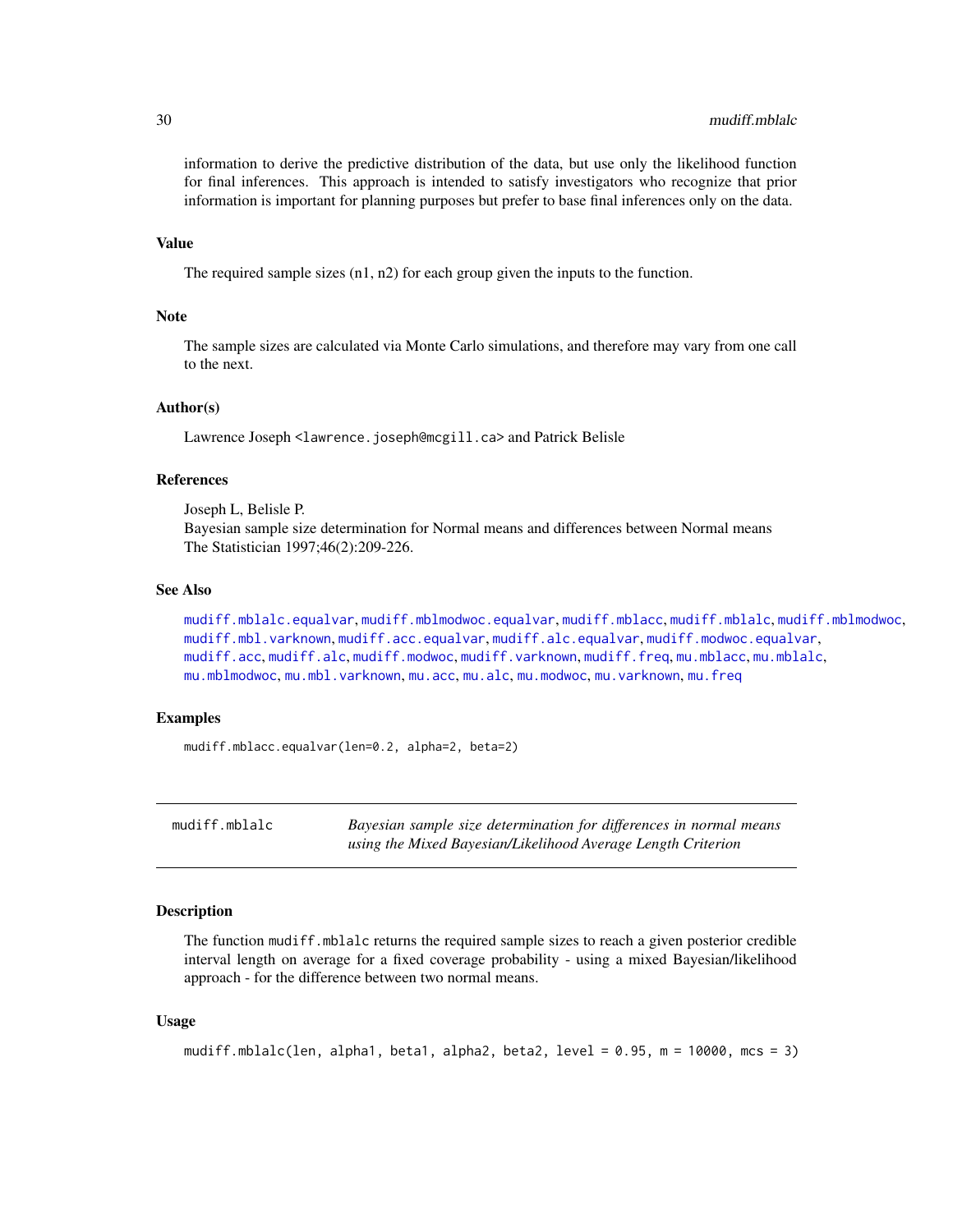# <span id="page-29-0"></span>30 mudiff.mblalc

information to derive the predictive distribution of the data, but use only the likelihood function for final inferences. This approach is intended to satisfy investigators who recognize that prior information is important for planning purposes but prefer to base final inferences only on the data.

# Value

The required sample sizes (n1, n2) for each group given the inputs to the function.

# **Note**

The sample sizes are calculated via Monte Carlo simulations, and therefore may vary from one call to the next.

# Author(s)

Lawrence Joseph <lawrence.joseph@mcgill.ca> and Patrick Belisle

#### References

Joseph L, Belisle P. Bayesian sample size determination for Normal means and differences between Normal means The Statistician 1997;46(2):209-226.

# See Also

[mudiff.mblalc.equalvar](#page-31-1), [mudiff.mblmodwoc.equalvar](#page-35-1), [mudiff.mblacc](#page-26-1), [mudiff.mblalc](#page-29-1), [mudiff.mblmodwoc](#page-33-1), [mudiff.mbl.varknown](#page-24-1), [mudiff.acc.equalvar](#page-18-1), [mudiff.alc.equalvar](#page-21-1), [mudiff.modwoc.equalvar](#page-39-1), [mudiff.acc](#page-16-1), [mudiff.alc](#page-19-1), [mudiff.modwoc](#page-37-1), [mudiff.varknown](#page-41-1), [mudiff.freq](#page-23-1), [mu.mblacc](#page-8-1), [mu.mblalc](#page-9-1), [mu.mblmodwoc](#page-11-1), [mu.mbl.varknown](#page-6-1), [mu.acc](#page-2-1), [mu.alc](#page-4-1), [mu.modwoc](#page-13-1), [mu.varknown](#page-14-1), [mu.freq](#page-5-1)

# Examples

mudiff.mblacc.equalvar(len=0.2, alpha=2, beta=2)

<span id="page-29-1"></span>mudiff.mblalc *Bayesian sample size determination for differences in normal means using the Mixed Bayesian/Likelihood Average Length Criterion*

# **Description**

The function mudiff.mblalc returns the required sample sizes to reach a given posterior credible interval length on average for a fixed coverage probability - using a mixed Bayesian/likelihood approach - for the difference between two normal means.

#### Usage

```
mudiff.mblalc(len, alpha1, beta1, alpha2, beta2, level = 0.95, m = 10000, mcs = 3)
```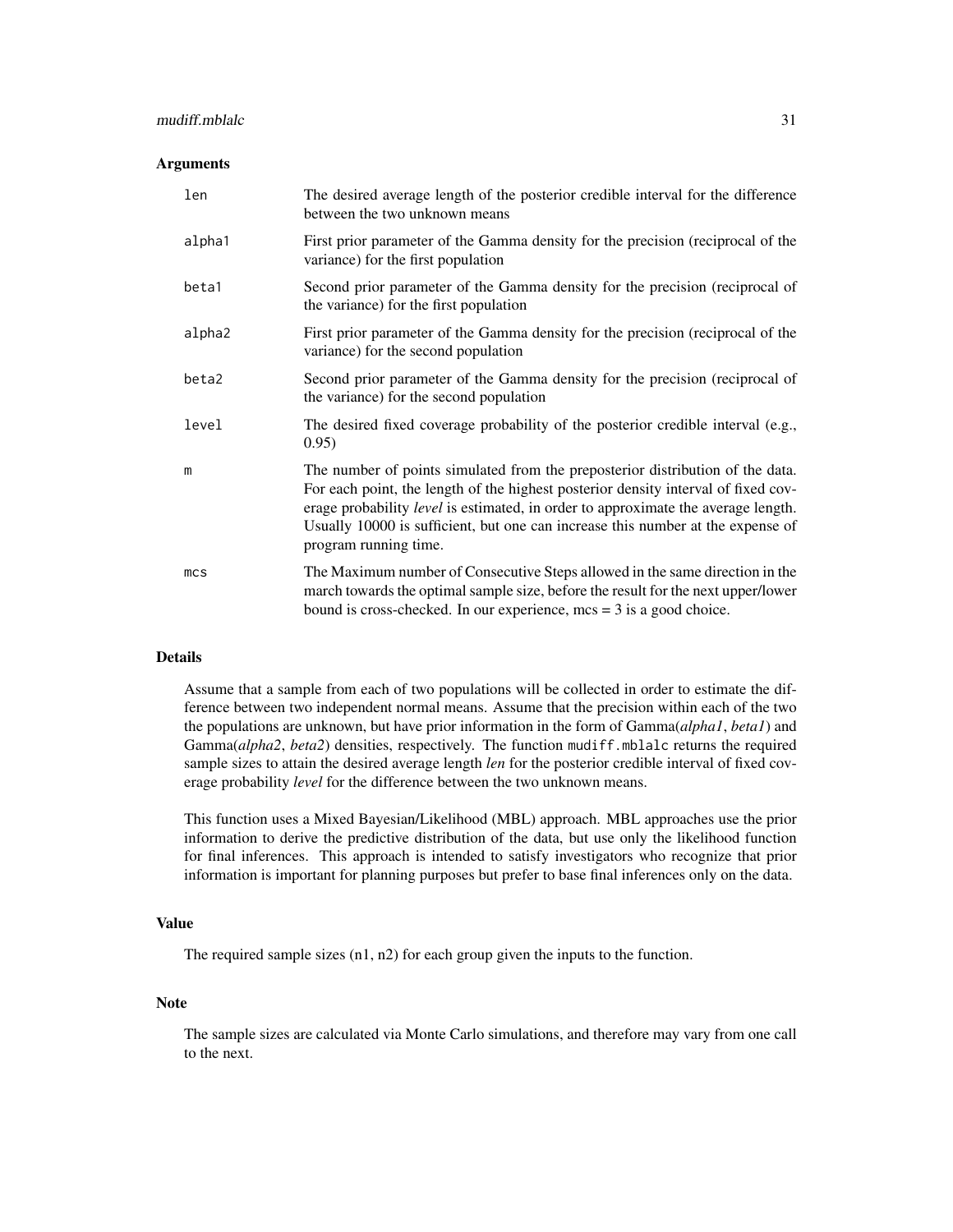# mudiff.mblalc 31

#### Arguments

| len             | The desired average length of the posterior credible interval for the difference<br>between the two unknown means                                                                                                                                                                                                                                                            |
|-----------------|------------------------------------------------------------------------------------------------------------------------------------------------------------------------------------------------------------------------------------------------------------------------------------------------------------------------------------------------------------------------------|
| alpha1          | First prior parameter of the Gamma density for the precision (reciprocal of the<br>variance) for the first population                                                                                                                                                                                                                                                        |
| beta1           | Second prior parameter of the Gamma density for the precision (reciprocal of<br>the variance) for the first population                                                                                                                                                                                                                                                       |
| alpha2          | First prior parameter of the Gamma density for the precision (reciprocal of the<br>variance) for the second population                                                                                                                                                                                                                                                       |
| beta2           | Second prior parameter of the Gamma density for the precision (reciprocal of<br>the variance) for the second population                                                                                                                                                                                                                                                      |
| level           | The desired fixed coverage probability of the posterior credible interval (e.g.,<br>0.95)                                                                                                                                                                                                                                                                                    |
| m               | The number of points simulated from the preposterior distribution of the data.<br>For each point, the length of the highest posterior density interval of fixed cov-<br>erage probability <i>level</i> is estimated, in order to approximate the average length.<br>Usually 10000 is sufficient, but one can increase this number at the expense of<br>program running time. |
| mc <sub>S</sub> | The Maximum number of Consecutive Steps allowed in the same direction in the<br>march towards the optimal sample size, before the result for the next upper/lower<br>bound is cross-checked. In our experience, $mcs = 3$ is a good choice.                                                                                                                                  |

# Details

Assume that a sample from each of two populations will be collected in order to estimate the difference between two independent normal means. Assume that the precision within each of the two the populations are unknown, but have prior information in the form of Gamma(*alpha1*, *beta1*) and Gamma(*alpha2*, *beta2*) densities, respectively. The function mudiff.mblalc returns the required sample sizes to attain the desired average length *len* for the posterior credible interval of fixed coverage probability *level* for the difference between the two unknown means.

This function uses a Mixed Bayesian/Likelihood (MBL) approach. MBL approaches use the prior information to derive the predictive distribution of the data, but use only the likelihood function for final inferences. This approach is intended to satisfy investigators who recognize that prior information is important for planning purposes but prefer to base final inferences only on the data.

# Value

The required sample sizes (n1, n2) for each group given the inputs to the function.

# Note

The sample sizes are calculated via Monte Carlo simulations, and therefore may vary from one call to the next.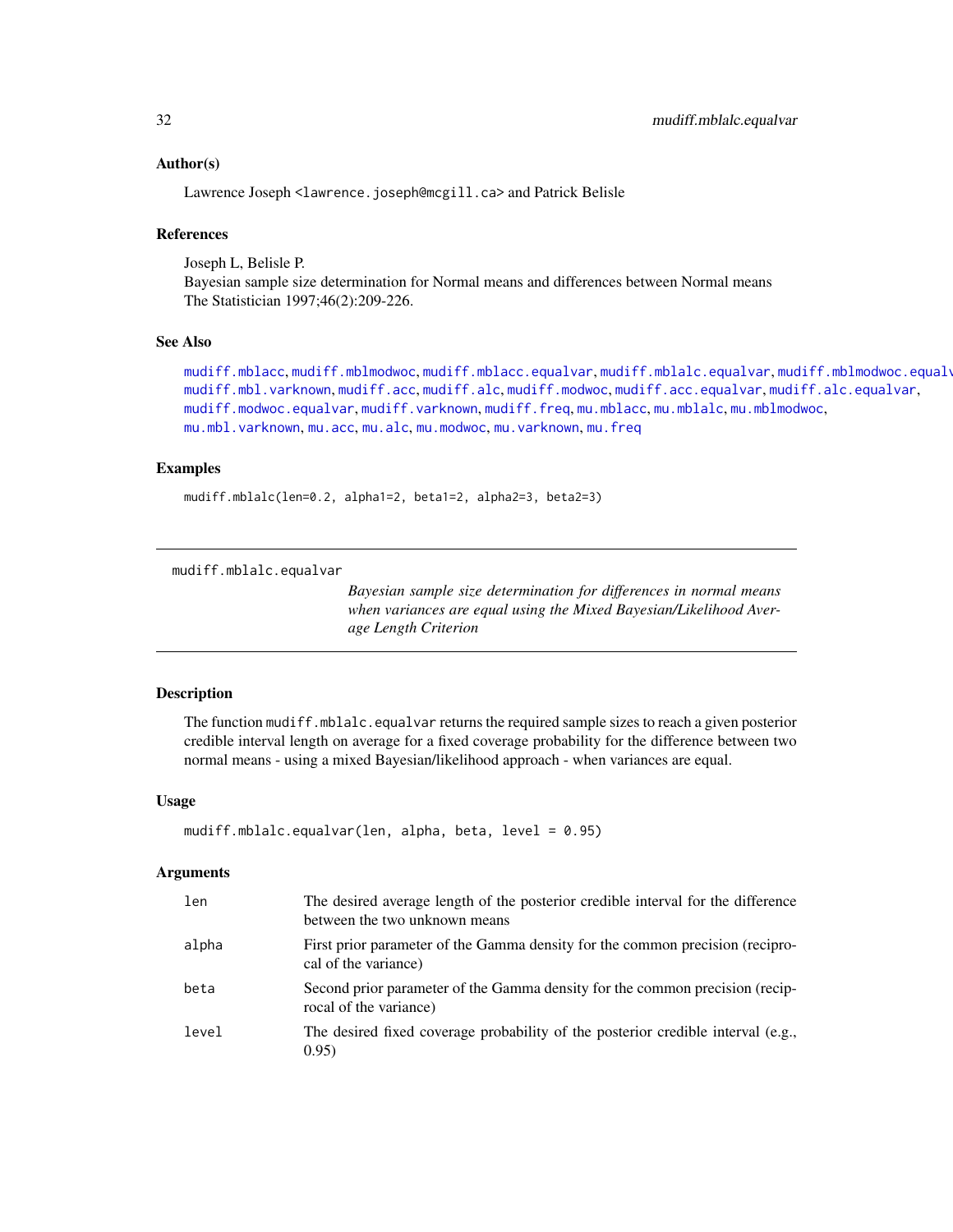# Author(s)

Lawrence Joseph <lawrence.joseph@mcgill.ca> and Patrick Belisle

### References

Joseph L, Belisle P. Bayesian sample size determination for Normal means and differences between Normal means The Statistician 1997;46(2):209-226.

# See Also

[mudiff.mblacc](#page-26-1), [mudiff.mblmodwoc](#page-33-1), [mudiff.mblacc.equalvar](#page-28-1), [mudiff.mblalc.equalvar](#page-31-1), [mudiff.mblmodwoc.equalvar](#page-35-1), [mudiff.mbl.varknown](#page-24-1), [mudiff.acc](#page-16-1), [mudiff.alc](#page-19-1), [mudiff.modwoc](#page-37-1), [mudiff.acc.equalvar](#page-18-1), [mudiff.alc.equalvar](#page-21-1), [mudiff.modwoc.equalvar](#page-39-1), [mudiff.varknown](#page-41-1), [mudiff.freq](#page-23-1), [mu.mblacc](#page-8-1), [mu.mblalc](#page-9-1), [mu.mblmodwoc](#page-11-1), [mu.mbl.varknown](#page-6-1), [mu.acc](#page-2-1), [mu.alc](#page-4-1), [mu.modwoc](#page-13-1), [mu.varknown](#page-14-1), [mu.freq](#page-5-1)

# Examples

mudiff.mblalc(len=0.2, alpha1=2, beta1=2, alpha2=3, beta2=3)

<span id="page-31-1"></span>mudiff.mblalc.equalvar

*Bayesian sample size determination for differences in normal means when variances are equal using the Mixed Bayesian/Likelihood Average Length Criterion*

# Description

The function mudiff.mblalc.equalvar returns the required sample sizes to reach a given posterior credible interval length on average for a fixed coverage probability for the difference between two normal means - using a mixed Bayesian/likelihood approach - when variances are equal.

#### Usage

```
mudiff.mblalc.equalvar(len, alpha, beta, level = 0.95)
```
#### Arguments

| len   | The desired average length of the posterior credible interval for the difference<br>between the two unknown means |
|-------|-------------------------------------------------------------------------------------------------------------------|
| alpha | First prior parameter of the Gamma density for the common precision (recipro-<br>cal of the variance)             |
| beta  | Second prior parameter of the Gamma density for the common precision (recip-<br>rocal of the variance)            |
| level | The desired fixed coverage probability of the posterior credible interval (e.g.,<br>0.95)                         |

<span id="page-31-0"></span>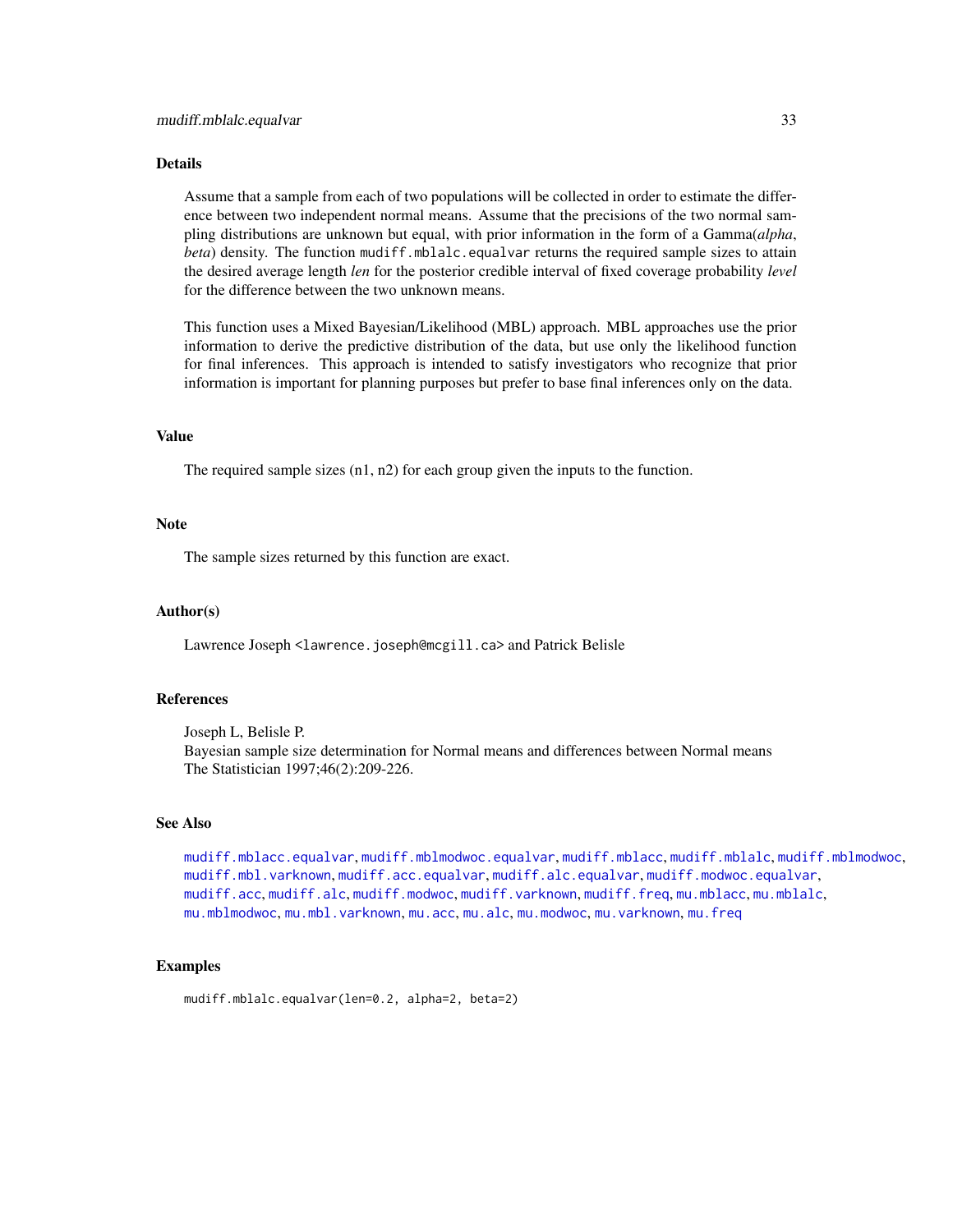#### <span id="page-32-0"></span>Details

Assume that a sample from each of two populations will be collected in order to estimate the difference between two independent normal means. Assume that the precisions of the two normal sampling distributions are unknown but equal, with prior information in the form of a Gamma(*alpha*, *beta*) density. The function mudiff.mblalc.equalvar returns the required sample sizes to attain the desired average length *len* for the posterior credible interval of fixed coverage probability *level* for the difference between the two unknown means.

This function uses a Mixed Bayesian/Likelihood (MBL) approach. MBL approaches use the prior information to derive the predictive distribution of the data, but use only the likelihood function for final inferences. This approach is intended to satisfy investigators who recognize that prior information is important for planning purposes but prefer to base final inferences only on the data.

# Value

The required sample sizes (n1, n2) for each group given the inputs to the function.

#### Note

The sample sizes returned by this function are exact.

#### Author(s)

Lawrence Joseph <lawrence.joseph@mcgill.ca> and Patrick Belisle

#### References

Joseph L, Belisle P. Bayesian sample size determination for Normal means and differences between Normal means The Statistician 1997;46(2):209-226.

# See Also

[mudiff.mblacc.equalvar](#page-28-1), [mudiff.mblmodwoc.equalvar](#page-35-1), [mudiff.mblacc](#page-26-1), [mudiff.mblalc](#page-29-1), [mudiff.mblmodwoc](#page-33-1), [mudiff.mbl.varknown](#page-24-1), [mudiff.acc.equalvar](#page-18-1), [mudiff.alc.equalvar](#page-21-1), [mudiff.modwoc.equalvar](#page-39-1), [mudiff.acc](#page-16-1), [mudiff.alc](#page-19-1), [mudiff.modwoc](#page-37-1), [mudiff.varknown](#page-41-1), [mudiff.freq](#page-23-1), [mu.mblacc](#page-8-1), [mu.mblalc](#page-9-1), [mu.mblmodwoc](#page-11-1), [mu.mbl.varknown](#page-6-1), [mu.acc](#page-2-1), [mu.alc](#page-4-1), [mu.modwoc](#page-13-1), [mu.varknown](#page-14-1), [mu.freq](#page-5-1)

# Examples

mudiff.mblalc.equalvar(len=0.2, alpha=2, beta=2)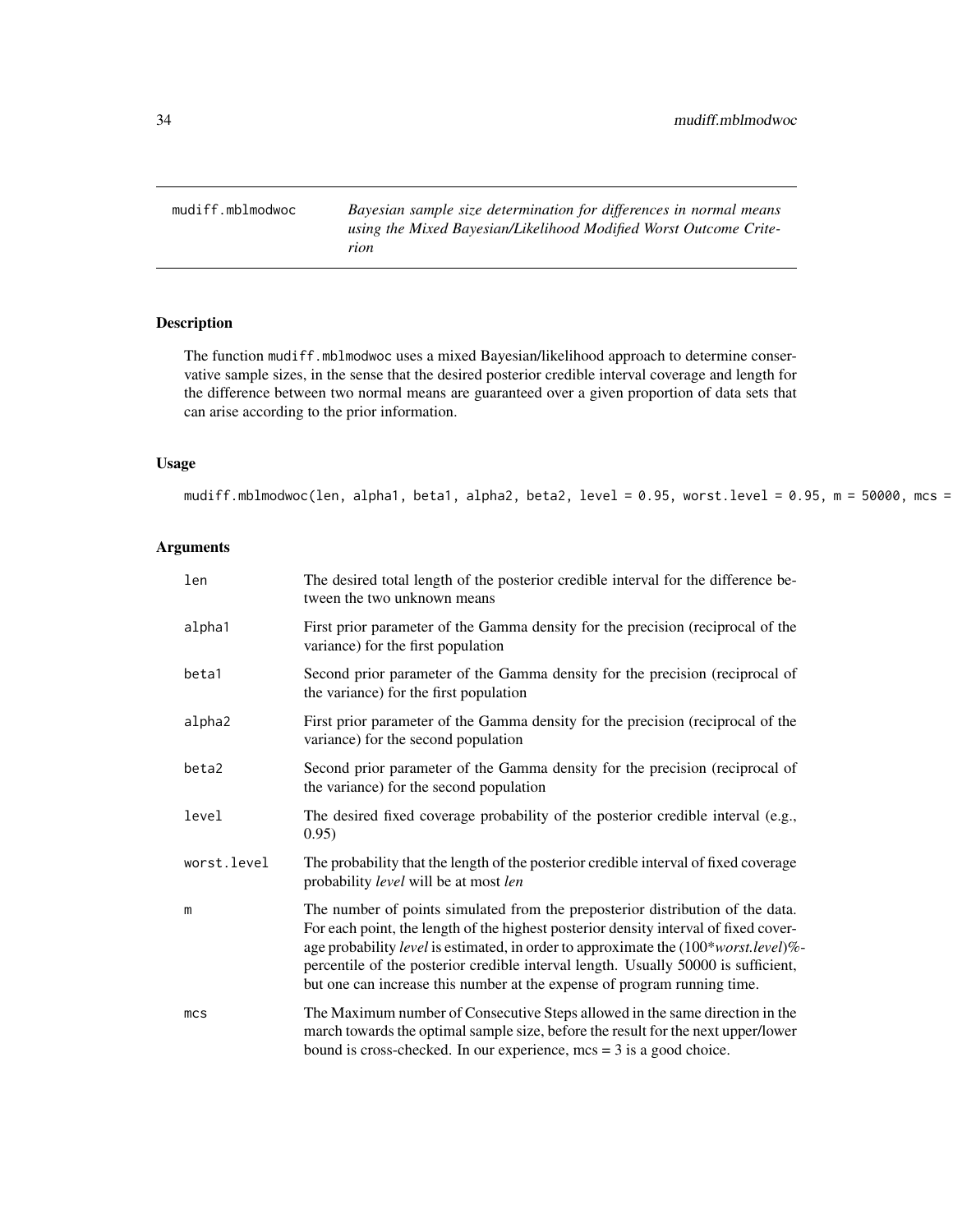<span id="page-33-1"></span><span id="page-33-0"></span>mudiff.mblmodwoc *Bayesian sample size determination for differences in normal means using the Mixed Bayesian/Likelihood Modified Worst Outcome Criterion*

# Description

The function mudiff.mblmodwoc uses a mixed Bayesian/likelihood approach to determine conservative sample sizes, in the sense that the desired posterior credible interval coverage and length for the difference between two normal means are guaranteed over a given proportion of data sets that can arise according to the prior information.

# Usage

```
mudiff.mblmodwoc(len, alpha1, beta1, alpha2, beta2, level = 0.95, worst.level = 0.95, m = 50000, mcs =
```
# Arguments

| len             | The desired total length of the posterior credible interval for the difference be-<br>tween the two unknown means                                                                                                                                                                                                                                                                                                               |
|-----------------|---------------------------------------------------------------------------------------------------------------------------------------------------------------------------------------------------------------------------------------------------------------------------------------------------------------------------------------------------------------------------------------------------------------------------------|
| alpha1          | First prior parameter of the Gamma density for the precision (reciprocal of the<br>variance) for the first population                                                                                                                                                                                                                                                                                                           |
| beta1           | Second prior parameter of the Gamma density for the precision (reciprocal of<br>the variance) for the first population                                                                                                                                                                                                                                                                                                          |
| alpha2          | First prior parameter of the Gamma density for the precision (reciprocal of the<br>variance) for the second population                                                                                                                                                                                                                                                                                                          |
| beta2           | Second prior parameter of the Gamma density for the precision (reciprocal of<br>the variance) for the second population                                                                                                                                                                                                                                                                                                         |
| level           | The desired fixed coverage probability of the posterior credible interval (e.g.,<br>0.95)                                                                                                                                                                                                                                                                                                                                       |
| worst.level     | The probability that the length of the posterior credible interval of fixed coverage<br>probability level will be at most len                                                                                                                                                                                                                                                                                                   |
| m               | The number of points simulated from the preposterior distribution of the data.<br>For each point, the length of the highest posterior density interval of fixed cover-<br>age probability level is estimated, in order to approximate the (100*worst.level)%-<br>percentile of the posterior credible interval length. Usually 50000 is sufficient,<br>but one can increase this number at the expense of program running time. |
| mc <sub>S</sub> | The Maximum number of Consecutive Steps allowed in the same direction in the<br>march towards the optimal sample size, before the result for the next upper/lower<br>bound is cross-checked. In our experience, $mcs = 3$ is a good choice.                                                                                                                                                                                     |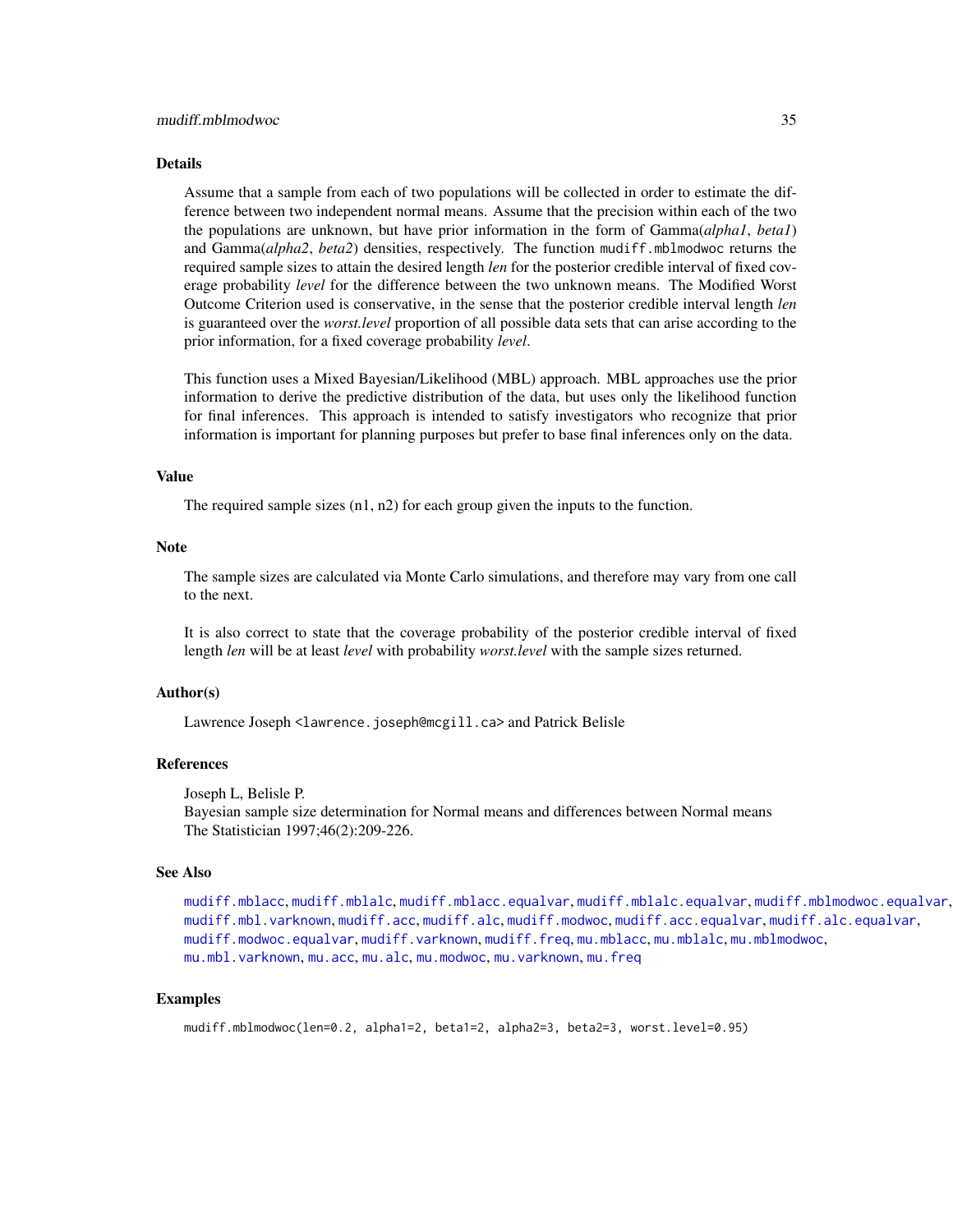#### <span id="page-34-0"></span>Details

Assume that a sample from each of two populations will be collected in order to estimate the difference between two independent normal means. Assume that the precision within each of the two the populations are unknown, but have prior information in the form of Gamma(*alpha1*, *beta1*) and Gamma(*alpha2*, *beta2*) densities, respectively. The function mudiff.mblmodwoc returns the required sample sizes to attain the desired length *len* for the posterior credible interval of fixed coverage probability *level* for the difference between the two unknown means. The Modified Worst Outcome Criterion used is conservative, in the sense that the posterior credible interval length *len* is guaranteed over the *worst.level* proportion of all possible data sets that can arise according to the prior information, for a fixed coverage probability *level*.

This function uses a Mixed Bayesian/Likelihood (MBL) approach. MBL approaches use the prior information to derive the predictive distribution of the data, but uses only the likelihood function for final inferences. This approach is intended to satisfy investigators who recognize that prior information is important for planning purposes but prefer to base final inferences only on the data.

# Value

The required sample sizes (n1, n2) for each group given the inputs to the function.

#### Note

The sample sizes are calculated via Monte Carlo simulations, and therefore may vary from one call to the next.

It is also correct to state that the coverage probability of the posterior credible interval of fixed length *len* will be at least *level* with probability *worst.level* with the sample sizes returned.

# Author(s)

Lawrence Joseph <lawrence.joseph@mcgill.ca> and Patrick Belisle

# References

Joseph L, Belisle P.

Bayesian sample size determination for Normal means and differences between Normal means The Statistician 1997;46(2):209-226.

#### See Also

```
mudiff.mblacc, mudiff.mblalc, mudiff.mblacc.equalvar, mudiff.mblalc.equalvar, mudiff.mblmodwoc.equalvar,
mudiff.mbl.varknown, mudiff.acc, mudiff.alc, mudiff.modwoc, mudiff.acc.equalvar, mudiff.alc.equalvar,
mudiff.modwoc.equalvar, mudiff.varknown, mudiff.freq, mu.mblacc, mu.mblalc, mu.mblmodwoc,
mu.mbl.varknown, mu.acc, mu.alc, mu.modwoc, mu.varknown, mu.freq
```
# Examples

```
mudiff.mblmodwoc(len=0.2, alpha1=2, beta1=2, alpha2=3, beta2=3, worst.level=0.95)
```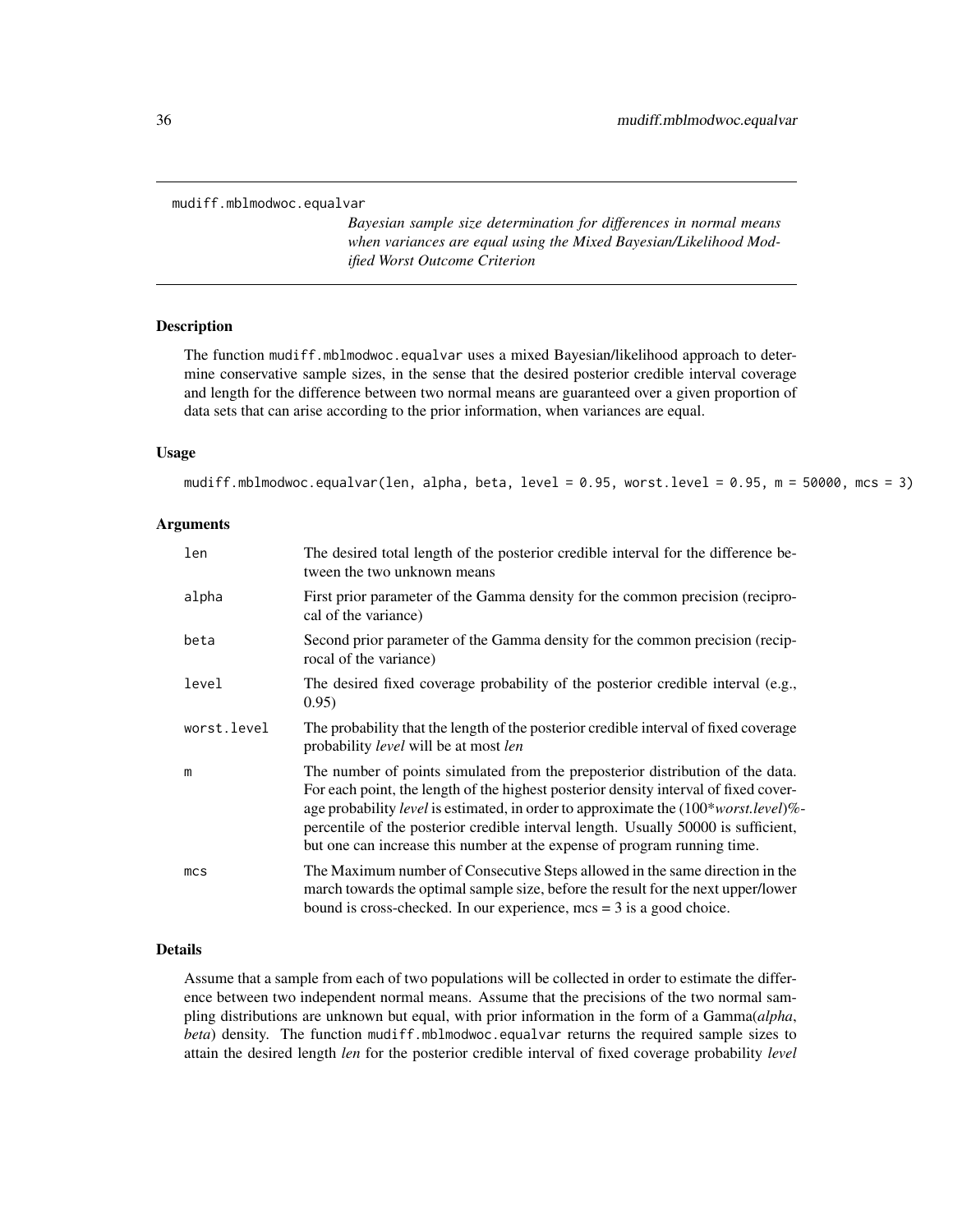<span id="page-35-1"></span><span id="page-35-0"></span>mudiff.mblmodwoc.equalvar

*Bayesian sample size determination for differences in normal means when variances are equal using the Mixed Bayesian/Likelihood Modified Worst Outcome Criterion*

#### Description

The function mudiff.mblmodwoc.equalvar uses a mixed Bayesian/likelihood approach to determine conservative sample sizes, in the sense that the desired posterior credible interval coverage and length for the difference between two normal means are guaranteed over a given proportion of data sets that can arise according to the prior information, when variances are equal.

#### Usage

```
mudiff.mblmodwoc.equalvar(len, alpha, beta, level = 0.95, worst.level = 0.95, m = 50000, mcs = 3)
```
# Arguments

| len             | The desired total length of the posterior credible interval for the difference be-<br>tween the two unknown means                                                                                                                                                                                                                                                                                                               |
|-----------------|---------------------------------------------------------------------------------------------------------------------------------------------------------------------------------------------------------------------------------------------------------------------------------------------------------------------------------------------------------------------------------------------------------------------------------|
| alpha           | First prior parameter of the Gamma density for the common precision (recipro-<br>cal of the variance)                                                                                                                                                                                                                                                                                                                           |
| beta            | Second prior parameter of the Gamma density for the common precision (recip-<br>rocal of the variance)                                                                                                                                                                                                                                                                                                                          |
| level           | The desired fixed coverage probability of the posterior credible interval (e.g.,<br>0.95)                                                                                                                                                                                                                                                                                                                                       |
| worst.level     | The probability that the length of the posterior credible interval of fixed coverage<br>probability <i>level</i> will be at most <i>len</i>                                                                                                                                                                                                                                                                                     |
| m               | The number of points simulated from the preposterior distribution of the data.<br>For each point, the length of the highest posterior density interval of fixed cover-<br>age probability level is estimated, in order to approximate the (100*worst.level)%-<br>percentile of the posterior credible interval length. Usually 50000 is sufficient,<br>but one can increase this number at the expense of program running time. |
| mc <sub>S</sub> | The Maximum number of Consecutive Steps allowed in the same direction in the<br>march towards the optimal sample size, before the result for the next upper/lower<br>bound is cross-checked. In our experience, $mcs = 3$ is a good choice.                                                                                                                                                                                     |

# Details

Assume that a sample from each of two populations will be collected in order to estimate the difference between two independent normal means. Assume that the precisions of the two normal sampling distributions are unknown but equal, with prior information in the form of a Gamma(*alpha*, *beta*) density. The function mudiff.mblmodwoc.equalvar returns the required sample sizes to attain the desired length *len* for the posterior credible interval of fixed coverage probability *level*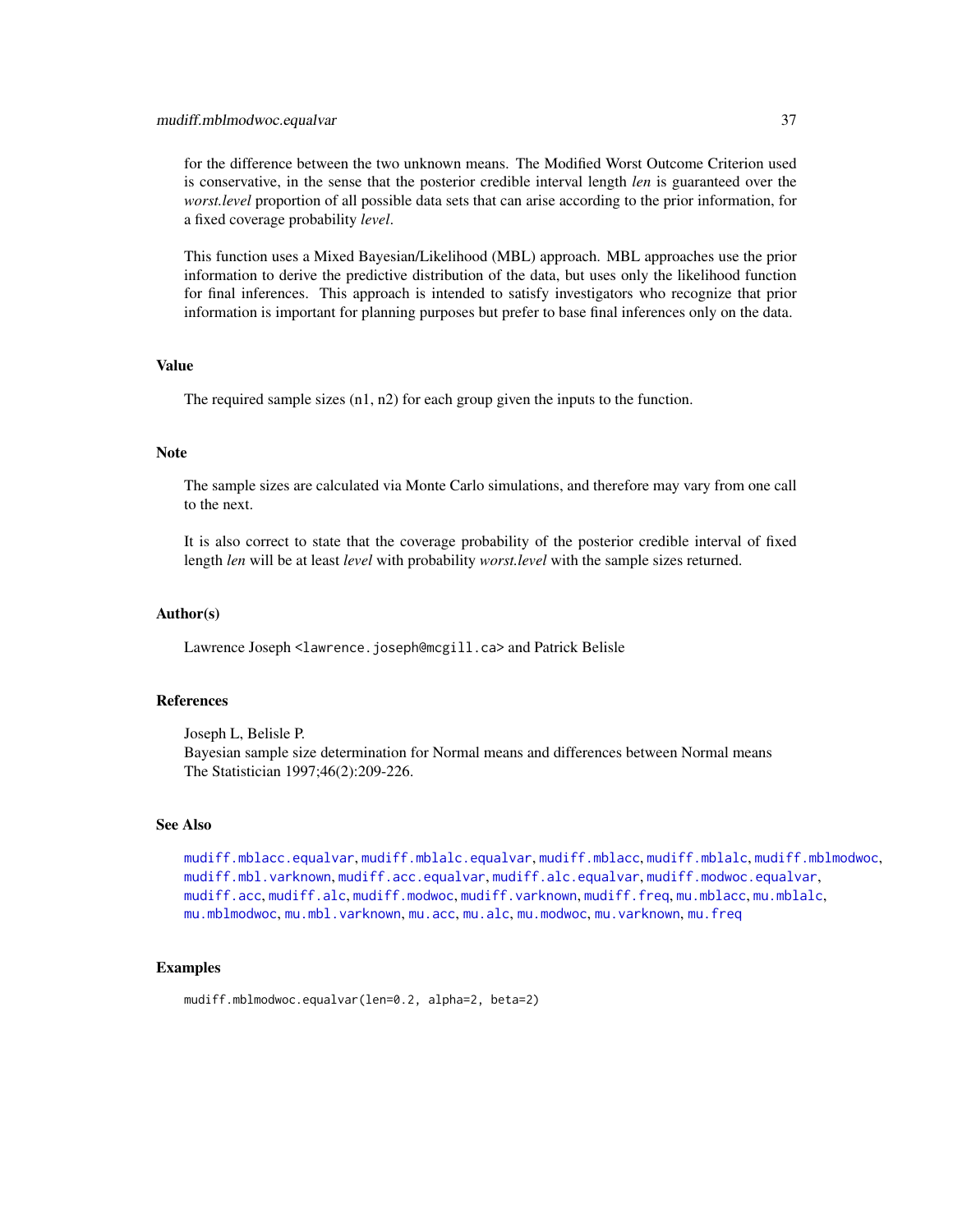#### <span id="page-36-0"></span>mudiff.mblmodwoc.equalvar 37

for the difference between the two unknown means. The Modified Worst Outcome Criterion used is conservative, in the sense that the posterior credible interval length *len* is guaranteed over the *worst.level* proportion of all possible data sets that can arise according to the prior information, for a fixed coverage probability *level*.

This function uses a Mixed Bayesian/Likelihood (MBL) approach. MBL approaches use the prior information to derive the predictive distribution of the data, but uses only the likelihood function for final inferences. This approach is intended to satisfy investigators who recognize that prior information is important for planning purposes but prefer to base final inferences only on the data.

# Value

The required sample sizes (n1, n2) for each group given the inputs to the function.

# Note

The sample sizes are calculated via Monte Carlo simulations, and therefore may vary from one call to the next.

It is also correct to state that the coverage probability of the posterior credible interval of fixed length *len* will be at least *level* with probability *worst.level* with the sample sizes returned.

# Author(s)

Lawrence Joseph <lawrence.joseph@mcgill.ca> and Patrick Belisle

# References

Joseph L, Belisle P. Bayesian sample size determination for Normal means and differences between Normal means The Statistician 1997;46(2):209-226.

#### See Also

[mudiff.mblacc.equalvar](#page-28-1), [mudiff.mblalc.equalvar](#page-31-1), [mudiff.mblacc](#page-26-1), [mudiff.mblalc](#page-29-1), [mudiff.mblmodwoc](#page-33-1), [mudiff.mbl.varknown](#page-24-1), [mudiff.acc.equalvar](#page-18-1), [mudiff.alc.equalvar](#page-21-1), [mudiff.modwoc.equalvar](#page-39-1), [mudiff.acc](#page-16-1), [mudiff.alc](#page-19-1), [mudiff.modwoc](#page-37-1), [mudiff.varknown](#page-41-1), [mudiff.freq](#page-23-1), [mu.mblacc](#page-8-1), [mu.mblalc](#page-9-1), [mu.mblmodwoc](#page-11-1), [mu.mbl.varknown](#page-6-1), [mu.acc](#page-2-1), [mu.alc](#page-4-1), [mu.modwoc](#page-13-1), [mu.varknown](#page-14-1), [mu.freq](#page-5-1)

# Examples

mudiff.mblmodwoc.equalvar(len=0.2, alpha=2, beta=2)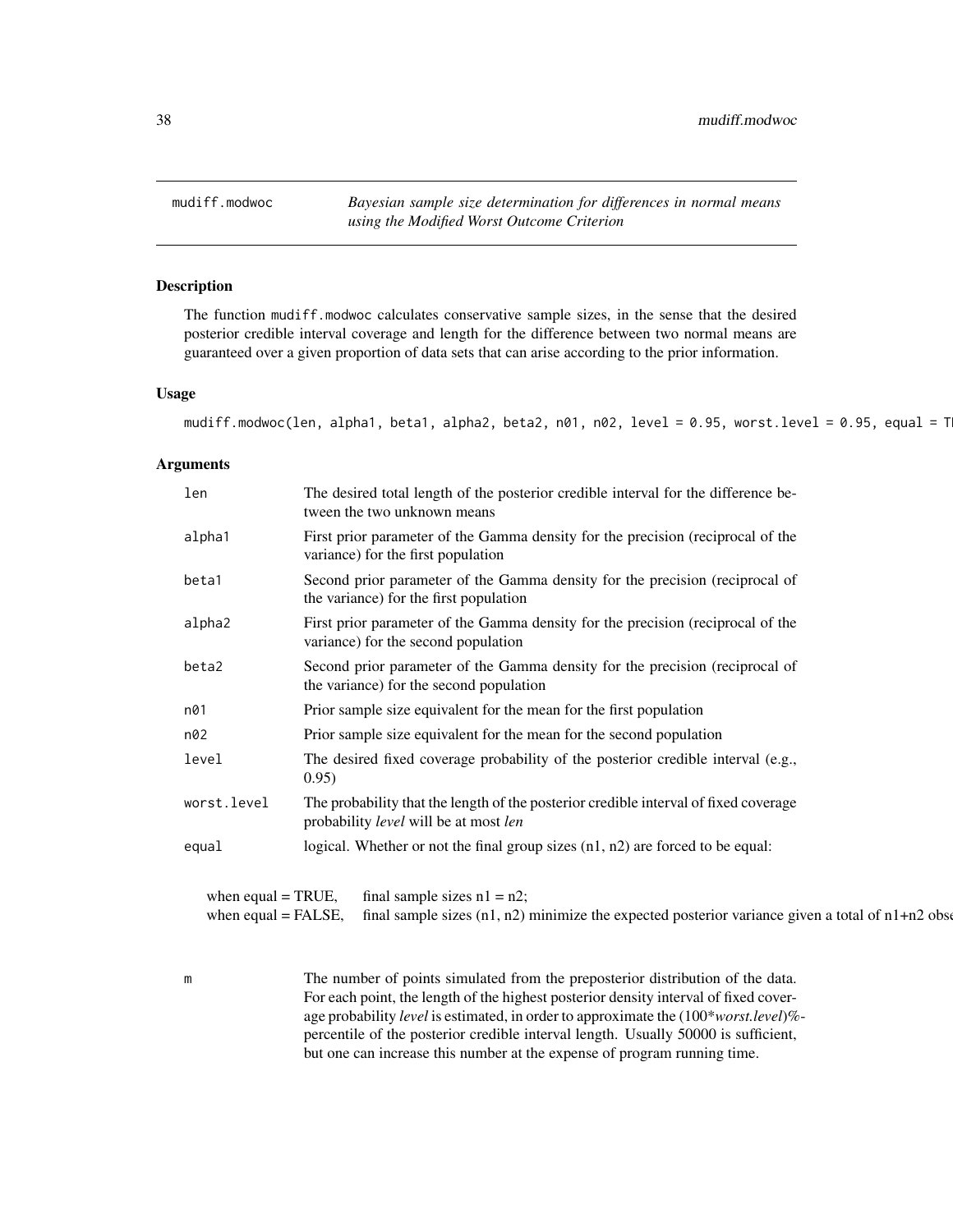<span id="page-37-1"></span><span id="page-37-0"></span>mudiff.modwoc *Bayesian sample size determination for differences in normal means using the Modified Worst Outcome Criterion*

# Description

The function mudiff.modwoc calculates conservative sample sizes, in the sense that the desired posterior credible interval coverage and length for the difference between two normal means are guaranteed over a given proportion of data sets that can arise according to the prior information.

# Usage

mudiff.modwoc(len, alpha1, beta1, alpha2, beta2, n01, n02, level = 0.95, worst.level = 0.95, equal = T

#### Arguments

| len                                                                                                                                                                                      | The desired total length of the posterior credible interval for the difference be-<br>tween the two unknown means             |
|------------------------------------------------------------------------------------------------------------------------------------------------------------------------------------------|-------------------------------------------------------------------------------------------------------------------------------|
| alpha1                                                                                                                                                                                   | First prior parameter of the Gamma density for the precision (reciprocal of the<br>variance) for the first population         |
| beta1                                                                                                                                                                                    | Second prior parameter of the Gamma density for the precision (reciprocal of<br>the variance) for the first population        |
| alpha2                                                                                                                                                                                   | First prior parameter of the Gamma density for the precision (reciprocal of the<br>variance) for the second population        |
| beta2                                                                                                                                                                                    | Second prior parameter of the Gamma density for the precision (reciprocal of<br>the variance) for the second population       |
| n01                                                                                                                                                                                      | Prior sample size equivalent for the mean for the first population                                                            |
| n02                                                                                                                                                                                      | Prior sample size equivalent for the mean for the second population                                                           |
| level                                                                                                                                                                                    | The desired fixed coverage probability of the posterior credible interval (e.g.,<br>0.95)                                     |
| worst.level                                                                                                                                                                              | The probability that the length of the posterior credible interval of fixed coverage<br>probability level will be at most len |
| equal                                                                                                                                                                                    | logical. Whether or not the final group sizes $(n1, n2)$ are forced to be equal:                                              |
| when equal $=$ TRUE,<br>final sample sizes $n1 = n2$ ;<br>when equal $=$ FALSE,<br>final sample sizes $(n1, n2)$ minimize the expected posterior variance given a total of $n1+n2$ obset |                                                                                                                               |

m The number of points simulated from the preposterior distribution of the data. For each point, the length of the highest posterior density interval of fixed coverage probability *level* is estimated, in order to approximate the (100\**worst.level*)% percentile of the posterior credible interval length. Usually 50000 is sufficient, but one can increase this number at the expense of program running time.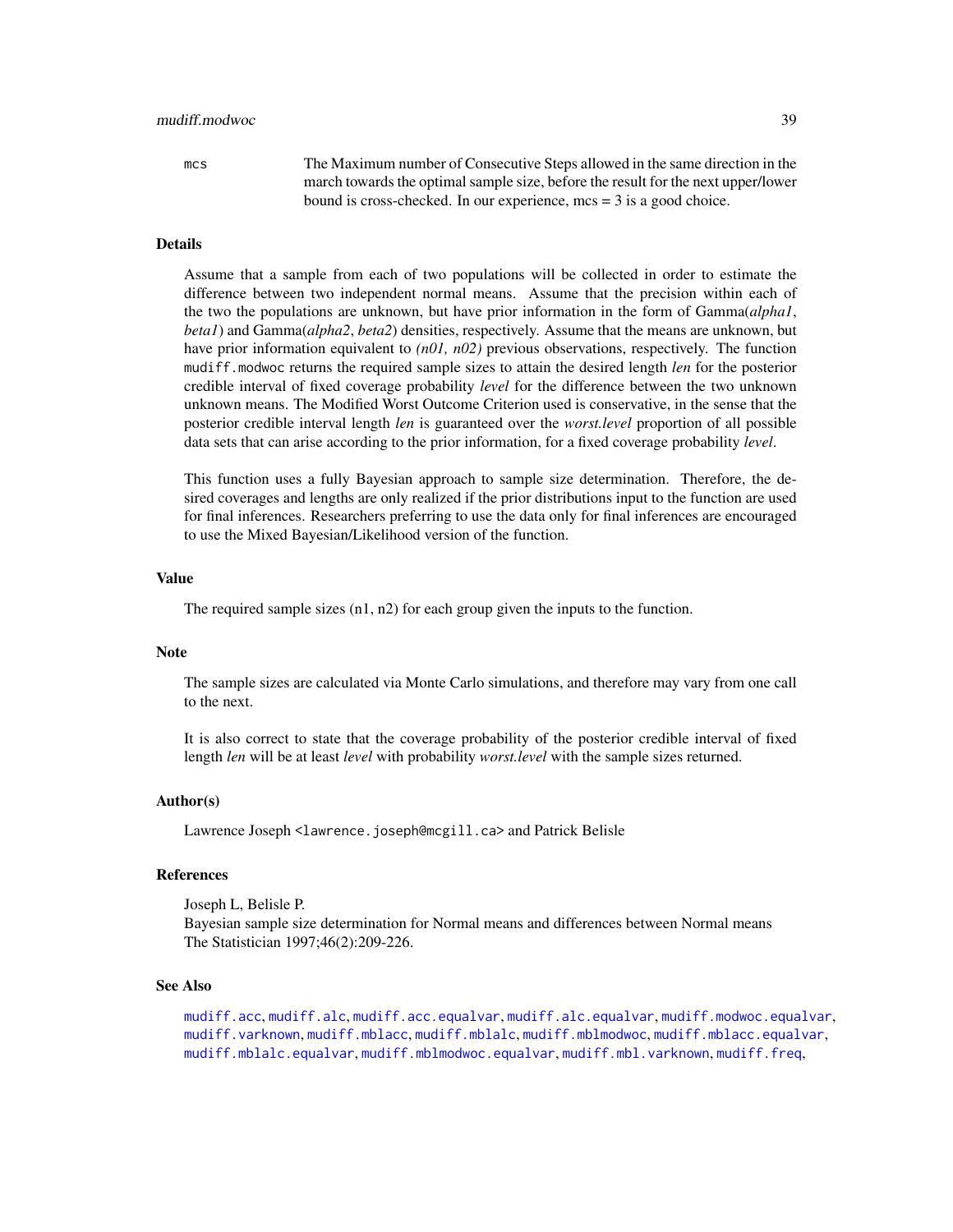<span id="page-38-0"></span>mcs The Maximum number of Consecutive Steps allowed in the same direction in the march towards the optimal sample size, before the result for the next upper/lower bound is cross-checked. In our experience, mcs = 3 is a good choice.

# Details

Assume that a sample from each of two populations will be collected in order to estimate the difference between two independent normal means. Assume that the precision within each of the two the populations are unknown, but have prior information in the form of Gamma(*alpha1*, *beta1*) and Gamma(*alpha2*, *beta2*) densities, respectively. Assume that the means are unknown, but have prior information equivalent to *(n01, n02)* previous observations, respectively. The function mudiff.modwoc returns the required sample sizes to attain the desired length *len* for the posterior credible interval of fixed coverage probability *level* for the difference between the two unknown unknown means. The Modified Worst Outcome Criterion used is conservative, in the sense that the posterior credible interval length *len* is guaranteed over the *worst.level* proportion of all possible data sets that can arise according to the prior information, for a fixed coverage probability *level*.

This function uses a fully Bayesian approach to sample size determination. Therefore, the desired coverages and lengths are only realized if the prior distributions input to the function are used for final inferences. Researchers preferring to use the data only for final inferences are encouraged to use the Mixed Bayesian/Likelihood version of the function.

#### Value

The required sample sizes (n1, n2) for each group given the inputs to the function.

# Note

The sample sizes are calculated via Monte Carlo simulations, and therefore may vary from one call to the next.

It is also correct to state that the coverage probability of the posterior credible interval of fixed length *len* will be at least *level* with probability *worst.level* with the sample sizes returned.

#### Author(s)

Lawrence Joseph <lawrence.joseph@mcgill.ca> and Patrick Belisle

#### References

Joseph L, Belisle P. Bayesian sample size determination for Normal means and differences between Normal means The Statistician 1997;46(2):209-226.

#### See Also

[mudiff.acc](#page-16-1), [mudiff.alc](#page-19-1), [mudiff.acc.equalvar](#page-18-1), [mudiff.alc.equalvar](#page-21-1), [mudiff.modwoc.equalvar](#page-39-1), [mudiff.varknown](#page-41-1), [mudiff.mblacc](#page-26-1), [mudiff.mblalc](#page-29-1), [mudiff.mblmodwoc](#page-33-1), [mudiff.mblacc.equalvar](#page-28-1), [mudiff.mblalc.equalvar](#page-31-1), [mudiff.mblmodwoc.equalvar](#page-35-1), [mudiff.mbl.varknown](#page-24-1), [mudiff.freq](#page-23-1),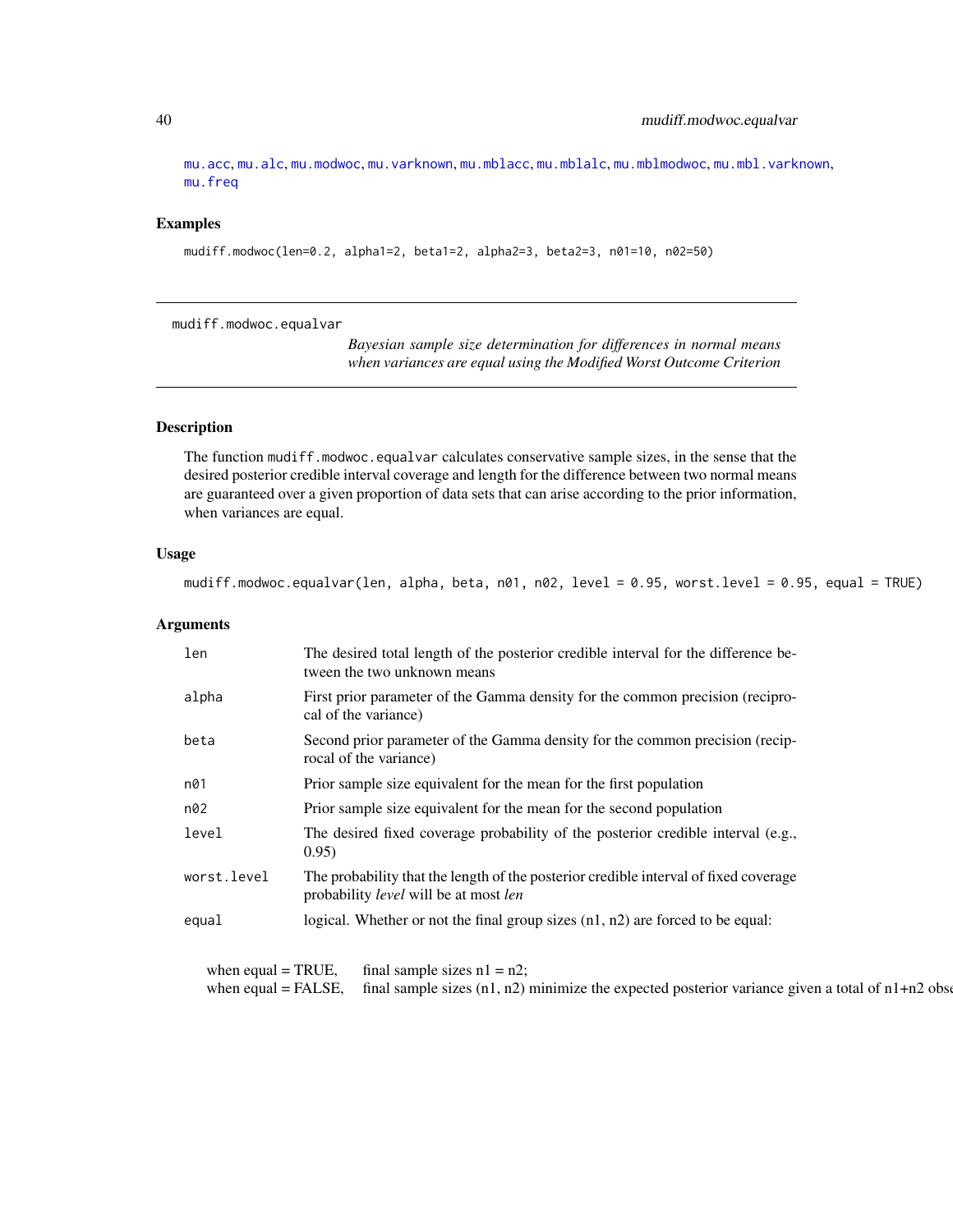[mu.acc](#page-2-1), [mu.alc](#page-4-1), [mu.modwoc](#page-13-1), [mu.varknown](#page-14-1), [mu.mblacc](#page-8-1), [mu.mblalc](#page-9-1), [mu.mblmodwoc](#page-11-1), [mu.mbl.varknown](#page-6-1), [mu.freq](#page-5-1)

# Examples

mudiff.modwoc(len=0.2, alpha1=2, beta1=2, alpha2=3, beta2=3, n01=10, n02=50)

<span id="page-39-1"></span>mudiff.modwoc.equalvar

*Bayesian sample size determination for differences in normal means when variances are equal using the Modified Worst Outcome Criterion*

# Description

The function mudiff.modwoc.equalvar calculates conservative sample sizes, in the sense that the desired posterior credible interval coverage and length for the difference between two normal means are guaranteed over a given proportion of data sets that can arise according to the prior information, when variances are equal.

# Usage

mudiff.modwoc.equalvar(len, alpha, beta, n01, n02, level = 0.95, worst.level = 0.95, equal = TRUE)

# Arguments

| len                                                    | The desired total length of the posterior credible interval for the difference be-<br>tween the two unknown means                           |
|--------------------------------------------------------|---------------------------------------------------------------------------------------------------------------------------------------------|
| alpha                                                  | First prior parameter of the Gamma density for the common precision (recipro-<br>cal of the variance)                                       |
| beta                                                   | Second prior parameter of the Gamma density for the common precision (recip-<br>rocal of the variance)                                      |
| n01                                                    | Prior sample size equivalent for the mean for the first population                                                                          |
| n02                                                    | Prior sample size equivalent for the mean for the second population                                                                         |
| level                                                  | The desired fixed coverage probability of the posterior credible interval (e.g.,<br>0.95)                                                   |
| worst.level                                            | The probability that the length of the posterior credible interval of fixed coverage<br>probability <i>level</i> will be at most <i>len</i> |
| equal                                                  | logical. Whether or not the final group sizes $(n1, n2)$ are forced to be equal:                                                            |
| when equal $=$ TRUE,<br>final sample sizes $n1 = n2$ ; |                                                                                                                                             |

when equal = FALSE, final sample sizes  $(n1, n2)$  minimize the expected posterior variance given a total of  $n1+n2$  observations

<span id="page-39-0"></span>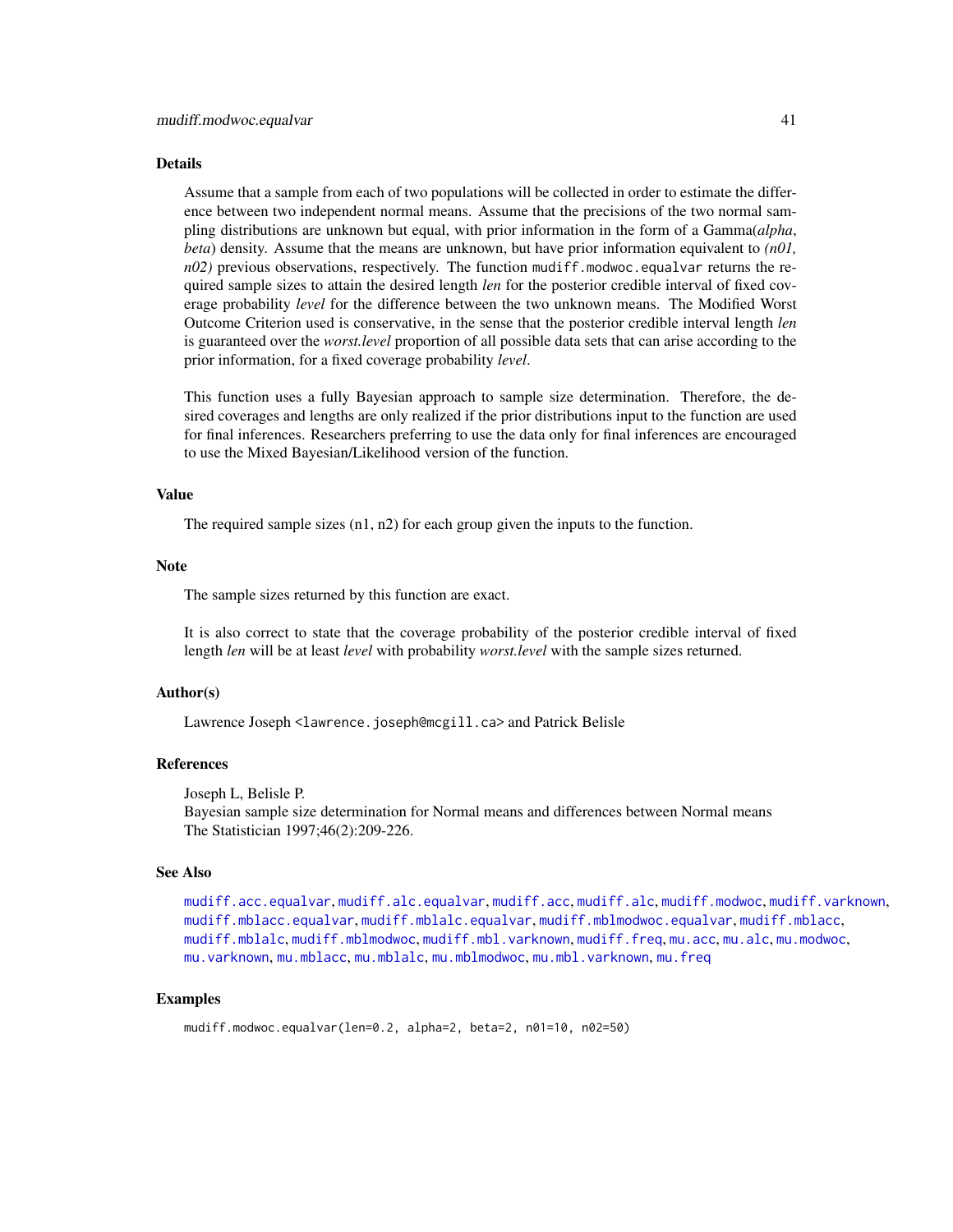#### <span id="page-40-0"></span>Details

Assume that a sample from each of two populations will be collected in order to estimate the difference between two independent normal means. Assume that the precisions of the two normal sampling distributions are unknown but equal, with prior information in the form of a Gamma(*alpha*, *beta*) density. Assume that the means are unknown, but have prior information equivalent to *(n01, n02)* previous observations, respectively. The function mudiff.modwoc.equalvar returns the required sample sizes to attain the desired length *len* for the posterior credible interval of fixed coverage probability *level* for the difference between the two unknown means. The Modified Worst Outcome Criterion used is conservative, in the sense that the posterior credible interval length *len* is guaranteed over the *worst.level* proportion of all possible data sets that can arise according to the prior information, for a fixed coverage probability *level*.

This function uses a fully Bayesian approach to sample size determination. Therefore, the desired coverages and lengths are only realized if the prior distributions input to the function are used for final inferences. Researchers preferring to use the data only for final inferences are encouraged to use the Mixed Bayesian/Likelihood version of the function.

#### Value

The required sample sizes  $(n1, n2)$  for each group given the inputs to the function.

#### **Note**

The sample sizes returned by this function are exact.

It is also correct to state that the coverage probability of the posterior credible interval of fixed length *len* will be at least *level* with probability *worst.level* with the sample sizes returned.

# Author(s)

Lawrence Joseph <lawrence.joseph@mcgill.ca> and Patrick Belisle

## References

Joseph L, Belisle P.

Bayesian sample size determination for Normal means and differences between Normal means The Statistician 1997;46(2):209-226.

#### See Also

```
mudiff.acc.equalvar, mudiff.alc.equalvar, mudiff.acc, mudiff.alc, mudiff.modwoc, mudiff.varknown,
mudiff.mblacc.equalvar, mudiff.mblalc.equalvar, mudiff.mblmodwoc.equalvar, mudiff.mblacc,
mudiff.mblalc, mudiff.mblmodwoc, mudiff.mbl.varknown, mudiff.freq, mu.acc, mu.alc, mu.modwoc,
mu.varknown, mu.mblacc, mu.mblalc, mu.mblmodwoc, mu.mbl.varknown, mu.freq
```
# Examples

```
mudiff.modwoc.equalvar(len=0.2, alpha=2, beta=2, n01=10, n02=50)
```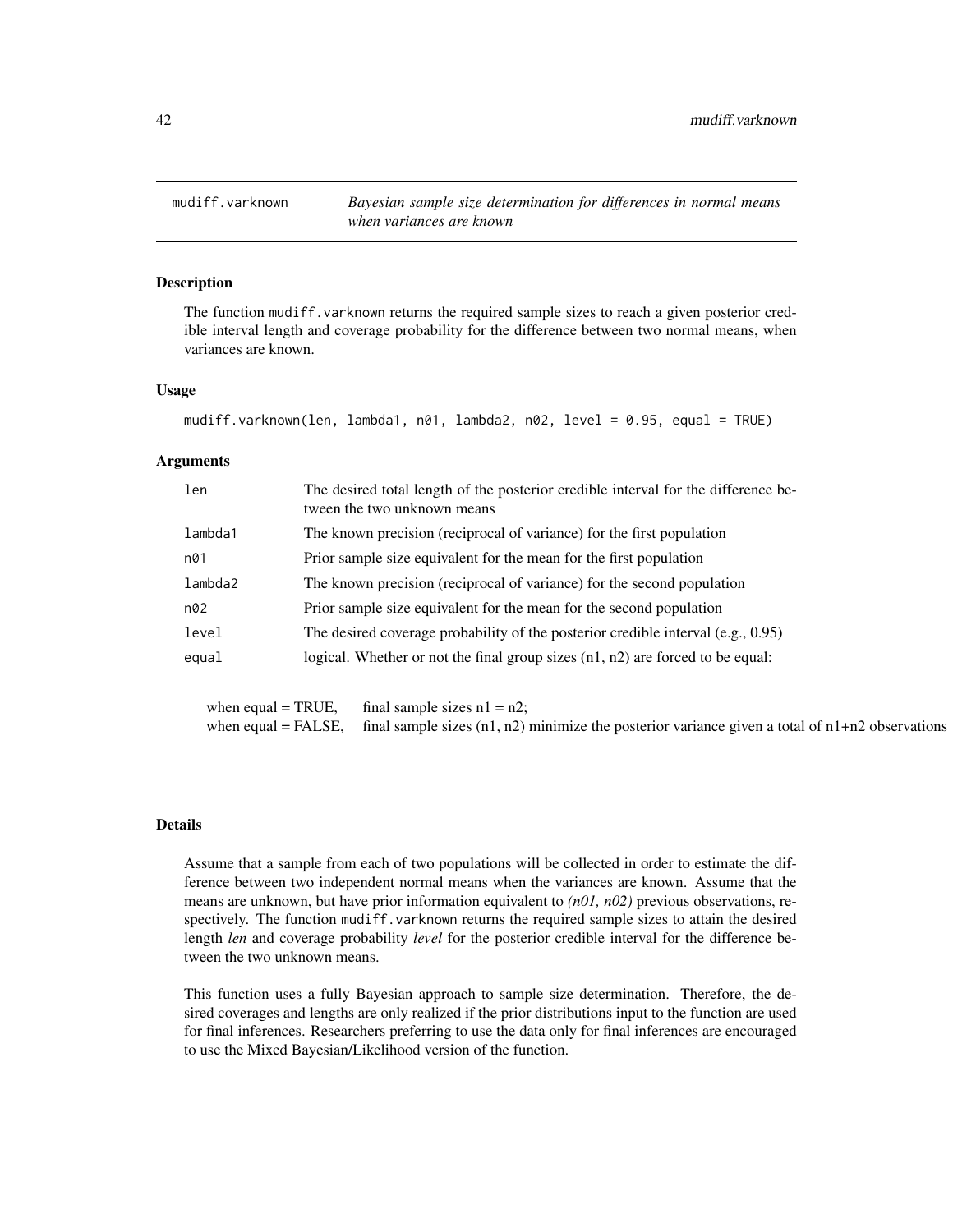<span id="page-41-1"></span><span id="page-41-0"></span>

# Description

The function mudiff. varknown returns the required sample sizes to reach a given posterior credible interval length and coverage probability for the difference between two normal means, when variances are known.

# Usage

```
mudiff.varknown(len, lambda1, n01, lambda2, n02, level = 0.95, equal = TRUE)
```
# Arguments

| len     | The desired total length of the posterior credible interval for the difference be-<br>tween the two unknown means |
|---------|-------------------------------------------------------------------------------------------------------------------|
| lambda1 | The known precision (reciprocal of variance) for the first population                                             |
| n01     | Prior sample size equivalent for the mean for the first population                                                |
| lambda2 | The known precision (reciprocal of variance) for the second population                                            |
| n02     | Prior sample size equivalent for the mean for the second population                                               |
| level   | The desired coverage probability of the posterior credible interval $(e.g., 0.95)$                                |
| equal   | logical. Whether or not the final group sizes $(n1, n2)$ are forced to be equal:                                  |

when equal = TRUE, final sample sizes  $n1 = n2$ ; when equal = FALSE, final sample sizes  $(n1, n2)$  minimize the posterior variance given a total of  $n1+n2$  observations

#### Details

Assume that a sample from each of two populations will be collected in order to estimate the difference between two independent normal means when the variances are known. Assume that the means are unknown, but have prior information equivalent to *(n01, n02)* previous observations, respectively. The function mudiff.varknown returns the required sample sizes to attain the desired length *len* and coverage probability *level* for the posterior credible interval for the difference between the two unknown means.

This function uses a fully Bayesian approach to sample size determination. Therefore, the desired coverages and lengths are only realized if the prior distributions input to the function are used for final inferences. Researchers preferring to use the data only for final inferences are encouraged to use the Mixed Bayesian/Likelihood version of the function.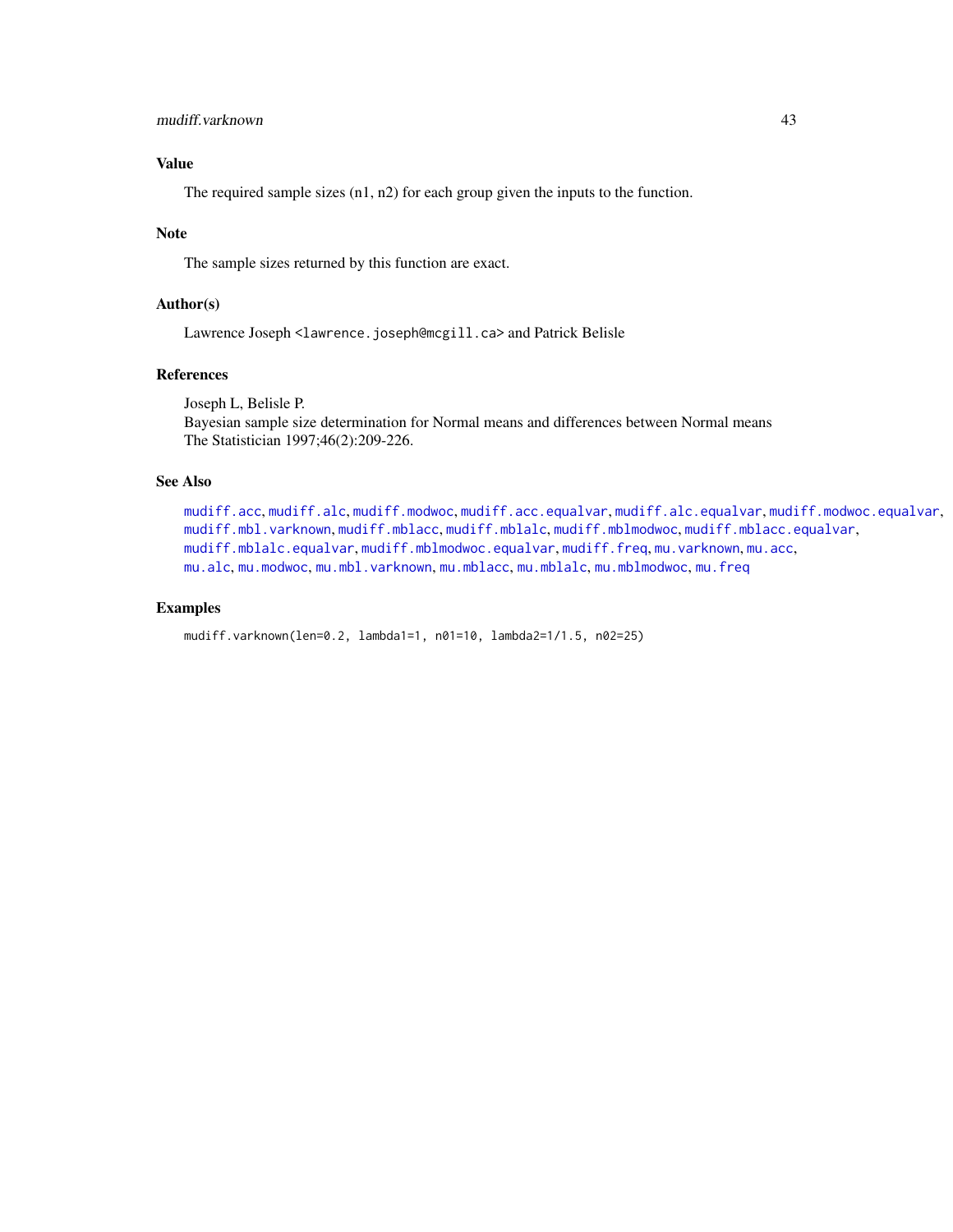# <span id="page-42-0"></span>Value

The required sample sizes (n1, n2) for each group given the inputs to the function.

# Note

The sample sizes returned by this function are exact.

# Author(s)

Lawrence Joseph <lawrence.joseph@mcgill.ca> and Patrick Belisle

# References

Joseph L, Belisle P.

Bayesian sample size determination for Normal means and differences between Normal means The Statistician 1997;46(2):209-226.

# See Also

```
mudiff.acc, mudiff.alc, mudiff.modwoc, mudiff.acc.equalvar, mudiff.alc.equalvar, mudiff.modwoc.equalvar,
mudiff.mbl.varknown, mudiff.mblacc, mudiff.mblalc, mudiff.mblmodwoc, mudiff.mblacc.equalvar,
mudiff.mblalc.equalvar, mudiff.mblmodwoc.equalvar, mudiff.freq, mu.varknown, mu.acc,
mu.alcmu.modwocmu.mbl.varknownmu.mblaccmu.mblalcmu.mblmodwocmu.freq
```
# Examples

```
mudiff.varknown(len=0.2, lambda1=1, n01=10, lambda2=1/1.5, n02=25)
```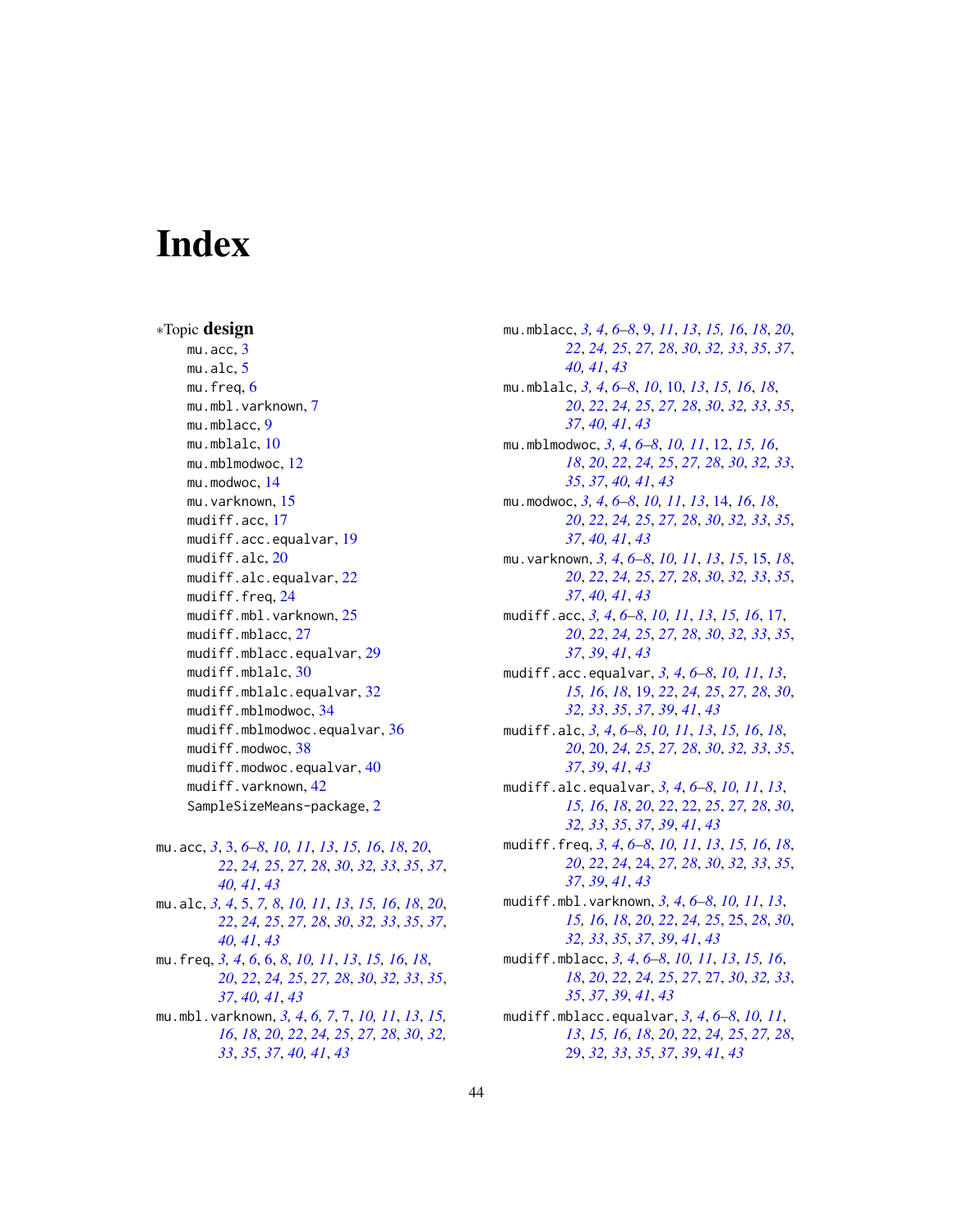# <span id="page-43-0"></span>**Index**

∗Topic design mu.acc, [3](#page-2-0) mu.alc, [5](#page-4-0) mu.freq, [6](#page-5-0) mu.mbl.varknown, [7](#page-6-0) mu.mblacc, [9](#page-8-0) mu.mblalc, [10](#page-9-0) mu.mblmodwoc, [12](#page-11-0) mu.modwoc, [14](#page-13-0) mu.varknown, [15](#page-14-0) mudiff.acc, [17](#page-16-0) mudiff.acc.equalvar, [19](#page-18-0) mudiff.alc, [20](#page-19-0) mudiff.alc.equalvar, [22](#page-21-0) mudiff.freq, [24](#page-23-0) mudiff.mbl.varknown, [25](#page-24-0) mudiff.mblacc, [27](#page-26-0) mudiff.mblacc.equalvar, [29](#page-28-0) mudiff.mblalc, [30](#page-29-0) mudiff.mblalc.equalvar, [32](#page-31-0) mudiff.mblmodwoc, [34](#page-33-0) mudiff.mblmodwoc.equalvar, [36](#page-35-0) mudiff.modwoc, [38](#page-37-0) mudiff.modwoc.equalvar, [40](#page-39-0) mudiff.varknown, [42](#page-41-0) SampleSizeMeans-package, [2](#page-1-0)

mu.acc, *[3](#page-2-0)*, [3,](#page-2-0) *[6](#page-5-0)[–8](#page-7-0)*, *[10,](#page-9-0) [11](#page-10-0)*, *[13](#page-12-0)*, *[15,](#page-14-0) [16](#page-15-0)*, *[18](#page-17-0)*, *[20](#page-19-0)*, *[22](#page-21-0)*, *[24,](#page-23-0) [25](#page-24-0)*, *[27,](#page-26-0) [28](#page-27-0)*, *[30](#page-29-0)*, *[32,](#page-31-0) [33](#page-32-0)*, *[35](#page-34-0)*, *[37](#page-36-0)*, *[40,](#page-39-0) [41](#page-40-0)*, *[43](#page-42-0)* mu.alc, *[3,](#page-2-0) [4](#page-3-0)*, [5,](#page-4-0) *[7,](#page-6-0) [8](#page-7-0)*, *[10,](#page-9-0) [11](#page-10-0)*, *[13](#page-12-0)*, *[15,](#page-14-0) [16](#page-15-0)*, *[18](#page-17-0)*, *[20](#page-19-0)*, *[22](#page-21-0)*, *[24,](#page-23-0) [25](#page-24-0)*, *[27,](#page-26-0) [28](#page-27-0)*, *[30](#page-29-0)*, *[32,](#page-31-0) [33](#page-32-0)*, *[35](#page-34-0)*, *[37](#page-36-0)*, *[40,](#page-39-0) [41](#page-40-0)*, *[43](#page-42-0)* mu.freq, *[3,](#page-2-0) [4](#page-3-0)*, *[6](#page-5-0)*, [6,](#page-5-0) *[8](#page-7-0)*, *[10,](#page-9-0) [11](#page-10-0)*, *[13](#page-12-0)*, *[15,](#page-14-0) [16](#page-15-0)*, *[18](#page-17-0)*, *[20](#page-19-0)*, *[22](#page-21-0)*, *[24,](#page-23-0) [25](#page-24-0)*, *[27,](#page-26-0) [28](#page-27-0)*, *[30](#page-29-0)*, *[32,](#page-31-0) [33](#page-32-0)*, *[35](#page-34-0)*, *[37](#page-36-0)*, *[40,](#page-39-0) [41](#page-40-0)*, *[43](#page-42-0)* mu.mbl.varknown, *[3,](#page-2-0) [4](#page-3-0)*, *[6,](#page-5-0) [7](#page-6-0)*, [7,](#page-6-0) *[10,](#page-9-0) [11](#page-10-0)*, *[13](#page-12-0)*, *[15,](#page-14-0) [16](#page-15-0)*, *[18](#page-17-0)*, *[20](#page-19-0)*, *[22](#page-21-0)*, *[24,](#page-23-0) [25](#page-24-0)*, *[27,](#page-26-0) [28](#page-27-0)*, *[30](#page-29-0)*, *[32,](#page-31-0) [33](#page-32-0)*, *[35](#page-34-0)*, *[37](#page-36-0)*, *[40,](#page-39-0) [41](#page-40-0)*, *[43](#page-42-0)*

mu.mblacc, *[3,](#page-2-0) [4](#page-3-0)*, *[6](#page-5-0)[–8](#page-7-0)*, [9,](#page-8-0) *[11](#page-10-0)*, *[13](#page-12-0)*, *[15,](#page-14-0) [16](#page-15-0)*, *[18](#page-17-0)*, *[20](#page-19-0)*, *[22](#page-21-0)*, *[24,](#page-23-0) [25](#page-24-0)*, *[27,](#page-26-0) [28](#page-27-0)*, *[30](#page-29-0)*, *[32,](#page-31-0) [33](#page-32-0)*, *[35](#page-34-0)*, *[37](#page-36-0)*, *[40,](#page-39-0) [41](#page-40-0)*, *[43](#page-42-0)* mu.mblalc, *[3,](#page-2-0) [4](#page-3-0)*, *[6](#page-5-0)[–8](#page-7-0)*, *[10](#page-9-0)*, [10,](#page-9-0) *[13](#page-12-0)*, *[15,](#page-14-0) [16](#page-15-0)*, *[18](#page-17-0)*, *[20](#page-19-0)*, *[22](#page-21-0)*, *[24,](#page-23-0) [25](#page-24-0)*, *[27,](#page-26-0) [28](#page-27-0)*, *[30](#page-29-0)*, *[32,](#page-31-0) [33](#page-32-0)*, *[35](#page-34-0)*, *[37](#page-36-0)*, *[40,](#page-39-0) [41](#page-40-0)*, *[43](#page-42-0)* mu.mblmodwoc, *[3,](#page-2-0) [4](#page-3-0)*, *[6](#page-5-0)[–8](#page-7-0)*, *[10,](#page-9-0) [11](#page-10-0)*, [12,](#page-11-0) *[15,](#page-14-0) [16](#page-15-0)*, *[18](#page-17-0)*, *[20](#page-19-0)*, *[22](#page-21-0)*, *[24,](#page-23-0) [25](#page-24-0)*, *[27,](#page-26-0) [28](#page-27-0)*, *[30](#page-29-0)*, *[32,](#page-31-0) [33](#page-32-0)*, *[35](#page-34-0)*, *[37](#page-36-0)*, *[40,](#page-39-0) [41](#page-40-0)*, *[43](#page-42-0)* mu.modwoc, *[3,](#page-2-0) [4](#page-3-0)*, *[6](#page-5-0)[–8](#page-7-0)*, *[10,](#page-9-0) [11](#page-10-0)*, *[13](#page-12-0)*, [14,](#page-13-0) *[16](#page-15-0)*, *[18](#page-17-0)*, *[20](#page-19-0)*, *[22](#page-21-0)*, *[24,](#page-23-0) [25](#page-24-0)*, *[27,](#page-26-0) [28](#page-27-0)*, *[30](#page-29-0)*, *[32,](#page-31-0) [33](#page-32-0)*, *[35](#page-34-0)*, *[37](#page-36-0)*, *[40,](#page-39-0) [41](#page-40-0)*, *[43](#page-42-0)* mu.varknown, *[3,](#page-2-0) [4](#page-3-0)*, *[6](#page-5-0)[–8](#page-7-0)*, *[10,](#page-9-0) [11](#page-10-0)*, *[13](#page-12-0)*, *[15](#page-14-0)*, [15,](#page-14-0) *[18](#page-17-0)*, *[20](#page-19-0)*, *[22](#page-21-0)*, *[24,](#page-23-0) [25](#page-24-0)*, *[27,](#page-26-0) [28](#page-27-0)*, *[30](#page-29-0)*, *[32,](#page-31-0) [33](#page-32-0)*, *[35](#page-34-0)*, *[37](#page-36-0)*, *[40,](#page-39-0) [41](#page-40-0)*, *[43](#page-42-0)* mudiff.acc, *[3,](#page-2-0) [4](#page-3-0)*, *[6](#page-5-0)[–8](#page-7-0)*, *[10,](#page-9-0) [11](#page-10-0)*, *[13](#page-12-0)*, *[15,](#page-14-0) [16](#page-15-0)*, [17,](#page-16-0) *[20](#page-19-0)*, *[22](#page-21-0)*, *[24,](#page-23-0) [25](#page-24-0)*, *[27,](#page-26-0) [28](#page-27-0)*, *[30](#page-29-0)*, *[32,](#page-31-0) [33](#page-32-0)*, *[35](#page-34-0)*, *[37](#page-36-0)*, *[39](#page-38-0)*, *[41](#page-40-0)*, *[43](#page-42-0)* mudiff.acc.equalvar, *[3,](#page-2-0) [4](#page-3-0)*, *[6](#page-5-0)[–8](#page-7-0)*, *[10,](#page-9-0) [11](#page-10-0)*, *[13](#page-12-0)*, *[15,](#page-14-0) [16](#page-15-0)*, *[18](#page-17-0)*, [19,](#page-18-0) *[22](#page-21-0)*, *[24,](#page-23-0) [25](#page-24-0)*, *[27,](#page-26-0) [28](#page-27-0)*, *[30](#page-29-0)*, *[32,](#page-31-0) [33](#page-32-0)*, *[35](#page-34-0)*, *[37](#page-36-0)*, *[39](#page-38-0)*, *[41](#page-40-0)*, *[43](#page-42-0)* mudiff.alc, *[3,](#page-2-0) [4](#page-3-0)*, *[6](#page-5-0)[–8](#page-7-0)*, *[10,](#page-9-0) [11](#page-10-0)*, *[13](#page-12-0)*, *[15,](#page-14-0) [16](#page-15-0)*, *[18](#page-17-0)*, *[20](#page-19-0)*, [20,](#page-19-0) *[24,](#page-23-0) [25](#page-24-0)*, *[27,](#page-26-0) [28](#page-27-0)*, *[30](#page-29-0)*, *[32,](#page-31-0) [33](#page-32-0)*, *[35](#page-34-0)*, *[37](#page-36-0)*, *[39](#page-38-0)*, *[41](#page-40-0)*, *[43](#page-42-0)* mudiff.alc.equalvar, *[3,](#page-2-0) [4](#page-3-0)*, *[6](#page-5-0)[–8](#page-7-0)*, *[10,](#page-9-0) [11](#page-10-0)*, *[13](#page-12-0)*, *[15,](#page-14-0) [16](#page-15-0)*, *[18](#page-17-0)*, *[20](#page-19-0)*, *[22](#page-21-0)*, [22,](#page-21-0) *[25](#page-24-0)*, *[27,](#page-26-0) [28](#page-27-0)*, *[30](#page-29-0)*, *[32,](#page-31-0) [33](#page-32-0)*, *[35](#page-34-0)*, *[37](#page-36-0)*, *[39](#page-38-0)*, *[41](#page-40-0)*, *[43](#page-42-0)* mudiff.freq, *[3,](#page-2-0) [4](#page-3-0)*, *[6](#page-5-0)[–8](#page-7-0)*, *[10,](#page-9-0) [11](#page-10-0)*, *[13](#page-12-0)*, *[15,](#page-14-0) [16](#page-15-0)*, *[18](#page-17-0)*, *[20](#page-19-0)*, *[22](#page-21-0)*, *[24](#page-23-0)*, [24,](#page-23-0) *[27,](#page-26-0) [28](#page-27-0)*, *[30](#page-29-0)*, *[32,](#page-31-0) [33](#page-32-0)*, *[35](#page-34-0)*, *[37](#page-36-0)*, *[39](#page-38-0)*, *[41](#page-40-0)*, *[43](#page-42-0)* mudiff.mbl.varknown, *[3,](#page-2-0) [4](#page-3-0)*, *[6](#page-5-0)[–8](#page-7-0)*, *[10,](#page-9-0) [11](#page-10-0)*, *[13](#page-12-0)*, *[15,](#page-14-0) [16](#page-15-0)*, *[18](#page-17-0)*, *[20](#page-19-0)*, *[22](#page-21-0)*, *[24,](#page-23-0) [25](#page-24-0)*, [25,](#page-24-0) *[28](#page-27-0)*, *[30](#page-29-0)*, *[32,](#page-31-0) [33](#page-32-0)*, *[35](#page-34-0)*, *[37](#page-36-0)*, *[39](#page-38-0)*, *[41](#page-40-0)*, *[43](#page-42-0)* mudiff.mblacc, *[3,](#page-2-0) [4](#page-3-0)*, *[6](#page-5-0)[–8](#page-7-0)*, *[10,](#page-9-0) [11](#page-10-0)*, *[13](#page-12-0)*, *[15,](#page-14-0) [16](#page-15-0)*, *[18](#page-17-0)*, *[20](#page-19-0)*, *[22](#page-21-0)*, *[24,](#page-23-0) [25](#page-24-0)*, *[27](#page-26-0)*, [27,](#page-26-0) *[30](#page-29-0)*, *[32,](#page-31-0) [33](#page-32-0)*, *[35](#page-34-0)*, *[37](#page-36-0)*, *[39](#page-38-0)*, *[41](#page-40-0)*, *[43](#page-42-0)* mudiff.mblacc.equalvar, *[3,](#page-2-0) [4](#page-3-0)*, *[6](#page-5-0)[–8](#page-7-0)*, *[10,](#page-9-0) [11](#page-10-0)*,

*[13](#page-12-0)*, *[15,](#page-14-0) [16](#page-15-0)*, *[18](#page-17-0)*, *[20](#page-19-0)*, *[22](#page-21-0)*, *[24,](#page-23-0) [25](#page-24-0)*, *[27,](#page-26-0) [28](#page-27-0)*, [29,](#page-28-0) *[32,](#page-31-0) [33](#page-32-0)*, *[35](#page-34-0)*, *[37](#page-36-0)*, *[39](#page-38-0)*, *[41](#page-40-0)*, *[43](#page-42-0)*